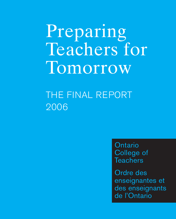Preparing Teachers for Tomorrow

# THE FINAL REPORT 2006

**Ontario** College of **Teachers** 

Ordre des enseignantes et des enseignants de l'Ontario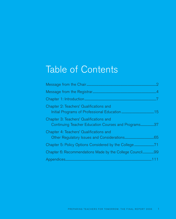# Table of Contents

| Chapter 2: Teachers' Qualifications and                                                        |  |
|------------------------------------------------------------------------------------------------|--|
| Chapter 3: Teachers' Qualifications and<br>Continuing Teacher Education Courses and Programs37 |  |
| Chapter 4: Teachers' Qualifications and                                                        |  |
| Chapter 5: Policy Options Considered by the College71                                          |  |
| Chapter 6: Recommendations Made by the College Council99                                       |  |
|                                                                                                |  |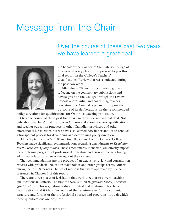# Message from the Chair

# Over the course of these past two years, we have learned a great deal.



On behalf of the Council of the Ontario College of Teachers, it is my pleasure to present to you this final report on the College's Teachers' Qualifications Review that was conducted during the past two years.

After almost 20 months spent listening to and reflecting on the commentary, submissions and advice given to the College through the review process about initial and continuing teacher education, the Council is pleased to report the outcome of its deliberations on the recommended

policy directions for qualifications for Ontario's teaching profession.

Over the course of these past two years, we have learned a great deal. Not only about teachers' qualifications in Ontario and about teachers' qualifications and teacher education practices in other Canadian provinces and other international jurisdictions, but we have also learned how important it is to conduct a transparent process for developing and determining policy direction.

At its September 28-29, 2006 meeting, the Council of the Ontario College of Teachers made significant recommendations regarding amendments to *Regulation 184/97, Teachers' Qualifications*. These amendments, if enacted, will directly impact those entering programs of professional education and current teachers taking additional education courses throughout their career.

The recommendations are the product of an extensive review and consultation process with provincial education stakeholder and other groups across Ontario during the last 18 months. The list of motions that were approved by Council is presented in Chapter 6 of this report.

There are three pieces of legislation that work together to govern teaching qualifications in Ontario. The first of these is titled *Regulation 184/97, Teachers' Qualifications*. This regulation addresses initial and continuing teachers' qualifications and it identifies many of the requirements for the content, structure and format of the professional courses and programs through which these qualifications are acquired.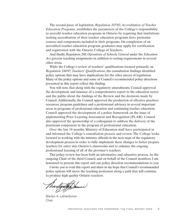The second piece of legislation, *Regulation 347/02, Accreditation of Teacher Education Programs*, establishes the parameters of the College's responsibility to accredit teacher education programs in Ontario by requiring that institutions seeking accreditation of their teacher education programs have particular courses and components included in their programs. On completion of an accredited teacher education program, graduates may apply for certification and registration with the Ontario College of Teachers.

And finally, *Regulation 298, Operations of Schools, General* under the *Education Act* governs teaching assignments in addition to setting requirements in several other areas.

While the College's review of teachers' qualifications focused primarily on *Regulation 184/97, Teachers' Qualifications*, the consultation findings identified policy options that may have implications for the other pieces of legislation. Many of the policy options and some of Council's recommended policy directions presented in this report reflect this finding.

You will note that along with the regulatory amendments, Council approved the development and issuance of a comprehensive report to the education sector and the public about the findings of the Review and the decisions made by Council. Additionally, the Council approved the production of effective practices resources, program guidelines and a professional advisory in several important areas in programs of professional education and continuing teacher education. Council approved the development of a policy framework on the issue of implementing Prior Learning Assessment and Recognition (PLAR). Council also approved the sponsorship of a colloquium to address the delivery of the practicum component in the program of professional education.

Over the last 18 months, Ministry of Education staff have participated in and informed the College's consultation process and review. The College looks forward to working with the ministry officials in the next steps of the regulatory development process in order to fully implement these changes to better prepare teachers for entry into Ontario's classrooms and to enhance the ongoing professional learning of all of the province's teachers.

This policy review has been both an informative and educative process. As the outgoing Chair of the third Council, and on behalf of the Council members, I am honoured to present this report and our policy direction recommendations to you.

I invite you to read this report and share in my hope that Council's recommended policy options will move the teaching profession along a path that will continue to produce high quality Ontario teachers.

Tharlysty Shum

Marilyn A. Laframboise Chair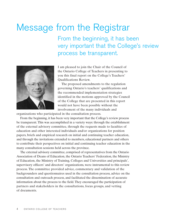# Message from the Registrar

From the beginning, it has been very important that the College's review process be transparent.



I am pleased to join the Chair of the Council of the Ontario College of Teachers in presenting to you this final report on the College's Teachers' Qualifications Review.

The proposed amendments to the regulation governing Ontario's teachers' qualifications and the recommended implementation strategies identified in the motions approved by the Council of the College that are presented in this report would not have been possible without the involvement of the many individuals and

organizations who participated in the consultation process.

From the beginning, it has been very important that the College's review process be transparent. This was accomplished in a variety ways: through the establishment of the external advisory committee, through the requests made to faculties of education and other interested individuals and/or organizations for position papers, briefs and empirical research on initial and continuing teacher education, and through the invitations extended to members, educational partners and others to contribute their perspectives on initial and continuing teacher education in the many consultation sessions held across the province.

The external advisory committee, comprised of representatives from the Ontario Association of Deans of Education, the Ontario Teachers' Federation, the Ministry of Education, the Ministry of Training, Colleges and Universities and principals', supervisory officers' and directors' organizations, were instrumental to this review process. The committee provided advice, commentary and validation of the backgrounders and questionnaires used in the consultation process, advice on the consultation and outreach process, and facilitated the dissemination of accurate information about the process to the field. They encouraged the participation of partners and stakeholders in the consultations, focus groups, and vetting of documents.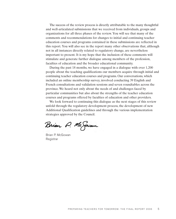The success of the review process is directly attributable to the many thoughtful and well-articulated submissions that we received from individuals, groups and organizations for all three phases of the review. You will see that many of the comments and recommendations for changes to initial and continuing teacher education courses and programs contained in these submissions are reflected in this report. You will also see in the report many other observations that, although not in all instances directly related to regulatory change, are nevertheless important to present. It is my hope that the inclusion of these comments will stimulate and generate further dialogue among members of the profession, faculties of education and the broader educational community.

During the past 18 months, we have engaged in a dialogue with over 1,200 people about the teaching qualifications our members acquire through initial and continuing teacher education courses and programs. Our conversations, which included an online membership survey, involved conducting 39 English and French consultations and validation sessions and seven roundtables across the province. We heard not only about the needs of and challenges faced by particular communities but also about the strengths of the teacher education courses and programs offered by faculties of education and other providers.

We look forward to continuing this dialogue as the next stages of this review unfold through the regulatory development process, the development of new Additional Qualification guidelines and through the various implementation strategies approved by the Council.

Brian P. Mc Sowan

Brian P. McGowan Registrar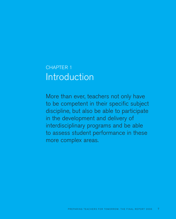# CHAPTER 1 **Introduction**

More than ever, teachers not only have to be competent in their specific subject discipline, but also be able to participate in the development and delivery of interdisciplinary programs and be able to assess student performance in these more complex areas.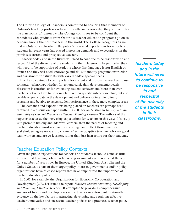The Ontario College of Teachers is committed to ensuring that members of Ontario's teaching profession have the skills and knowledge they will need for the classrooms of tomorrow. The College continues to be confident that candidates who graduate from Ontario's teacher education programs go on to become among the best teachers in the world. The College recognizes as well that in Ontario, as elsewhere, the public's increased expectations for schools and students in recent years has placed increasing demands and expectations on the province's current and prospective teachers.

Teachers today and in the future will need to continue to be responsive to and respectful of the diversity of the students in their classrooms. In particular, they will need to be supportive of students whose first language is not English or French and they will need knowledge and skills to modify programs, instruction and assessment for students with varied and/or special needs.

It will also continue to be important for current and prospective teachers to use computer technology, whether for general curriculum development, specific classroom instruction, or for evaluating student achievement. More than ever, teachers not only have to be competent in their specific subject discipline, but also be able to participate in the development and delivery of interdisciplinary programs and be able to assess student performance in these more complex areas.

The demands and expectations being placed on teachers are perhaps best captured in a discussion paper written in 2003 for an Australian *Inquiry into the Suitability of Current Pre-Service Teacher Training Courses*. The authors of the paper characterize the increasing expectations for teachers in this way: "If society is to promote lifelong and adaptive learners, then the nature of teaching and teacher education must necessarily encourage and reflect those qualities … Stakeholders agree we want to create reflective, adaptive teachers, who are good team workers and are co-learners, rather than just instructors, for their students."

## Teacher Education Policy Contexts

Given the public expectations for schools and students, it should come as little surprise that teaching policy has been on government agendas around the world for a number of years now. In Europe, the United Kingdom, Australia and the United States, as part of their larger policy interests, governments and/or policy organizations have released reports that have emphasized the importance of teacher education policy.

In 2005, for example, the Organization for Economic Co-operation and Development (OECD) issued the report *Teachers Matter: Attracting, Developing and Retaining Effective Teachers*. It attempted to provide a comprehensive analysis of trends and developments in the teacher workforce internationally, evidence on the key factors in attracting, developing and retaining effective teachers, innovative and successful teacher policies and practices, teacher policy

*Teachers today and in the future will need to continue to be responsive to and respectful of the diversity of the students in their classrooms.*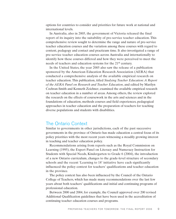options for countries to consider and priorities for future work at national and international levels.

In Australia, also in 2005, the government of Victoria released the final report of its inquiry into the suitability of pre-service teacher education. This comprehensive review sought to determine the range and nature of pre-service teacher education courses and the variation among these courses with regard to content, pedagogy and contact and practicum time. It also investigated a range of pre-service teacher education courses across Australia and internationally to identify how these courses differed and how they were perceived to meet the needs of teachers and education systems for the 21st century.

In the United States, the year 2005 also saw the release of a publication sponsored by the American Education Research Association (AERA) that conducted a comprehensive analysis of the available empirical research on teacher education. This publication, titled *Studying Teacher Education: A Report of the AERA Panel on Research and Teacher Education*, and edited by Marilyn Cochran-Smith and Kenneth Zeichner, examined the available empirical research on teacher education in a number of areas. Among others, the review explored the research on the effects of coursework in the arts and sciences and in the foundations of education, methods courses and field experiences, pedagogical approaches in teacher education and the preparation of teachers for teaching diverse populations and students with disabilities.

## The Ontario Context

Similar to governments in other jurisdictions, each of the past successive governments in the province of Ontario has made education a central focus of its policy priorities with the most recent years witnessing a steadily growing interest in teaching and teacher education policy.

Recommendations arising from reports such as the Royal Commission on Learning (1995), the Expert Panel on Literacy and Numeracy Instruction for Students with Special Needs, Kindergarten to Grade 6 (2004), the introduction of a new Ontario curriculum, changes to the grade-level structure of secondary schools and the recent 'Learning to 18' initiative have each significantly influenced the policy context for teachers' qualifications and teacher education in the province.

The policy context has also been influenced by the Council of the Ontario College of Teachers, which has made many recommendations over the last few years about both teachers' qualifications and initial and continuing programs of professional education.

Between 2000 and 2004, for example, the Council approved over 200 revised Additional Qualification guidelines that have been used in the accreditation of continuing teacher education courses and programs.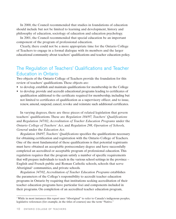In 2000, the Council recommended that studies in foundations of education should include but not be limited to learning and development, history and philosophy of education, sociology of education and education psychology.

In 2001, the Council recommended that special education be an important component of the program of professional education.

Clearly, there could not be a more appropriate time for the Ontario College of Teachers to engage in a formal dialogue with its members and the larger educational community about teachers' qualifications and teacher education policy.

# The Regulation of Teachers' Qualifications and Teacher Education in Ontario

Two objects of the Ontario College of Teachers provide the foundation for this review of teachers' qualifications. These objects are:

- to develop, establish and maintain qualifications for membership in the College
- to develop, provide and accredit educational programs leading to certificates of qualification additional to the certificate required for membership, including but not limited to certificates of qualification as a supervisory officer, and to issue, renew, amend, suspend, cancel, revoke and reinstate such additional certificates.

In varying degrees, there are three pieces of related legislation that govern teachers' qualifications. These are *Regulation 184/97, Teachers' Qualifications* and *Regulation 347/02, Accreditation of Teacher Education Programs* under the *Ontario College of Teachers' Act*, and *Regulation 298, Operation of Schools, General* under the *Education Act*.

*Regulation 184/97, Teachers' Qualifications* specifies the qualifications necessary for obtaining certification and registration with the Ontario College of Teachers. One of the most fundamental of these qualifications is that potential registrants must have obtained an acceptable postsecondary degree and have successfully completed an accredited or acceptable program of professional education. This regulation requires that the program satisfy a number of specific requirements that will prepare individuals to teach in the various school settings in the province – English and French public and Roman Catholic schools, schools that serve Aboriginal<sup>1</sup> communities, and private schools.

*Regulation 347/02, Accreditation of Teacher Education Programs* establishes the parameters of the College's responsibility to accredit teacher education programs in Ontario by requiring that institutions seeking accreditation of their teacher education programs have particular foci and components included in their programs. On completion of an accredited teacher education program,

<sup>&</sup>lt;sup>1</sup> While in most instances this report uses "Aboriginal" to refer to Canada's indigenous peoples, legislative references (for example, in the titles of courses) use the term "Native."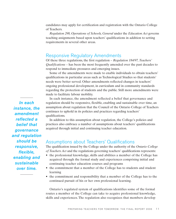candidates may apply for certification and registration with the Ontario College of Teachers.

*Regulation 298, Operations of Schools, General* under the *Education Act* governs teaching assignments based upon teachers' qualifications in addition to setting requirements in several other areas.

## Responsive Regulatory Amendments

Of these three regulations, the first regulation – *Regulation 184/97, Teachers' Qualifications* – has been the most frequently amended over the past decades to respond to immediate pressures and emerging issues.

Some of the amendments were made to enable individuals to obtain teachers' qualifications in particular areas such as Technological Studies so that students' needs were better served. Other amendments reflected changes in teachers' ongoing professional development, in curriculum and in community standards regarding the protection of students and the public. Still more amendments were made to facilitate labour mobility.

In each instance, the amendment reflected a belief that governance and regulation should be responsive, flexible, enabling and sustainable over time, an assumption about regulation that the Council of the Ontario College of Teachers continues to uphold in its policies and practices regarding teachers' qualifications.

In addition to this assumption about regulation, the College's policies and practices also embrace a number of assumptions about teachers' qualifications acquired through initial and continuing teacher education.

## Assumptions about Teachers' Qualifications

The qualification issued by the College under the authority of the *Ontario College of Teachers Act* and the regulations governing teachers' qualifications represents:

- the professional knowledge, skills and abilities a member of the College has acquired through the formal study and experiences comprising initial and continuing teacher education courses and programs
- the commitment that a member of the College has to students and student learning
- the commitment and responsibility that a member of the College has to the continued pursuit of his or her own professional learning.

Ontario's regulated system of qualifications identifies some of the formal routes a member of the College can take to acquire professional knowledge, skills and experiences. The regulation also recognizes that members develop

*In each instance, the amendment reflected a belief that governance and regulation should be responsive, flexible, enabling and sustainable over time.*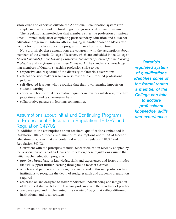knowledge and expertise outside the Additional Qualification system (for example, in master's and doctoral degree programs or diploma programs).

The regulation acknowledges that members enter the profession at various times – immediately after completing postsecondary education and a teacher education program in Ontario, after engaging in another career and/or after completion of teacher education programs in another jurisdiction.

Not surprisingly, these assumptions are congruent with the assumptions about members of the Ontario College of Teachers, which are embedded in the College's *Ethical Standards for the Teaching Profession, Standards of Practice for the Teaching Profession* and *Professional Learning Framework*. The standards acknowledge that members of Ontario's teaching profession strive to be:

- responsive and respectful of the diversity of Ontario's classrooms
- ethical decision-makers who exercise responsible informed professional judgment
- self-directed learners who recognize that their own learning impacts on student learning
- critical and holistic thinkers, creative inquirers, innovators, risk-takers, reflective practitioners and teacher-researchers
- collaborative partners in learning communities.

# Assumptions about Initial and Continuing Programs of Professional Education in Regulation 184/97 and Regulation 347/02

In addition to the assumptions about teachers' qualifications embedded in Regulation 184/97, there are a number of assumptions about initial teacher education programs that are contained in both Regulation 184/97 and Regulation 347/02.

Consistent with the principles of initial teacher education recently adopted by the Association of Canadian Deans of Education, these regulations assume that initial teacher education programs:

- provide a broad base of knowledge, skills and experiences and foster attitudes that will support further learning throughout a teacher's career
- with few and particular exceptions, they are provided through postsecondary institutions to recognize the depth of study, research and academic preparation required
- are based on and designed to foster candidates' understanding and integration of the ethical standards for the teaching profession and the standards of practice
- are developed and implemented in a variety of ways that reflect different institutional and local contexts

*Ontario's regulated system of qualifications identifies some of the formal routes a member of the College can take to acquire professional knowledge, skills and experiences.*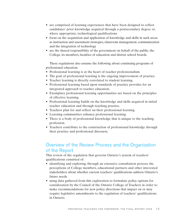- are comprised of learning experiences that have been designed to reflect candidates' prior knowledge acquired through a postsecondary degree or, where appropriate, technological qualifications
- focus on the acquisition and application of knowledge and skills in such areas as instruction and assessment strategies, classroom management, communication and the integration of technology
- are the shared responsibility of the government on behalf of the public, the College, its members, faculties of education and district school boards.

These regulations also assume the following about continuing programs of professional education:

- Professional learning is at the heart of teacher professionalism.
- The goal of professional learning is the ongoing improvement of practice.
- Teacher learning is directly correlated to student learning.
- Professional learning based upon standards of practice provides for an integrated approach to teacher education.
- Exemplary professional learning opportunities are based on the principles of effective learning.
- Professional learning builds on the knowledge and skills acquired in initial teacher education and through teaching practice.
- Teachers plan for and reflect on their professional learning.
- Learning communities enhance professional learning.
- There is a body of professional knowledge that is unique to the teaching profession.
- Teachers contribute to the construction of professional knowledge through their practice and professional discourse.

# Overview of the Review Process and the Organization of the Report

This review of the regulation that governs Ontario's system of teachers' qualifications consisted of:

- identifying and exploring, through an extensive consultation process, the perceptions of College members, educational partners and other interested stakeholders about whether current teachers' qualifications address Ontario's future needs
- using data gathered from this exploration to formulate policy options for consideration by the Council of the Ontario College of Teachers in order to make recommendations for new policy directions that impact on or may require legislative amendments to the regulation of teachers' qualifications in Ontario.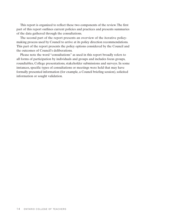This report is organized to reflect these two components of the review. The first part of this report outlines current policies and practices and presents summaries of the data gathered through the consultations.

The second part of the report presents an overview of the iterative policymaking process used by Council to arrive at its policy direction recommendations. This part of the report presents the policy options considered by the Council and the outcomes of Council's deliberations.

Please note the word "consultations" as used in this report broadly refers to all forms of participation by individuals and groups and includes focus groups, roundtables, College presentations, stakeholder submissions and surveys. In some instances, specific types of consultations or meetings were held that may have formally presented information (for example, a Council briefing session), solicited information or sought validation.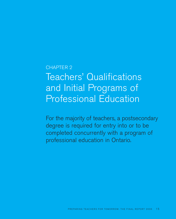# CHAPTER 2 Teachers' Qualifications and Initial Programs of Professional Education

For the majority of teachers, a postsecondary degree is required for entry into or to be completed concurrently with a program of professional education in Ontario.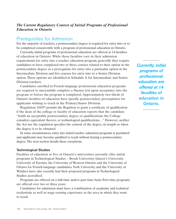## *The Current Regulatory Context of Initial Programs of Professional Education in Ontario*

## Prerequisites for Admission

For the majority of teachers, a postsecondary degree is required for entry into or to be completed concurrently with a program of professional education in Ontario.

Currently, initial programs of professional education are offered at 14 faculties of education in Ontario. While these faculties vary in their admission requirements for entry into a teacher education program, generally they require candidates to have completed two or three courses related to their option in the postsecondary degree as a prerequisite for entry into a particular option in the Intermediate Division and five courses for entry into to a Senior Division option. These options are identified in Schedule A for Intermediate and Senior Division teachers.

Candidates enrolled in French-language professional education programs are required to successfully complete a fluency test upon acceptance into the program or before the program is completed. Approximately two-thirds of Ontario faculties of education have specific postsecondary prerequisites for applicants wishing to teach in the Primary/Junior Division.

Regulation 184/97 permits the Registrar to grant a certificate of qualification if the dean of the college or faculty of education reports that the candidate "holds an acceptable postsecondary degree or qualifications the College considers equivalent thereto, or technological qualifications…" However, neither the Act nor the regulation specifies the content of the degree, its length or when the degree is to be obtained.

In some circumstances, entry into initial teacher education programs is permitted and applicants may become qualified to teach without having a postsecondary degree. The next section details these exceptions.

#### **Technological Studies**

Faculties of education at five of Ontario's universities currently offer initial programs in Technological Studies – Brock University, Queen's University, University of Toronto, the University of Western Ontario and the University of Ottawa for French-language candidates. York University and the University of Windsor have also recently had their proposed programs in Technological Studies accredited.

Programs are offered on a full-time and/or part-time basis. Part-time programs are offered over two or three years.

Candidates for admission must have a combination of academic and technical credentials as well as wage-earning experience in the area in which they want to teach.

*Currently, initial programs of professional education are offered at 14 faculties of education in Ontario.*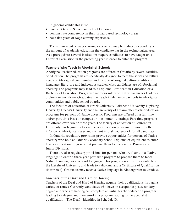In general, candidates must:

- have an Ontario Secondary School Diploma
- demonstrate competency in their broad-based technology areas
- have five years of wage-earning experience.

The requirement of wage-earning experience may be reduced depending on the amount of academic education the candidate has in the technological area. As a prerequisite, several institutions require candidates to have taught on a Letter of Permission in the preceding year in order to enter the program.

#### **Teachers Who Teach in Aboriginal Schools**

Aboriginal teacher education programs are offered in Ontario by several faculties of education. The programs are specifically designed to meet the social and cultural needs of Aboriginal communities and include Aboriginal culture, traditions, languages, literature and indigenous studies. Most candidates are of Aboriginal ancestry. The programs may lead to a Diploma/Certificate in Education or a Bachelor of Education. Programs that focus solely on Native languages lead to a diploma or certificate. Graduates may teach in elementary schools in Aboriginal communities and public school boards.

The faculties of education at Brock University, Lakehead University, Nipissing University, Queen's University and the University of Ottawa offer teacher education programs for persons of Native ancestry. Programs are offered on a full-time and/or part-time basis on campus or in community settings. Part-time programs are offered over two or three years. The faculty of education at Laurentian University has begun to offer a teacher education program premised on the infusion of Aboriginal issues and content into all coursework for all candidates.

In Ontario, regulatory provisions provide opportunities for persons of Native ancestry who hold an Ontario Secondary School Diploma or equivalent to enter teacher education programs that prepare them to teach in the Primary and Junior Divisions.

There are also regulatory provisions for persons who are fluent in a Native language to enter a three-year part-time program to prepare them to teach Native Language as a Second Language. This program is currently available at the Lakehead University and leads to a diploma and a Certificate of Qualification (Restricted). Graduates may teach a Native language in Kindergarten to Grade 8.

#### **Teachers of the Deaf and Hard of Hearing**

Teachers of the Deaf and Hard of Hearing acquire their qualifications through a variety of routes. Currently, candidates who have an acceptable postsecondary degree and who are hearing can complete an initial teacher education program leading to a degree and then enrol in a program leading to the Specialist qualification – The Deaf – identified in Schedule D.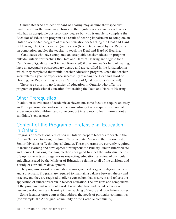Candidates who are deaf or hard of hearing may acquire their specialist qualification in the same way. However, the regulation also enables a teacher who has an acceptable postsecondary degree but who is unable to complete the Bachelor of Education program as a result of hearing impairment to complete an Ontario accredited program of teacher education for teaching the Deaf and Hard of Hearing. The Certificate of Qualification (Restricted) issued by the Registrar on completion enables the teacher to teach the Deaf and Hard of Hearing.

Candidates who have completed an acceptable teacher education program outside Ontario for teaching the Deaf and Hard of Hearing are eligible for a Certificate of Qualification (Limited, Restricted) if they are deaf or hard of hearing, have an acceptable postsecondary degree and are certified in the jurisdiction in which they completed their initial teacher education program. Once the teacher accumulates a year of experience successfully teaching the Deaf and Hard of Hearing, the Registrar may issue a Certificate of Qualification (Restricted).

There are currently no faculties of education in Ontario who offer the program of professional education for teaching the Deaf and Hard of Hearing.

## Other Prerequisites

In addition to evidence of academic achievement, some faculties require an essay and/or a personal disposition to teach inventory; others require evidence of experience with children, and some conduct interviews to learn more about a candidate's experience.

# Content of the Program of Professional Education in Ontario

Programs of professional education in Ontario prepare teachers to teach in the Primary/Junior Divisions, the Junior/Intermediate Divisions, the Intermediate/ Senior Divisions or Technological Studies. These programs are currently required to include learning and development throughout the Primary, Junior, Intermediate and Senior Divisions, teaching methods designed to meet the individual needs of pupils, the acts and regulations respecting education, a review of curriculum guidelines issued by the Minister of Education relating to all of the divisions and a study of curriculum development.

The programs consist of foundation courses, methodology or pedagogy courses, and a practicum. Programs are required to maintain a balance between theory and practice, and they are required to offer a curriculum that is current and reflects the application of current research in teacher education. The divisions and components of the program must represent a wide knowledge base and include courses on human development and learning in the teaching of theory and foundation courses.

Some faculties offer courses that address the needs of particular communities (for example, the Aboriginal community or the Catholic community).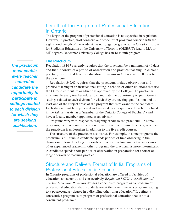# Length of the Program of Professional Education in Ontario

The length of the program of professional education is not specified in regulation. However, in practice, most consecutive or concurrent programs coincide with the eight-month length of the academic year. Longer programs at the Ontario Institute for Studies in Education at the University of Toronto (OISE/UT) lead to MA or MT degrees. Redeemer University College has an 18-month program.

### **The Practicum**

Regulation 184/97 currently requires that the practicum be a minimum of 40 days and that it consist of a period of observation and practice teaching. In current practice, most initial teacher education programs in Ontario allot 60 days to the practicum.

Regulation 347/02 requires that the practicum include observation and practice teaching in an instructional setting in schools or other situations that use the Ontario curriculum or situations approved by the College. The practicum must enable every teacher education candidate the opportunity to participate in settings related to each division for which they are seeking qualification and at least one of the subject areas of the program that is relevant to the candidate. Each student must be supervised and assessed by an experienced teacher (defined in the *Education Act* as a "member of the Ontario College of Teachers") and have a faculty member appointed as an advisor.

Programs vary with respect to assigning credit to the practicum. In some programs, the practicum is considered one of the five required courses; in others, the practicum is undertaken in addition to the five credit courses.

The structure of the practicum also varies. For example, in some programs, the practicum is full-time. A candidate spends periods of time observing in the classroom followed by longer periods of practice teaching under the supervision of an experienced teacher. In other programs, the practicum is more intermittent. A candidate spends short periods of observation in preparation for shorter or longer periods of teaching practice.

# Structure and Delivery Format of Initial Programs of Professional Education in Ontario

In Ontario, programs of professional education are offered in faculties of education concurrently and consecutively. *Regulation 347/02, Accreditation of Teacher Education Programs* defines a concurrent program as "a program of professional education that is undertaken at the same time as a program leading to a postsecondary degree in a discipline other than education." It defines a consecutive program as "a program of professional education that is not a concurrent program."

*The practicum must enable every teacher education candidate the opportunity to participate in settings related to each division for which they are seeking qualification.*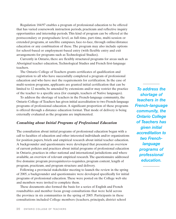Regulation 184/97 enables a program of professional education to be offered that has varied coursework instruction periods, practicum and reflective inquiry opportunities and internship periods. This kind of program can be offered at the postsecondary or postgraduate level, as full-time, part-time, multi-session or extended programs, at satellite campuses, face-to-face, through online/distance education or any combination of these. The program may also include options for school-based or employment-based entry (with flexible entry and exit arrangements for programs such as Technological Studies).

Currently in Ontario, there are flexibly structured programs for areas such as Aboriginal teacher education, Technological Studies and French first-language teachers.

The Ontario College of Teachers grants certificates of qualification and registration to all who have successfully completed a program of professional education and who have met the requirements for certification. In the case of multi-session programs, applicants are granted initial certification that can be limited to 12 months, be amended by extensions and/or may restrict the practice of the teacher to a specific area (for example, teachers of Native languages).

To address the shortage of teachers in the French-language community, the Ontario College of Teachers has given initial accreditation to two French-language programs of professional education. A significant proportion of these programs is offered through a distance education format. That mode of delivery is being externally evaluated as the programs are implemented.

## *Consulting about Initial Programs of Professional Education*

The consultation about initial programs of professional education began with a call to faculties of education and other interested individuals and/or organizations for position papers, briefs and empirical research about initial teacher education. A backgrounder and questionnaire were developed that presented an overview of current policies and practices about initial programs of professional education in Ontario, practices in other national and international jurisdictions and where available, an overview of relevant empirical research. The questionnaire addressed five domains: program prerequisites/co-requisites, program content, length of program, practicum, and program structure and delivery.

Following a provincial stakeholder meeting to launch the review in the spring of 2005, a backgrounder and questionnaire were developed specifically for initial programs of professional education. These were posted on the College web site and members were invited to complete them.

These documents also formed the basis for a series of English and French roundtables and member focus group consultations that were held across the province in six communities in the spring of 2005. Participants in these consultations included College members (teachers, principals, district school

*To address the shortage of teachers in the French-language community, the Ontario College of Teachers has given initial accreditation to two Frenchlanguage programs of professional education.*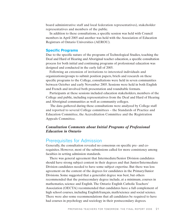board administrative staff and local federation representatives), stakeholder representatives and members of the public.

In addition to these consultations, a specific session was held with Council members in April 2005 and another was held with the Association of Education Registrars of Ontario Universities (AEROU).

#### **Specific Programs**

Due to the specific nature of the programs of Technological Studies, teaching the Deaf and Hard of Hearing and Aboriginal teacher education, a specific consultation process for both initial and continuing programs of professional education was designed and conducted in the early fall of 2005.

Following an extension of invitations to interested individuals and organizations/groups to submit position papers, briefs and research on these specific programs to the College, consultations were held in seven communities between October and early November 2005. Sessions were held in both English and French and involved both presentation and roundtable formats.

Participants at these sessions included education stakeholders, members of the College and public, including representatives from the Deaf and Hard of Hearing and Aboriginal communities as well as community colleges.

The data gathered during these consultations were analyzed by College staff and reported to several College committees – the Standards of Practice and Education Committee, the Accreditation Committee and the Registration Appeals Committee.

## *Consultation Comments about Initial Programs of Professional Education in Ontario*

## Prerequisites for Admission

Generally, the consultation revealed no consensus on specific pre- and corequisites. However, most of the submissions called for more consistency among faculties in setting admission standards.

There was general agreement that Intermediate/Senior Division candidates should have strong subject content in their degrees and that Junior/Intermediate Division candidates needed to have some subject expertise. But there was less agreement on the content of the degrees for candidates in the Primary/Junior Divisions. Some suggested that a generalist degree was best, but others recommended that the postsecondary degree include, at a minimum, courses in mathematics, science and English. The Ontario English Catholic Teachers' Association (OECTA) recommended that candidates have a full complement of high school courses, including English/français, math/science and social science. There were also some recommendations that all candidates be required to have had courses in psychology and sociology in their postsecondary degrees.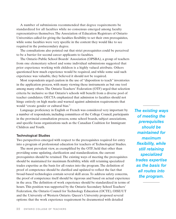A number of submissions recommended that degree requirements be standardized for all faculties while no consensus emerged among faculty representatives themselves. The Association of Education Registrars of Ontario Universities called for giving the faculties flexibility to set their own prerequisites, while some faculties were very specific in the content they would like to see required in the postsecondary degree.

The consultations also pointed out that strict prerequisites could be perceived to be a barrier for second career applicants to faculties.

The Ontario Public School Boards' Association (OPSBA), a group of teachers from one elementary school and some individual submissions suggested that prior experience working with children is a highly valued attribute. Others questioned how much experience would be required, and while some said such experience was valuable, they believed it should not be required.

Most respondents urged caution in the use of "disposition to teach" inventories in the application process, with many viewing these instruments as but one tool among many others. The Ontario Teachers' Federation (OTF) urged that selection criteria be inclusive so that Ontario's schools will benefit from a diverse pool of teacher candidates. OECTA emphasized that admission to faculties should not hinge entirely on high marks and warned against admission requirements that would "create gender or cultural bias."

Language proficiency in English or French was considered very important by a number of respondents, including committees of the College Council, participants in the provincial consultation process, some school boards, subject associations, and specific focus organizations such as the Canadian Coalition for Immigrant Children and Youth.

#### **Technological Studies**

Two perspectives emerged with respect to the prerequisites required for entry into a program of professional education for teachers of Technological Studies.

The most prevalent view, as exemplified by the OTF, held that other than providing some updating, clarification and standardization, the current prerequisites should be retained. The existing ways of meeting the prerequisites should be maintained for maximum flexibility, while still retaining specialized trades expertise as the basis for all routes into the program. The definition of proof of competence should be clarified and updated to reflect the fact that broad-based technologies contain several skill areas. To address safety concerns, the proof of competence itself should be rigorous and based on actual experience in the area. The definition of work experience should be standardized in terms of hours. This position was supported by the Ontario Secondary School Teachers' Federation, the Ontario Council for Technology Education (OCTE), OISE/UT and the University of Western Ontario. Queen's University proposed several options: that the work experience requirement be documented with detailed

*The existing ways of meeting the prerequisites should be maintained for maximum flexibility, while still retaining specialized trades expertise as the basis for all routes into the program.*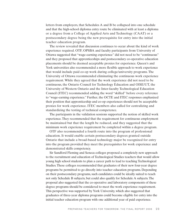letters from employers, that Schedules A and B be collapsed into one schedule and that the high-school diploma entry route be eliminated with at least a diploma or a degree from a College of Applied Arts and Technology (CAAT) or a postsecondary degree being the new prerequisite for entry into the initial teacher education program.

The review revealed that discussion continues to occur about the kind of work experience required. OTF, OPSBA and faculty participants from University of Ottawa suggested that "wage-earning experience" did not need to be "continuous" and they proposed that apprenticeships and postsecondary co-operative education placements should be deemed acceptable proxies for experience. Queen's and York universities also recommended a more flexible approach to work experience that would include paid co-op work during college/university programs. The University of Ottawa recommended eliminating the continuous work experience requirement. While they agreed that the work experience did not need to be continuous, the Ontario Council for Technology Education and OISE/UT, the University of Western Ontario and the Inter-faculty Technological Education Council (ITEC) recommended adding the word "skilled" before every reference to "wage-earning experience." Further, the OCTE and ITEC responses emphasized their position that apprenticeship and co-op experiences should not be acceptable proxies for work experience. ITEC members also called for centralizing and standardizing the testing of technical competence.

The participants in the validation sessions supported the notion of skilled work experience. They recommended that the requirement for continuous employment be maintained but that the length be reduced, and they suggested that the minimum work experience requirement be completed within a degree program.

OTF also recommended a fourth route into the program of professional education. It would enable certain postsecondary degrees granted outside Ontario that include a broad-based technology major be recognized for entry into the program provided they meet the prerequisites for work experience and demonstrated skills competency.

Sir Sandford Fleming and Seneca colleges proposed a completely new approach to the recruitment and education of Technological Studies teachers that would allow young high school students to plan a career path to lead to teaching Technological Studies. These colleges recommended that graduates of their new four-year degree programs be permitted to go directly into teacher education programs. Depending on their postsecondary programs, such candidates could be ideally suited to teach not only Schedule B subjects, but could also qualify for Schedule A subjects. The proposal also suggested that the co-operative and laboratory components of these degree programs should be considered to meet the work experience requirement. This perspective was supported by York University, which also suggested that graduates of three-year diploma programs could become eligible for entry into the initial teacher education program with one additional year of paid experience.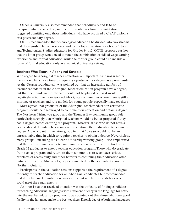Queen's University also recommended that Schedules A and B to be collapsed into one schedule, and the representatives from this institution suggested admitting only those individuals who have acquired a CAAT diploma or a postsecondary degree.

OCTE recommended that technological education be divided into two streams that distinguished between science and technology educators for Grades 1 to 8 and Technological Studies educators for Grades 9 to12. OCTE proposed further that the latter group would need to retain the combination of skilled wage-earning experience and formal education, while the former group could also include a route of formal education only in a technical university setting.

#### **Teachers Who Teach in Aboriginal Schools**

With regard to Aboriginal teacher education, an important issue was whether there should be a move towards requiring a postsecondary degree as a prerequisite. At the Ottawa roundtable, it was pointed out that an increasing number of teacher candidates in the Aboriginal teacher education program have a degree, but that the non-degree certificate should not be phased out as it would negatively affect the more isolated Aboriginal communities where there is still a shortage of teachers and role models for young people, especially male teachers.

Most agreed that graduates of the Aboriginal teacher education certificate program should be encouraged to continue their education and obtain a degree. The Northern Nishnawbe group and the Thunder Bay community group felt particularly strongly that Aboriginal teachers would be better prepared if they had a degree before entering the program. However, those who do not have a degree should definitely be encouraged to continue their education to obtain the degree. A participant in the latter group felt that 10 years would not be an unreasonable time in which to require a teacher to obtain a degree. Nevertheless, many groups – including the Queen's University working group – also emphasized that there are still many remote communities where it is difficult to find even Grade 12 graduates to enter a teacher education program. Those who do graduate from such a program and return to their communities to teach face serious problems of accessibility and other barriers to continuing their education after initial certification. Almost all groups commented on the accessibility issue in Northern Ontario.

Participants in the validation sessions supported the requirement of a degree for entry to teacher education for all Aboriginal candidates but recommended that it not be enacted until there was a sufficient number of candidates who could meet the requirements.

Another issue that received attention was the difficulty of finding candidates for teaching Aboriginal languages with sufficient fluency in the language for entry into the teacher education program. It was pointed out that those who have good facility in the language make the best teachers. Knowledge of Aboriginal languages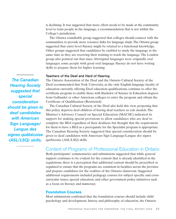is declining. It was suggested that more effort needs to be made at the community level to train people in the language, a recommendation that is not within the College's jurisdiction.

The Ottawa roundtable group suggested that colleges should connect with the communities to provide more resource links for language study. The Ottawa group suggested that entry-level fluency might be relaxed to a functional knowledge. Other groups suggested that candidates be enabled to study the language at the same time as they are receiving their training to teach the language. The London group also pointed out that since Aboriginal languages were originally oral languages, some people with good oral language fluency do not have writing skills to prepare them for higher learning.

#### **Teachers of the Deaf and Hard of Hearing**

The Ontario Association of the Deaf and the Ontario Cultural Society of the Deaf recommended that York University, as the only English-language faculty of education currently offering Deaf education qualifications, continue to offer the certificate program to enable those with Bachelor of Science in Education degrees from Gallaudet or other American colleges to enter the program and obtain the Certificate of Qualification (Restricted).

The Canadian Cultural Society of the Deaf also held this view, proposing that this policy deprives deaf children of having deaf teachers as role models. The Minister's Advisory Council on Special Education (MACSE) indicated its support for making special provisions to allow candidates who are deaf to complete the BEd regardless of their deafness, but thought that the requirement for them to have a BEd as a prerequisite for the Specialist program is appropriate. The Canadian Hearing Society suggested that special consideration should be given to deaf candidates with American Sign Language/Langue des signes québécoise (ASL/LSQ) skills.

## Content of Programs of Professional Education in Ontario

Both participants' commentaries and submissions suggested that while general support continues to be evident for the content that is already identified in the regulations, there is a perception that additional content should be prescribed or regulated to ensure that the programs are consistent in faculties across the province and prepare candidates for the realities of the Ontario classroom. Suggested additional requirements included pedagogy courses for subject specific and crosscurricular issues, special education, and other government policy initiatives such as a focus on literacy and numeracy.

### **Foundation Courses**

Most submissions confirmed that the foundation courses should include child psychology and development, history and philosophy of education, the Ontario

*The Canadian Hearing Society suggested that special consideration should be given to deaf candidates with American Sign Language/ Langue des signes québécoise (ASL/LSQ) skills.*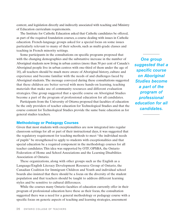context, and legislation directly and indirectly associated with teaching and Ministry of Education curriculum requirements.

The Institute for Catholic Education asked that Catholic candidates be offered, as part of the required foundation courses, a course dealing with issues in Catholic education. French-language groups asked for a special focus on some issues particularly relevant to many of their schools, such as multi-grade classes and teaching in French minority settings.

Some participants in the consultations on specific programs proposed that with the changing demographics and the substantive increase in the number of Aboriginal students now living in urban centres (more than 50 per cent of Canada's Aboriginal people live in urban centres with one-third of them under the age of 18), all teachers should be much more aware of Aboriginal history, culture and experience and become familiar with the needs of and challenges faced by Aboriginal students. The message conveyed during these consultations suggested that these children are better served with more hands-on learning, teaching materials that make use of community resources and different evaluation strategies. One group suggested that a specific course on Aboriginal Studies become a part of the program of professional education for all candidates.

Participants from the University of Ottawa proposed that faculties of education be the only providers of teacher education for Technological Studies and that the course content for Technological Studies provide the same basic education as for general studies teachers.

## **Methodology or Pedagogy Courses**

Given that most students with exceptionalities are now integrated into regular classroom settings for all or part of their instructional days, it was suggested that the regulatory requirement for teaching methods to meet "the individual needs of pupils" be strengthened to apply to students with exceptionalities and that special education be a required component in the methodology courses for all teacher candidates. This idea was supported by OTF, OPSBA, the Ontario Federation of Home and School Associations and the Learning Disabilities Association of Ontario.

These organizations, along with other groups such as the English as a Language/English Literacy Development Resource Group of Ontario, the Canadian Coalition for Immigrant Children and Youth and individual school boards also insisted that there should be a focus on the diversity of the student population and that teachers should be taught to address different learning styles and be sensitive to cultural differences.

While the courses many Ontario faculties of education currently offer in their program of professional education have these as their focus, the consultation suggested there was a need for a general methodology or pedagogy course with a specific focus on generic aspects of teaching and learning strategies, assessment

*One group suggested that a specific course on Aboriginal Studies become a part of the program of professional education for all candidates.*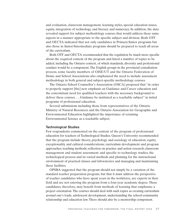and evaluation, classroom management, learning styles, special education issues, equity, integration of technology, and literacy and numeracy. In addition, the data revealed support for subject methodology courses that would address these same aspects in a manner appropriate to the specific subject and division. Both OTF and OECTA indicated that not only candidates in Primary/Junior programs but also those in Junior/Intermediate programs should be prepared to teach all areas of the curriculum.

Both OTF and OECTA recommended that the regulation be much more specific about the required content of the program and listed a number of topics to be added, including the Ontario context, of which standards, diversity and professional conduct would be a component. The English groups in the provincial consultation process, some faculty members of OISE/UT and the Ontario Federation of Home and School Associations also emphasized the need to include assessment methodology in both general and subject-specific methodology courses.

The Ontario School Counsellor's Association (OSCA) proposed that "in order to properly support [the] new emphasis on Guidance and Career education and the concomitant need for qualified teachers with the necessary background to deliver these courses. . ., Guidance be instituted as a teachable subject" in initial programs of professional education.

Several submissions including those from representatives of the Ontario Ministry of Natural Resources and the Ontario Association for Geographic and Environmental Education highlighted the importance of retaining Environmental Science as a teachable subject.

#### **Technological Studies**

Few respondents commented on the content of the program of professional education for teachers of Technological Studies. Queen's University recommended that the program include theory, psychology and sociology of education; equity, exceptionality and cultural considerations; curriculum development and program approaches; teaching methods; reflection on practice and action research; classroom management and student assessment; and specific to technology studies, the technological process and its varied methods and planning for the instructional environment of practical classes and laboratories and managing and maintaining these facilities.

OPSBA suggested that the program should not simply be a variation of the standard teacher preparation program, but that it must address the perspective of teacher candidates who have spent years in the workforce, are experts in their field and are not entering the program from a four-year academic degree. These candidates, therefore, may benefit from methods of learning that emphasize a project orientation. The courses should deal with such topics as creating curriculum around one's trade, adolescent development, understanding the school-community relationship and education law. There should also be a mentorship component.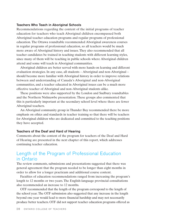#### **Teachers Who Teach in Aboriginal Schools**

Recommendations regarding the content of the initial programs of teacher education for teachers who teach Aboriginal children encompassed both Aboriginal teacher education programs and regular programs of professional education. The Ottawa roundtable recommended Aboriginal awareness courses in regular programs of professional education, so all teachers would be much more aware of Aboriginal history and issues. They also recommended that all teacher candidates be trained in teaching students with different learning styles, since many of them will be teaching in public schools where Aboriginal children attend and some will teach in Aboriginal communities.

Aboriginal children are better served with more hands-on learning and different evaluation strategies. In any case, all students – Aboriginal and non-Aboriginal – should become more familiar with Aboriginal history in order to improve relations between and understanding of Canada's Aboriginal and non-Aboriginal communities, and a teacher educated in Aboriginal issues can be a much more effective teacher of Aboriginal and non-Aboriginal students alike.

These positions were also supported by the London and Sudbury roundtables and the Northern Nishnawbe presentation. These groups also commented that this is particularly important at the secondary school level where there are fewer Aboriginal teachers.

An Aboriginal community group in Thunder Bay recommended there be more emphasis on ethics and standards in teacher training so that there will be teachers for Aboriginal children who are dedicated and committed to the teaching positions they have accepted.

#### **Teachers of the Deaf and Hard of Hearing**

Comments about the content of the program for teachers of the Deaf and Hard of Hearing are presented in the next chapter of this report, which addresses continuing teacher education.

## Length of the Program of Professional Education in Ontario

The review comments, submissions and presentations suggested that there was general agreement that the program needed to be longer than eight months in order to allow for a longer practicum and additional course content.

Faculties of education recommendations ranged from increasing the program's length to 12 months or two years. The English-language provincial consultations also recommended an increase to 12 months.

OTF recommended that the length of the program correspond to the length of the school year. The OTF submission also suggested that any increase in the length beyond one year would lead to more financial hardship and may not necessarily produce better teachers. OTF did not support teacher education programs offered as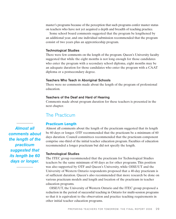master's programs because of the perception that such programs confer master status on teachers who have not yet acquired a depth and breadth of teaching practice.

Some school board comments suggested that the program be lengthened by an additional year, and one individual submission recommended that the program consist of two years plus an apprenticeship program.

#### **Technological Studies**

There were few comments on the length of the program. Queen's University faculty suggested that while the eight months is not long enough for those candidates who enter the program with a secondary school diploma, eight months may be an adequate duration for those candidates who enter the program with a CAAT diploma or a postsecondary degree.

#### **Teachers Who Teach in Aboriginal Schools**

There were no comments made about the length of the program of professional education.

#### **Teachers of the Deaf and Hard of Hearing**

Comments made about program duration for these teachers is presented in the next chapter.

## The Practicum

#### **Practicum Length**

*Almost all comments about the length of the practicum suggested that its length be 60 days or longer.*

Almost all comments about the length of the practicum suggested that its length be 60 days or longer. OTF recommended that the practicum be a minimum of 60 days duration. Council committees recommended that the practicum component comprise one-third of the initial teacher education program. Faculties of education recommended a longer practicum but did not specify the length.

#### **Technological Studies**

The ITEC group recommended that the practicum for Technological Studies teachers be the same minimum of 60 days as for other programs. This position was also supported by OTF and Queen's University, while OISE/UT and the University of Western Ontario respondents proposed that a 40-day practicum is of sufficient duration. Queen's also recommended that more research be done on various practicum models and length and location of the practicum in teacher education programs.

OISE/UT, the University of Western Ontario and the ITEC group proposed a reduction in the period of successful teaching in Ontario for multi-session programs so that it is equivalent to the observation and practice teaching requirements in other initial teacher education programs.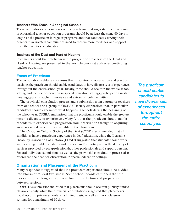#### **Teachers Who Teach in Aboriginal Schools**

There were also some comments on the practicum that suggested the practicum in Aboriginal teacher education programs should be at least the same 60 days in length as the practicum in regular programs and that candidates serving their practicum in isolated communities need to receive more feedback and support from the faculties of education.

#### **Teachers of the Deaf and Hard of Hearing**

Comments about the practicum in the program for teachers of the Deaf and Hard of Hearing are presented in the next chapter that addresses continuing teacher education.

## **Focus of Practicum**

The consultation yielded a consensus that, in addition to observation and practice teaching, the practicum should enable candidates to have diverse sets of experiences throughout the entire school year. Ideally, these should occur in the whole school setting and include observation in special education settings, participation in staff meetings, parent-teacher interviews and extra-curricular activities.

The provincial consultation process and a submission from a group of teachers from one school and a group of OISE/UT faculty emphasized that, in particular, candidates should experience what happens in schools during the beginning of the school year. OPSBA emphasized that the practicum should enable the greatest possible diversity of experiences. Many felt that the practicum should enable candidates to experience a progression from observation through to acquiring an increasing degree of responsibility in the classroom.

The Canadian Cultural Society of the Deaf (CCSD) recommended that all candidates have a practicum experience in deaf education, while the Learning Disability Association of Ontario (LDAO) suggested that students should work with learning disabled students and observe and/or participate in the delivery of services provided by paraprofessionals, other professionals and support persons. Several individual submissions as well as the provincial consultation process also referenced the need for observation in special education settings.

### **Organization and Placement of the Practicum**

Many respondents suggested that the practicum experience should be divided into blocks of at least two weeks. Some school boards cautioned that the blocks not be so long as to prevent time for reflection and preparation between sessions.

OECTA's submission indicated that placements should occur in publicly funded classrooms only, while the provincial consultations suggested that placements could occur in private schools on a limited basis, as well as in non-classroom settings for a maximum of 10 days.

*The practicum should enable candidates to have diverse sets of experiences throughout the entire school year.*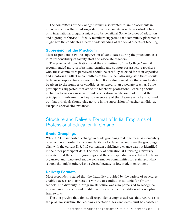The committees of the College Council also wanted to limit placements in non-classroom settings but suggested that placements in settings outside Ontario or in international programs might also be beneficial. Some faculties of education and a group of OISE/UT faculty members suggested that community placements might give the candidates a better understanding of the social aspects of teaching.

#### **Supervision of the Practicum**

Most respondents saw the supervision of candidates during the practicum as a joint responsibility of faculty staff and associate teachers.

The provincial consultations and the committees of the College Council recommended more professional learning and support for associate teachers who, these committees perceived, should be carefully selected for their expertise and mentoring skills. The committees of the Council also suggested there should be financial support for associate teachers. It was also pointed out that consideration be given to the number of candidates assigned to an associate teacher. Some participants suggested that associate teachers' professional learning should include a focus on assessment and observation. While some identified the principal's involvement as key to the success of the placement, others pointed out that principals should play no role in the supervision of teacher candidates, except in special circumstances.

## Structure and Delivery Format of Initial Programs of Professional Education in Ontario

### **Grade Groupings**

While OADE supported a change in grade groupings to define them as elementary or secondary in order to increase flexibility for faculties and have the groupings align with the current K-8, 9-12 curriculum guidelines, a change was not identified in the other participant data. The faculty of education at Nipissing University indicated that the current groupings and the corresponding ways that schools are organized and structured enable some smaller communities to retain secondary schools that might otherwise be closed because of low student enrolment.

#### **Delivery Formats**

Most respondents stated that the flexibility provided by the variety of structures enabled access and attracted a variety of candidates suitable for Ontario schools. The diversity in program structure was also perceived to recognize unique circumstances and enable faculties to work from different conceptual frameworks.

The one proviso that almost all respondents emphasized was that regardless of the program structure, the learning expectations for candidates must be consistent.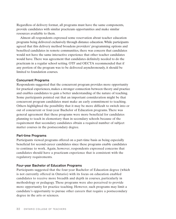Regardless of delivery format, all programs must have the same components, provide candidates with similar practicum opportunities and make similar resources available to them.

Almost all respondents expressed some reservation about teacher education programs being delivered exclusively through distance education.While participants agreed that this delivery method broadens providers' programming options and benefited candidates in remote communities, there was concern that candidates would not have the same interactive experience that other teacher candidates would have. There was agreement that candidates definitely needed to do the practicum in a regular school setting. OTF and OECTA recommended that if any portion of the program was to be delivered asynchronously, it should be limited to foundation courses.

#### **Concurrent Programs**

Respondents suggested that the concurrent program provides more opportunity for practical experiences, makes a stronger connection between theory and practice and enables candidates to gain a better understanding of the nature of teaching. Some participants pointed out that an important consideration might be that concurrent program candidates must make an early commitment to teaching. Others highlighted the possibility that it may be more difficult to switch into or out of concurrent or four-year Bachelor of Education programs. There was general agreement that these programs were more beneficial for candidates planning to teach in elementary than in secondary schools because of the requirement that secondary candidates obtain a required number of subject matter courses in the postsecondary degree.

#### **Part-time Programs**

Participants viewed programs offered on a part-time basis as being especially beneficial for second-career candidates since these programs enable candidates to continue to work. Again, however, respondents expressed concerns that candidates should have a practicum experience that is consistent with the regulatory requirements.

#### **Four-year Bachelor of Education Programs**

Participants suggested that the four-year Bachelor of Education degree (which is not currently offered in Ontario) with its focus on education enabled candidates to receive more breadth and depth in courses, particularly in methodology or pedagogy. These programs were also perceived to provide more opportunity for practice teaching. However, such programs may limit a candidate's opportunity to pursue other careers that require a postsecondary degree in the arts or sciences.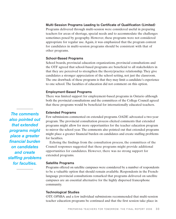### **Multi-Session Programs Leading to Certificate of Qualification (Limited)**

Programs delivered through multi-session were considered useful in preparing teachers for areas of shortage, special needs and to accommodate the challenges sometimes posed by geography. However, these programs were not considered appropriate for regular use. Again, it was emphasized that the program content for candidates in multi-session programs should be consistent with that of other programs.

#### **School-Based Programs**

School boards, provincial education organizations, provincial consultations and the OTF agreed that school-based programs are beneficial to all stakeholders in that they are perceived to strengthen the theory/practice relationship. They give candidates a stronger appreciation of the school setting, not just the classroom. The one drawback of these programs is that they may limit a candidate's experience to one school. The faculties of education did not comment on this option.

#### **Employment-Based Programs**

There was limited support for employment-based programs in Ontario although both the provincial consultations and the committees of the College Council agreed that these programs would be beneficial for internationally educated teachers.

#### **Extended Programs**

Few submissions commented on extended programs. OADE advocated a two-year program. The provincial consultation process elicited comments that extended programs might allow for more opportunities for the teacher education program to mirror the school year. The comments also pointed out that extended programs might place a greater financial burden on candidates and create staffing problems for faculties.

Echoing the findings from the consultation process, the committees of the Council responses suggested that these programs might provide additional opportunities for candidates. However, there was no strong support for extended programs.

#### **Satellite Programs**

Programs offered on satellite campuses were considered by a number of respondents to be a valuable option that should remain available. Respondents in the Frenchlanguage provincial consultations remarked that programs delivered on satellite campuses are an essential alternative for the highly dispersed francophone community.

#### **Technological Studies**

OTF, OPSBA and a few individual submissions recommended that multi-session teacher education programs be continued and that the first session take place in

*The comments also pointed out that extended programs might place a greater financial burden on candidates and create staffing problems for faculties.*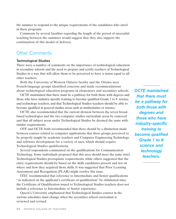the summer to respond to the unique requirements of the candidates who enrol in these programs.

Comments by several faculties regarding the length of the period of successful teaching between the summers would suggest that they also support the continuation of this model of delivery.

## Other Comments

### **Technological Studies**

There were a number of comments on the importance of technological education in secondary schools and the need to prepare and certify teachers of Technological Studies in a way that will allow them to be perceived to have a status equal to all other teachers.

Both the University of Western Ontario faculty and the Ottawa area French-language groups identified concerns and made recommendations about technological education programs in elementary and secondary schools.

OCTE maintained that there must be a pathway for both those with degrees and those who have industry-specific training to become qualified Grade 1 to 8 science and technology teachers, and that Technological Studies teachers should be able to become qualified in general studies areas such as mathematics or science.

OCTE also recommended that the current division between the seven broadbased technologies and the two computer studies curriculum areas be removed and that all subject areas under Technological Studies be deemed the same with similar requirements.

OTF and OCTE both recommended that there should be a distinction made between courses related to computer applications that these groups perceived to be properly taught by academic teachers and Computer Engineering Technology and software development for a variety of uses, which should require Technological Studies qualifications.

Several respondents commented on the qualifications for Communication Technology. Some individuals proposed that this area should meet the same strict Technological Studies prerequisite requirements, while others suggested that the entry requirements should be based on the skills candidates present and not on where and how they acquired those skills. It was suggested that Prior Learning Assessment and Recognition (PLAR) might resolve this issue.

ITEC recommended that reference to Intermediate and Senior qualifications "as indicated on the applicant's certificate of qualification" be eliminated since the Certificate of Qualification issued to Technological Studies teachers does not include a reference to Intermediate or Senior experience.

Queen's University emphasized that Technological Studies courses in the various schedules must change when the secondary school curriculum is reviewed and revised.

*OCTE maintained that there must be a pathway for both those with degrees and those who have industry-specific training to become qualified Grade 1 to 8 science and technology teachers.*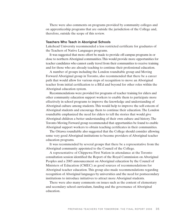There were also comments on programs provided by community colleges and on apprenticeship programs that are outside the jurisdiction of the College and, therefore, outside the scope of this review.

#### **Teachers Who Teach in Aboriginal Schools**

Lakehead University recommended a less restricted certificate for graduates of the Teachers of Native Languages programs.

It was suggested that more effort be made to provide off-campus programs in or close to northern Aboriginal communities.This would provide more opportunities for teacher candidates who cannot easily travel from their communities to receive training and for those who are already teaching to continue their professional education.

A number of groups including the London roundtable group and Moving Forward Aboriginal group in Toronto, also recommended that there be a career path that would allow for various steps of recognition to move an Aboriginal teacher from initial certification to a BEd and beyond for other roles within the Aboriginal education system.

Recommendations were provided for programs of teacher training for elders and other community education support workers to enable them to participate more effectively in school programs to improve the knowledge and understanding of Aboriginal culture among students. This would help to improve the self-esteem of Aboriginal students and encourage them to continue their education. The London roundtable emphasized the need for elders to tell the stories that would give Aboriginal children a better understanding of their own culture and history. The Toronto Moving Forward group recommended that opportunities be found to enable Aboriginal support workers to obtain teaching certificates in their communities.

The Ottawa roundtable also suggested that the College should consider allowing some very good Aboriginal institutions to become providers of Aboriginal teacher education programs.

It was recommended by several groups that there be a representative from the Aboriginal community appointed to the Council of the College.

A representative of Chippewa First Nation in attendance at the Toronto consultation session identified the Report of the Royal Commission on Aboriginal Peoples and a 2005 announcement on Aboriginal education by the Council of Ministers of Education (CMEC) as good sources of recommendations for Aboriginal teacher education. This group also made recommendations regarding recognition of Aboriginal languages by universities and the need for postsecondary institutions to introduce initiatives to attract more Aboriginal students.

There were also many comments on issues such as the content of elementary and secondary school curriculum, funding and the governance of Aboriginal education.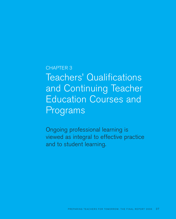# CHAPTER 3 Teachers' Qualifications and Continuing Teacher Education Courses and Programs

Ongoing professional learning is viewed as integral to effective practice and to student learning.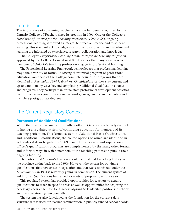# Introduction

The importance of continuing teacher education has been recognized by the Ontario College of Teachers since its creation in 1996. One of the College's *Standards of Practice for the Teaching Profession (1999, 2006)*, ongoing professional learning, is viewed as integral to effective practice and to student learning. This standard acknowledges that professional practice and self-directed learning are informed by experience, research, collaboration and knowledge.

The College's *Professional Learning Framework for the Teaching Profession*, approved by the College Council in 2000, describes the many ways in which members of Ontario's teaching profession engage in professional learning.

The Professional Learning Framework acknowledges that professional learning may take a variety of forms. Following their initial program of professional education, members of the College complete courses or programs that are identified in *Regulation 184/97, Teachers' Qualifications* or they stay current and up to date in many ways beyond completing Additional Qualification courses and programs. They participate in or facilitate professional development activities, mentor colleagues, join professional networks, engage in research activities and complete post-graduate degrees.

# The Current Regulatory Context

### **Purposes of Additional Qualifications**

While there are some similarities with Scotland, Ontario is relatively distinct in having a regulated system of continuing education for members of its teaching profession. This formal system of Additional Basic Qualifications and Additional Qualifications, the course options of which are identified in Schedules A-E in Regulation 184/97, and the principal's and supervisory officer's qualifications programs are complemented by the many other formal and informal ways in which members of the teaching profession pursue their ongoing learning.

The notion that Ontario's teachers should be qualified has a long history in the province dating back to the 1800s. However, the system for obtaining qualifications that now exists in legislation and that was established under the *Education Act* in 1974 is relatively young in comparison. The current system of Additional Qualifications has served a variety of purposes over the years.

This regulated system has provided opportunities for teachers to acquire qualifications to teach in specific areas as well as opportunities for acquiring the necessary knowledge base for teachers aspiring to leadership positions in schools and the education system generally.

The system has also functioned as the foundation for the current salary structure that is used for teacher remuneration in publicly funded school boards.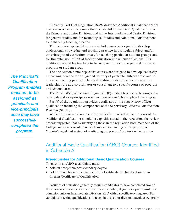Currently, Part II of Regulation 184/97 describes Additional Qualifications for teachers as one-session courses that include Additional Basic Qualifications in the Primary and Junior Divisions and in the Intermediate and Senior Divisions for general studies and for Technological Studies and Additional Qualifications for enhancing teaching practice.

Three-session specialist courses include courses designed to develop professional knowledge and teaching practice in particular subject and/or cross/integrated curriculum areas, for teaching particular student groups, and for the extension of initial teacher education in particular divisions. This qualification enables teachers to be assigned to teach the particular course, program or student group.

The one-session honour specialist courses are designed to develop leadership in teaching practice for design and delivery of particular subject areas and to enhance teaching practice. The qualification enables teachers to assume a leadership role as a co-ordinator or consultant to a specific course or program or divisional area.

The Principal's Qualification Program (PQP) enables teachers to be assigned as principals and vice-principals once they have successfully completed the program.

Part V of the regulation provides details about the supervisory officer qualification including the components of the Supervisory Officer's Qualification Program (SOQP).

While this review did not consult specifically on whether the purposes of the Additional Qualifications should be explicitly stated in the regulation, the review process suggested that by identifying these in the regulation both members of the College and others would have a clearer understanding of the purpose of Ontario's regulated system of continuing programs of professional education.

# Additional Basic Qualification (ABQ) Courses Identified in Schedule A

### **Prerequisites for Additional Basic Qualification Courses**

To enrol in an ABQ, a candidate must:

- hold an acceptable postsecondary degree
- hold or have been recommended for a Certificate of Qualification or an Interim Certificate of Qualification.

Faculties of education generally require candidates to have completed two or three courses in a subject area in their postsecondary degree as a prerequisite for admission into an Intermediate Division ABQ with a specific teaching area. For candidates seeking qualifications to teach in the senior divisions, faculties generally

*The Principal's Qualification Program enables teachers to be assigned as principals and vice-principals once they have successfully completed the program.*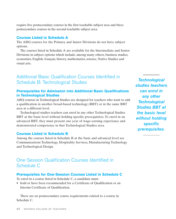require five postsecondary courses in the first teachable subject area and three postsecondary courses in the second teachable subject area.

### **Courses Listed in Schedule A**

The ABQ courses for the Primary and Junior Divisions do not have subject options.

The courses listed in Schedule A are available for the Intermediate and Senior Divisions in subject options which include, among many others, business studies, economics, English, français, history, mathematics, science, Native Studies and visual arts.

# Additional Basic Qualification Courses Identified in Schedule B: Technological Studies

### **Prerequisites for Admission into Additional Basic Qualifications in Technological Studies**

ABQ courses in Technological Studies are designed for teachers who want to add a qualification in another broad-based technology (BBT) or in the same BBT area at a different level.

Technological studies teachers can enrol in any other Technological Studies BBT at the basic level without holding specific prerequisites. To enrol in an advanced BBT, they must present one year of wage-earning experience and demonstrated competence in that Technological Studies area.

### **Courses Listed in Schedule B**

Among the courses listed in Schedule B at the basic and advanced level are Communications Technology, Hospitality Services, Manufacturing Technology and Technological Design.

# One-Session Qualification Courses Identified in Schedule C

### **Prerequisites for One-Session Courses Listed in Schedule C**

To enrol in a course listed in Schedule C, a candidate must:

• hold or have been recommended for a Certificate of Qualification or an Interim Certificate of Qualification.

There are no postsecondary course requirements related to a course in Schedule C.

*Technological studies teachers can enrol in any other Technological Studies BBT at the basic level without holding specific prerequisites.*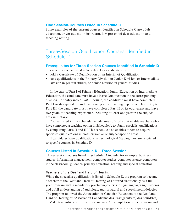### **One Session-Courses Listed in Schedule C**

Some examples of the current courses identified in Schedule C are adult education, driver education instructor, law, preschool deaf education and teaching writing.

# Three-Session Qualification Courses Identified in Schedule D

#### **Prerequisites for Three-Session Courses Identified in Schedule D**

To enrol in a course listed in Schedule D, a candidate must:

- hold a Certificate of Qualification or an Interim of Qualification
- have qualifications in the Primary Division or Junior Division, or Intermediate Division in general studies, or Senior Division in general studies.

In the case of Part I of Primary Education, Junior Education or Intermediate Education, the candidate must have a Basic Qualification in the corresponding division. For entry into a Part II course, the candidate must have completed Part I or its equivalent and have one year of teaching experience. For entry to Part III, the candidate must have completed Part II or its equivalent and have two years of teaching experience, including at least one year in the subject area in Ontario.

Courses listed in this schedule include areas of study that enable teachers who have completed a teaching option in Schedule A to obtain specialist qualifications by completing Parts II and III. This schedule also enables others to acquire specialist qualifications in cross-curricular or subject-specific areas.

If candidates have qualifications in Technological Studies, they are restricted to specific courses in Schedule D.

### **Courses Listed in Schedule D – Three Session**

Three-session courses listed in Schedule D include, for example, business studies–information management, computer studies–computer science, computers in the classroom, guidance, primary education, reading and special education.

#### **Teachers of the Deaf and Hard of Hearing**

While the specialist qualification is listed in Schedule D, the program to become a teacher of the Deaf and Hard of Hearing was offered traditionally as a fullyear program with a mandatory practicum, courses in sign language/ sign systems and a full understanding of audiology, auditory/aural and speech methodologies. The program followed the Association of Canadian Educators of the Deaf and Hard of Hearing or l'Association Canadienne des Enseignants(es) des Sourds(es) et Malentendants(es) certification standards. On completion of the program and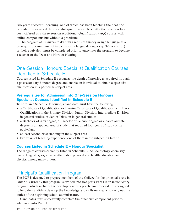two years successful teaching, one of which has been teaching the deaf, the candidate is awarded the specialist qualification. Recently, the program has been offered as a three-session Additional Qualification (AQ) course with online components but without a practicum.

The program at l'Université d'Ottawa requires fluency in sign language as a prerequisite: a minimum of five courses in langue des signes québécoise (LSQ) or their equivalent must be completed prior to entry into the program to become a teacher of the Deaf and Hard of Hearing.

# One-Session Honours Specialist Qualification Courses Identified in Schedule E

Courses listed in Schedule E recognize the depth of knowledge acquired through a postsecondary honours degree and enable an individual to obtain a specialist qualification in a particular subject area.

# **Prerequisites for Admission into One-Session Honours Specialist Courses Identified in Schedule E**

To enrol in a Schedule E course, a candidate must have the following:

- a Certificate of Qualification or Interim Certificate of Qualification with Basic Qualifications in the Primary Division, Junior Division, Intermediate Division in general studies or Senior Division in general studies
- a Bachelor of Arts degree, a Bachelor of Science degree or a baccalaureate degree in an applied area of study that required four years of study or its equivalent
- at least second class standing in the subject area
- two years of teaching experience, one of them in the subject in Ontario.

# **Courses Listed in Schedule E – Honour Specialist**

The range of courses currently listed in Schedule E include biology, chemistry, dance, English, geography, mathematics, physical and health education and physics, among many others.

# Principal's Qualification Program

The PQP is designed to prepare members of the College for the principal's role in Ontario. Currently this program is divided into two parts. Part I is an introductory program, which includes the development of a practicum proposal. It is designed to help the candidate develop the knowledge and skills necessary to carry out the duties of the beginning school administrator.

Candidates must successfully complete the practicum component prior to admission into Part II.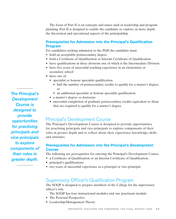The focus of Part II is on concepts and issues such as leadership and program planning. Part II is designed to enable the candidate to explore, in more depth, the theoretical and operational aspects of the principalship.

# **Prerequisites for Admission into the Principal's Qualification Program**

For candidates seeking admission to the PQP, the candidate must:

- hold an acceptable postsecondary degree
- hold a Certificate of Qualification or Interim Certificate of Qualification
- have qualifications in three divisions one of which is the Intermediate Division
- have five years of successful teaching experience in an elementary or secondary school
- have one of:
	- specialist or honour specialist qualification
		- half the number of postsecondary credits to qualify for a master's degree, or
		- an additional specialist or honour specialist qualification
	- a master's degree or doctorate
	- successful completion of graduate postsecondary credits equivalent to those that are required to qualify for a master's degree.

# Principal's Development Course

The Principal's Development Course is designed to provide opportunities for practising principals and vice-principals to explore components of their roles in greater depth and to reflect about their experience, knowledge, skills and attitudes.

# **Prerequisites for Admission into the Principal's Development Course**

The following are prerequisites for entering the Principal's Development Course:

- a Certificate of Qualification or an Interim Certificate of Qualification,
- principal's qualifications
- two years of successful experience as a principal or vice-principal.

# Supervisory Officer's Qualification Program

The SOQP is designed to prepare members of the College for the supervisory officer's role.

The SOQP has four instructional modules and one practicum module:

- The Personal Perspective
- Leadership/Management Theory

*The Principal's Development Course is designed to provide opportunities for practising principals and vice-principals to explore components of their roles in greater depth.*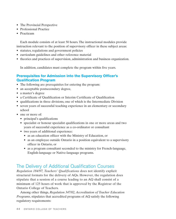- The Provincial Perspective
- Professional Practice
- Practicum

Each module consists of at least 50 hours. The instructional modules provide instruction relevant to the position of supervisory officer in these subject areas:

- statutes, regulations and government policies
- curriculum guidelines and other reference material
- theories and practices of supervision, administration and business organization.

In addition, candidates must complete the program within five years.

# **Prerequisites for Admission into the Supervisory Officer's Qualification Program**

- The following are prerequisites for entering the program:
- an acceptable postsecondary degree,
- a master's degree
- a Certificate of Qualification or Interim Certificate of Qualification
- qualifications in three divisions, one of which is the Intermediate Division
- seven years of successful teaching experience in an elementary or secondary school
- one or more of:
	- principal's qualifications
	- specialist or honour specialist qualifications in one or more areas and two years of successful experience as a co-ordinator or consultant
	- two years of additional experience:
		- as an education officer with the Ministry of Education, or
		- as an employee outside Ontario in a position equivalent to a supervisory officer in Ontario, or
		- as a program consultant seconded to the ministry for French-language, English-language or Native-language programs.

# The Delivery of Additional Qualification Courses

*Regulation 184/97, Teachers' Qualifications* does not identify explicit structural formats for the delivery of AQs. However, the regulation does stipulate that a session of a course leading to an AQ shall consist of a minimum of 125 hours of work that is approved by the Registrar of the Ontario College of Teachers.

Among other things, *Regulation 347/02, Accreditation of Teacher Education Programs*, stipulates that accredited programs of AQ satisfy the following regulatory requirements: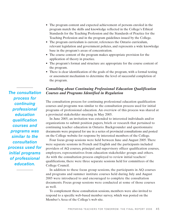- The program content and expected achievement of persons enroled in the program match the skills and knowledge reflected in the College's Ethical Standards for the Teaching Profession and the Standards of Practice for the Teaching Profession and in the program guidelines issued by the College.
- The program curriculum is current, references the Ontario curriculum, relevant legislation and government policies, and represents a wide knowledge base in the program's areas of concentration.
- The course content of the program makes appropriate provision for the application of theory in practice.
- The program's format and structure are appropriate for the course content of the program.
- There is clear identification of the goals of the program, with a formal testing or assessment mechanism to determine the level of successful completion of the program.

# *Consulting about Continuing Professional Education Qualification Courses and Programs Identified in Regulation*

The consultation process for continuing professional education qualification courses and programs was similar to the consultation process used for initial programs of professional education. An overview of this process was shared at a provincial stakeholder meeting in May 2005.

In June 2005, an invitation was extended to interested individuals and/or organizations to submit position papers, briefs or research that pertained to continuing teacher education in Ontario. Backgrounder and questionnaire documents were prepared for use in a series of provincial consultations and posted on the College website for response by interested members of the College.

Four focus group sessions were held between June and August 2005. There were separate sessions in French and English and the participants included providers of AQ courses, principal and supervisory officer qualification courses, employers, representatives from education stakeholder groups and others. As with the consultation process employed to review initial teachers' qualifications, there were three separate sessions held for committees of the College Council.

In addition to these focus group sessions, the participants in AQ courses and programs and summer institute courses held during July and August 2005 were introduced to and encouraged to complete the consultation documents. Focus group sessions were conducted at some of those courses as well.

To complement these consultation sessions, members were also invited to respond to a specific web-based member survey, which was posted on the Member's Area of the College's web site.

*The consultation process for continuing professional education qualification courses and programs was similar to the consultation process used for initial programs of professional education.*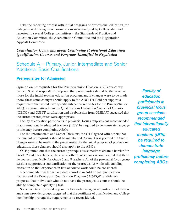Like the reporting process with initial programs of professional education, the data gathered during these consultations were analyzed by College staff and reported to several College committees – the Standards of Practice and Education Committee, the Accreditation Committee and the Registration Appeals Committee.

# *Consultation Comments about Continuing Professional Education Qualification Courses and Programs Identified in Regulation*

# Schedule A – Primary, Junior, Intermediate and Senior Additional Basic Qualifications

### **Prerequisites for Admission**

Opinion on prerequisites for the Primary/Junior Division ABQ courses was divided. Several respondents proposed that prerequisites should be the same as those for the initial teacher education program, and if changes were to be made there, these same changes should apply to the ABQ. OTF did not support a requirement that would have specific subject prerequisites for the Primary/Junior ABQ. Representatives from the Qualifications Evaluation Council of Ontario (QECO) and OSSTF certification and a submission from OISE/UT suggested that the current prerequisites were appropriate.

Faculty of education participants in provincial focus group sessions recommended that internationally educated teachers (IETs) be required to demonstrate language proficiency before completing ABQs.

For the Intermediate and Senior Divisions, the OTF agreed with others that the current prerequisites should be maintained. Again, it was pointed out that if changes were to be made to the prerequisites for the initial program of professional education, these changes should also apply to the ABQs.

OTF pointed out that the current prerequisites sometimes create a barrier for Grade 7 and 8 teachers, while several other participants recommended that there be courses specifically for Grade 7 and 8 teachers. All of the provincial focus group sessions supported a standardization of the prerequisites while still enabling discretion so that experience in lieu of course work could be considered.

Recommendations from candidates enroled in Additional Qualification courses and the Principal's Qualification Program (AQ/PQP candidates) proposed that individuals who do not have the prerequisite courses should be able to complete a qualifying test.

Some faculties expressed opposition to standardizing prerequisites for admission and some provider groups suggested that the certificate of qualification and College membership prerequisite requirements be reconsidered.

*Faculty of education participants in provincial focus group sessions recommended that internationally educated teachers (IETs) be required to demonstrate language proficiency before completing ABQs.*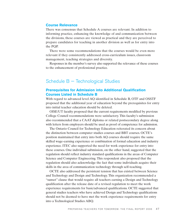#### **Course Relevance**

There was consensus that Schedule A courses are relevant. In addition to informing practice, enhancing the knowledge of and communication between the divisions, these courses are viewed as practical and they are perceived to prepare candidates for teaching in another division as well as for entry into the PQP.

There were some recommendations that the courses would be even more relevant if they consistently addressed cross-curriculum issues, classroom management, teaching strategies and diversity.

Responses in the member's survey also supported the relevance of these courses to the enhancement of professional practice.

# Schedule B — Technological Studies

### **Prerequisites for Admission into Additional Qualification Courses Listed in Schedule B**

With regard to advanced level AQ identified in Schedule B, OTF and OSSTF proposed that the additional year of education beyond the prerequisites for entry into initial teacher education should be deleted.

OISE/UT faculty proposed that the current requirements modified by previous College Council recommendations were satisfactory. This faculty's submission also recommended that a CAAT diploma or related postsecondary degree along with letters from employers should be used as proof of competence for admission.

The Ontario Council for Technology Education reiterated its concern about the distinction between computer studies courses and BBT courses. OCTE's position maintained that entry into both AQ courses should require the same skilled wage-earning experience or combination of formal education and industry experience. ITEC also supported the need for work experience for entry into these courses. One individual submission, on the other hand, suggested that the regulation should reflect industry standard qualifications in the areas of Computer Science and Computer Engineering. This respondent also proposed that the regulation should also acknowledge the fact that some individuals acquire their skills in the area of communication technology through self-teaching.

OCTE also addressed the persistent tension that has existed between Science and Technology and Design and Technology. This organization recommended a "sunset" clause that would require all teachers earning a Design and Technology qualification after the release date of a revised regulation to meet the work experience requirements for basic/advanced qualifications. OCTE suggested that general studies teachers who have achieved Design and Technology qualifications should not be deemed to have met the work experience requirements for entry into a Technological Studies ABQ.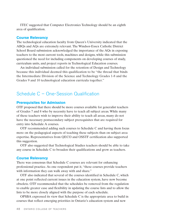ITEC suggested that Computer Electronics Technology should be an eighth area of qualification.

#### **Course Relevancy**

The technological education faculty from Queen's University indicated that the ABQs and AQs are extremely relevant. The Windsor-Essex Catholic District School Board submission acknowledged the importance of the AQs in exposing teachers to the most current tools, machines and designs, while this submission questioned the need for including components on developing courses of study, curriculum units, and project reports in Technological Education courses.

An individual submission called for the retention of Design and Technology because this individual deemed this qualification to be "the thread that binds the Intermediate Division of the Science and Technology Grades 1-8 and the Grades 9 and 10 technological education curricula together."

# Schedule C – One-Session Qualification

#### **Prerequisites for Admission**

OTF proposed that there should be more courses available for generalist teachers of Grades 7 and 8 who by necessity have to teach all subject areas. While many of these teachers wish to improve their ability to teach all areas, many do not have the necessary postsecondary subject prerequisites that are required for entry into Schedule A courses.

OTF recommended adding such courses to Schedule C and having them focus more on the pedagogical aspects of teaching these subjects than on subject area expertise. Representatives from QECO and OSSTF certification also supported this suggestion.

OTF also suggested that Technological Studies teachers should be able to take any course in Schedule C to broaden their qualifications and grow as teachers.

#### **Course Relevancy**

There was consensus that Schedule C courses are relevant for enhancing professional practice. As one respondent put it, "these courses provide teachers with information they can walk away with and share."

OTF also indicated that several of the courses identified in Schedule C, which at one point reflected current issues in the education system, have now become obsolete. OTF recommended that the schedules be removed from the regulation to enable greater ease and flexibility in updating the course lists and to allow the lists to be more closely aligned with the purpose of each schedule.

OPSBA expressed its view that Schedule C is the appropriate area to build in courses that reflect emerging priorities in Ontario's education system and new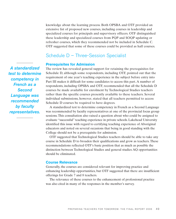knowledge about the learning process. Both OPSBA and OTF provided an extensive list of proposed new courses, including courses in leadership and specialized courses for principals and supervisory officers. OTF distinguished these leadership and specialized courses from PQP and SOQP updating or refresher courses, which they recommended not be included in Schedule C. OTF suggested that some of these courses could be provided as half courses.

# Schedule D – Three-Session Specialist

### **Prerequisites for Admission**

The review has revealed general support for retaining the prerequisites for Schedule D, although some respondents, including OTF, pointed out that the requirement of one year's teaching experience in the subject before entry into Part III makes it difficult for some candidates to access this part. A number of respondents, including OPSBA and OTF, recommended that all the Schedule D courses be made available for enrolment by Technological Studies teachers rather than the specific courses presently available to these teachers. Several individual submissions, however, stated that all teachers permitted to access Schedule D courses be required to have degrees.

A standardized test to determine competency in French as a Second Language was recommended by faculty representatives at one of the provincial focus group sessions. This consultation also raised a question about who could be assigned to evaluate "successful" teaching experience in private schools. Lakehead University identified this issue with regard to certifying teaching experience of Aboriginal educators and noted on several occasions that being in good standing with the College should not be a prerequisite for admission.

OTF suggested that Technological Studies teachers should be able to take any course in Schedule D to broaden their qualifications and grow as teachers. These recommendations reflected OTF's basic position that as much as possible the distinction between Technological Studies and general studies AQ opportunities should be eliminated.

### **Course Relevance**

Generally, the courses are considered relevant for improving practice and enhancing leadership opportunities, but OTF suggested that there are insufficient offerings for Grade 7 and 8 teachers.

The relevance of these courses to the enhancement of professional practice was also cited in many of the responses in the member's survey.

*A standardized test to determine competency in French as a Second Language was recommended by faculty representatives.*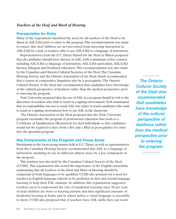### *Teachers of the Deaf and Hard of Hearing*

#### **Prerequisites for Entry**

Many of the respondents identified the need for all teachers of the Deaf to be fluent in ASL/LSQ prior to entry to the program. This recommendation was made to ensure that deaf children are not prevented from accessing instruction in ASL/LSQ by a lack of teachers able to use ASL/LSQ as a language of instruction.

Representatives from the E.C. Drury School for the Deaf in Milton proposed that all candidates should have fluency in ASL, with a minimum of five courses, including ASL/LSQ as language of instruction, ASL/LSQ curriculum, ASL/LSQ literacy, bilingual and bicultural education. This recommendation was also made by the Canadian and Ontario Cultural Societies of the Deaf, The Canadian Hearing Society and the Ontario Association of the Deaf, which recommended that a course in comparative linguistics also be a prerequisite. The Ontario Cultural Society of the Deaf also recommended that candidates have knowledge of the cultural perspective of deafness rather than the medical perspective prior to entering the program.

York University proposed that the use of ASL in a program should be left to the discretion of teachers who wish to teach in a signing environment. York maintained that its responsibility was not to teach ASL but rather to teach candidates who wish to teach in a signing environment how to use ASL in the classroom.

The Ontario Association of the Deaf proposed that the York University program reconsider the program of professional education that leads to a Certificate of Qualification (Restricted) for deaf individuals so that candidates would not be required to have both a BA and a BEd as prerequisites for entry into the specialist program.

#### **Key Components of the Program and Focus Areas**

Participants in the focus group session held at E.C. Drury, as well as representatives from the Canadian Hearing Society, recommended that ASL as a language of instruction, including its use in different subject areas, be a key component of the program.

This position was also held by the Canadian Cultural Society of the Deaf (CCSD). This organization also noted the importance of the English curriculum, maintaining that all teachers of the Deaf and Hard of Hearing should be competent in both languages to be qualified. CCSD also pointed out a need for teachers in English-language schools to be proficient in first and second-language learning to help their ESL students. In addition, this organization suggested teachers need to understand the role of incidental learning since 90 per cent of deaf children are born to hearing parents and miss significant amounts of incidental learning at home and in school unless a visual language is accessible to them. CCSD also proposed that if teachers have ASL skills, they can teach

*The Ontario Cultural Society of the Deaf also recommended that candidates have knowledge of the cultural perspective of deafness rather than the medical perspective prior to entering the program.*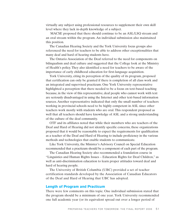virtually any subject using professional resources to supplement their own skill level where they lack in-depth knowledge of a subject.

MACSE proposed that there should continue to be an ASL/LSQ stream and an oral stream within the program. An individual submission also maintained this position.

The Canadian Hearing Society and the York University focus groups also referenced the need for teachers to be able to address other exceptionalities that many deaf and hard of hearing students have.

The Ontario Association of the Deaf referred to the need for components on bilingualism and deaf culture and suggested that the College look at the Ministry of Health's policy. They also identified a need for teachers to be aware of the importance of early childhood education for first-language acquisition.

York University, citing its perception of the quality of its program, proposed that certification can only be granted if there is completion of all class work and an integrated and supervised practicum. One York University representative highlighted a perception that there needed to be a focus on text-based teaching because, in the view of this representative, deaf people who cannot work with text are seriously disadvantaged in using the Internet and other text-based information sources. Another representative indicated that only the small number of teachers working in provincial schools need to be highly competent in ASL since other teachers work mostly with students who are oral. This respondent proposed as well that all teachers should have knowledge of ASL and a strong understanding of the culture of the deaf community.

OTF and its affiliates noted that while their members who are teachers of the Deaf and Hard of Hearing did not identify specific concerns, these organizations proposed that it would be reasonable to expect the requirements for qualification as a teacher of the Deaf and Hard of Hearing to include proficiency in the various methods and technologies that enable students to communicate.

Like York University, the Minister's Advisory Council on Special Education recommended that a practicum should be a component of each part of the program.

The Canadian Hearing Society also recommended a foundation course in "Linguistics and Human Rights Issues – Education Rights for Deaf Children," as well as anti-discrimination education to learn proper attitudes toward deaf and hard of hearing people.

The University of British Columbia (UBC) provided a set of teacher certification standards developed by the Association of Canadian Educators of the Deaf and Hard of Hearing that UBC has adopted.

#### **Length of Program and Practicum**

There were few comments on this topic. One individual submission stated that the program should be a minimum of one year. York University recommended one full academic year (or its equivalent spread out over a longer period of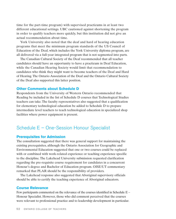time for the part-time program) with supervised practicums in at least two different educational settings. UBC cautioned against shortening the program in order to qualify teachers more quickly, but this institution did not give an actual recommendation about time.

York University also noted that the deaf and hard of hearing education programs that meet the minimum program standards of the US Council of Education of the Deaf, which includes the York University diploma program, are all delivered via a full-year integrated program that is not segmented into parts.

The Canadian Cultural Society of the Deaf recommended that all teacher candidates should have an opportunity to have a practicum in Deaf Education, while the Canadian Hearing Society would limit that recommendation to candidates who think they might want to become teachers of the Deaf and Hard of Hearing. The Ontario Association of the Deaf and the Ontario Cultural Society of the Deaf also supported this latter position.

#### **Other Comments about Schedule D**

Respondents from the University of Western Ontario recommended that Reading be included in the list of Schedule D courses that Technological Studies teachers can take. The faculty representatives also suggested that a qualification for elementary technological education be added to Schedule D to prepare intermediate level teachers to teach technological education in specialized shop facilities where power equipment is present.

# Schedule E – One-Session Honour Specialist

#### **Prerequisites for Admission**

The consultation suggested that there was general support for maintaining the existing prerequisites, although the Ontario Association for Geographic and Environmental Education suggested that one or two courses could be replaced with or combined with work-related experience or teaching experience specific to the discipline. The Lakehead University submission requested clarification regarding the pre-requisite course requirement for candidates in a concurrent Honour's degree and Bachelor of Education program. OISE/UT commentary remarked that PLAR should be the responsibility of providers.

The Lakehead response also suggested that Aboriginal supervisory officials should be able to certify the teaching experience of Aboriginal educators.

#### **Course Relevance**

Few participants commented on the relevance of the courses identified in Schedule E – Honour Specialist. However, those who did comment perceived that the courses were relevant to professional practice and to leadership development in particular.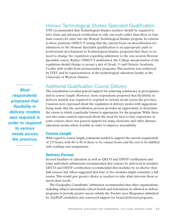# Honour Technological Studies Specialist Qualification

OTF recommended that Technological Studies teachers should be required to have basic and advanced certification in only one trade rather than three or four basic courses for entry into the Honour Technological Studies program. In contrast to these positions, OISE/UT, noting that the current focus on diversification for admission to the Honour Specialist qualification is an appropriate path to professional development in Technological Studies, proposed that there is no need to change the regulation regarding admission to the one-session Honour Specialist course. Rather, OISE/UT maintained, the College interpretation of the regulation should change to accept a mix of Grade 13 and Ontario Academic Credits with credits from postsecondary programs. This position was reinforced by ITEC and by representatives of the technological education faculty at the University of Western Ontario.

*Most respondents proposed that flexibility in delivery models was required in order to respond to various needs across the province.* 

# Additional Qualification Course Delivery

The consultation revealed general support for achieving consistency in prerequisites and in course length. However, most respondents proposed that flexibility in delivery models was required to respond to various needs across the province. Cautions were expressed about the regulation of delivery modes with suggestions being made that the accreditation process provides an opportunity to determine the extent to which a particular format is appropriate for the program. While there was also some caution expressed about the need for face-to-face experience in some courses, there was general support for using electronic and other distance education means where feasible in order to improve accessibility.

#### **Course Length**

With regard to course length, comments tended to support the current requirement of 125 hours, with 80 or 90 of these to be contact hours and the rest to be fulfilled with readings and assignments.

### **Delivery Format**

Several faculties of education as well as QECO and OSSTF certification and some individual submissions recommended that courses be delivered in modules. QECO and OSSTF certification recommended that modules be no shorter than half courses, but others suggested that four or five modules might constitute a full course. This would give greater choice to teachers to take what interests them or meets their needs.

The Geography Consultants' submission recommended that other organizations, including subject associations, school boards and federations, be allowed to deliver programs to provide greater access outside the Toronto area. Responses submitted by AQ/PQP candidates also conveyed support for board-delivered programs.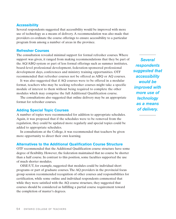#### **Accessibility**

Several respondents suggested that accessibility would be improved with more use of technology as a means of delivery. A recommendation was also made that providers co-ordinate the course offerings to ensure accessibility to a particular program from among a number of areas in the province.

### **Refresher Courses**

The consultation revealed minimal support for formal refresher courses. Where support was given, it ranged from making recommendations that they be part of the AQ/ABQ system or part of less formal offerings such as summer institutes, board-level professional development, federation-sponsored professional development days, conferences and ministry training opportunities. OTF recommended that refresher courses not be offered as ABQ or AQ courses.

It was also suggested that if AQ courses were to be offered in a modular format, teachers who may be seeking refresher courses might take a specific module of interest to them without being required to complete the other modules which may comprise the full Additional Qualification course.

The consultations also suggested that online delivery may be an appropriate format for refresher courses.

### **Adding Special Topic Courses**

A number of topics were recommended for addition to appropriate schedules. Again, it was proposed that if the schedules were to be removed from the regulation, they could be updated more regularly and special topics could be added to appropriate schedules.

In consultations at the College, it was recommended that teachers be given more opportunity to direct their own learning.

### **Alternatives to the Additional Qualification Course Structure**

OTF recommended that the Additional Qualification course structure have some degree of flexibility. However, the federation maintained that no course be shorter than a half course. In contrast to this position, some faculties supported the use of much shorter modules.

OISE/UT, for example, suggested that modules could be individual short programs or part of graduate courses. The AQ providers in the provincial focus group session recommended recognition of other courses and responsibilities for certification, while some online and individual respondents commented that while they were satisfied with the AQ course structure, they suggested that courses should be considered as fulfilling a partial course requirement toward the completion of master's degrees.

*Several respondents suggested that accessibility would be improved with more use of technology as a means of delivery.*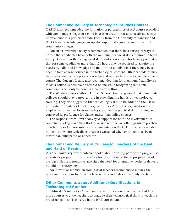#### **The Format and Delivery of Technological Studies Courses**

OSSTF also recommended the formation of partnerships of AQ course providers with community colleges or school boards in order to set up specialized centres of excellence in a particular trade. Faculty from the University of Windsor and the Ottawa French-language group also supported a greater involvement of community colleges.

Queen's University faculty recommended that there be a variety of ways to ensure that candidates have both the minimum technical skills required to teach a subject as well as the pedagogical skills and knowledge. This faculty pointed out that for some candidates more than 120 hours may be required to acquire the necessary skills and knowledge and that for these individuals, there may be a need to take college courses in the technological content. Other candidates may be able to demonstrate prior knowledge and require less time to complete the course. The Queen's faculty also recommended that for maximum flexibility, as much a course as possible be offered online while recognizing that some components can only be done in a hands-on setting.

The Windsor Essex Catholic District School Board suggested that community colleges should play a greater role in providing the hands-on technological training. They also suggested that the colleges should be added to the list of accredited providers of Technological Studies AQs. This organization also emphasized a need to focus on pedagogy as well as practical skills training and conveyed its preference for classes rather than online courses.

The response from UWO conveyed support for both the involvement of community colleges and the effort to include more online offerings where practical.

A Northern Ontario submission commented on the lack of courses available in the north where typically courses are cancelled when enrolment has been lower than anticipated or hoped for.

### **The Format and Delivery of Courses for Teachers of the Deaf and Hard of Hearing**

A York University representative spoke about offering part of the program as a master's program for candidates who have obtained the appropriate grade averages. This representative also cited the need for alternative modes of delivery but did not specify any.

An individual submission from a deaf teacher recommended moving the program off-campus to the schools were the candidates are already teaching.

## **Other Comments about Additional Qualifications in Technological Studies**

The Minister's Advisory Council on Special Education recommended adding more courses to allow teachers to upgrade their technological skills to teach the broad range of skills covered in the BBT curriculum.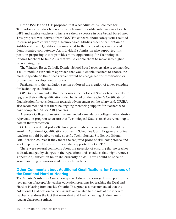Both OSSTF and OTF proposed that a schedule of AQ courses for Technological Studies be created which would identify subdivisions of each BBT and enable teachers to increase their expertise in one broad-based area. This proposal was derived from OSSTF's concern about safety issues related to current practice whereby a Technological Studies teacher can obtain an Additional Basic Qualification unrelated to their area of experience and demonstrated competence. An individual submission also supported this position proposing that it provides more opportunity for Technological Studies teachers to take AQs that would enable them to move into higher salary categories.

The Windsor-Essex Catholic District School Board teachers also recommended a multi-module curriculum approach that would enable teachers to choose the module specific to their needs, which would be recognized for certification or professional development purposes.

Participants in the validation session endorsed the creation of a new schedule for Technological Studies.

OPSBA recommended that the courses Technological Studies teachers take to upgrade their skills qualifications also be listed on the teacher's Certificate of Qualification for consideration towards advancement on the salary grid. OPSBA also recommended that there be ongoing mentoring support for teachers who have completed AQ or ABQ courses.

A Seneca College submission recommended a mandatory college-trade-industry rejuvenation program to ensure that Technological Studies teachers remain up to date in their profession.

OTF proposed that just as Technological Studies teachers should be able to enrol in Additional Qualification courses in Schedules C and D, general studies teachers should be able to take specific Technological Studies Additional Qualification courses if they meet the required proof of skill competence and work experience. This position was also supported by OSSTF.

There were several comments about the necessity of ensuring that no teacher is disadvantaged by changes in the regulations and schedules that might remove a specific qualification he or she currently holds. There should be specific grandparenting provisions made for such teachers.

### **Other Comments about Additional Qualifications for Teachers of the Deaf and Hard of Hearing**

The Minister's Advisory Council on Special Education conveyed its support for the recognition of acceptable teacher education programs for teaching the Deaf and Hard of Hearing from outside Ontario. This group also recommended that the Additional Qualification courses include one related to the role of the itinerant teacher to address the fact that many deaf and hard of hearing children are in regular classroom settings.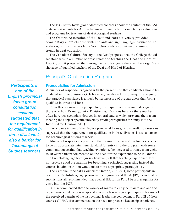The E.C. Drury focus group identified concerns about the content of the ASL materials, standards for ASL as language of instruction, competency evaluations and programs for teachers of deaf Aboriginal students.

The Ontario Association of the Deaf and York University provided commentary about children with implants and sign language instruction. In addition, representatives from York University also outlined a number of trends in deaf education.

The Canadian Cultural Society of the Deaf proposed that the College should set standards in a number of areas related to teaching the Deaf and Hard of Hearing and it projected that during the next few years, there will be a significant shortage of qualified teachers of the Deaf and Hard of Hearing.

# Principal's Qualification Program

### **Prerequisites for Admission**

A number of respondents agreed with the prerequisite that candidates should be qualified in three divisions. OTF, however, questioned this prerequisite, arguing that practical experience is a much better measure of preparedness than being qualified in three divisions.

From this organization's perspective, this requirement discriminates against those who hold Primary/Junior Division qualifications because these teachers often have postsecondary degrees in general studies which prevents them from meeting the subject-specific university credit prerequisites for entry into the Intermediate Division ABQ.

Participants in one of the English provincial focus group consultation sessions suggested that the requirement for qualification in three divisions is also a barrier for Technological Studies teachers.

Almost all respondents perceived the required five years' teaching experience to be an appropriate minimum standard for entry into the program, with some comments suggesting that teaching experience be increased to range from eight to 10 years. Others commented on the need for the experience to be in Ontario. The French-language focus group, however, felt that teaching experience does not provide good preparation for becoming a principal, suggesting instead that courses in administration would make more appropriate prerequisites.

The Catholic Principal's Council of Ontario, OISE/UT, some participants in one of the English-language provincial focus groups, and the AQ/PQP candidates' submissions all recommended that Special Education Part I be a prerequisite for entry into the PQP.

OTF recommended that the variety of routes to entry be maintained and this organization cited the double specialist as a particularly good prerequisite because of the perceived benefits of the instructional leadership component in Part III of those courses. OPSBA also commented on the need for practical leadership experience.

*Participants in one of the English provincial focus group consultation sessions suggested that the requirement for qualification in three divisions is also a barrier for Technological Studies teachers.*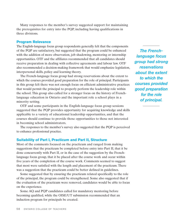Many responses to the member's survey suggested support for maintaining the prerequisites for entry into the PQP, including having qualifications in three divisions.

#### **Program Relevance**

The English-language focus group respondents generally felt that the components of the PQP are satisfactory, but suggested that the program could be enhanced with the addition of more observation, job shadowing, mentoring or internship opportunities. OTF and the affiliates recommended that all candidates should receive preparation in dealing with collective agreements and labour law. OTF also recommended a decision-making framework that would emphasize legislation, interpersonal skills, policy and learning theory.

The French-language focus group had strong reservations about the extent to which the courses provided good preparation for the role of principal. Participants in this group felt there was not enough focus on efficient administrative practices that would permit the principal to properly perform the leadership role within the school. This group also called for a stronger focus on the history of Frenchlanguage education in Ontario and the important role a school plays in a minority setting.

OTF and some participants in the English-language focus group sessions suggested that the PQP provides opportunity for acquiring knowledge and skills applicable to a variety of educational leadership opportunities, and that the courses should continue to provide those opportunities to those not interested in becoming school administrators.

The responses to the member's survey also suggested that the PQP is perceived to enhance professional practice.

### **Suitability of Part I, Practicum and Part II, Structure**

Most of the comments focused on the practicum and ranged from making suggestions that the practicum be completed before entry into Part II, that it be done concurrently with Part II, or in the case of the suggestion by the Frenchlanguage focus group, that it be placed after the course work and occur within five years of the completion of the course work. Comments seemed to suggest that most were satisfied with the length and placement of the practicum. There was a suggestion that the practicum could be better defined in guidelines.

Some suggested that by ensuring the practicum related specifically to the role of the principal, the program could be strengthened. Some also suggested that if the evaluation of the practicum were removed, candidates would be able to focus on the experience.

Some AQ and PQP candidates called for mandatory mentoring before becoming qualified, while the OISE/UT submission recommended that an induction program for principals be created.

*The Frenchlanguage focus group had strong reservations about the extent to which the courses provided good preparation for the role of principal.*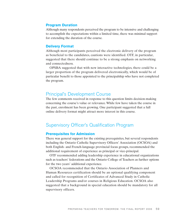#### **Program Duration**

Although many respondents perceived the program to be intensive and challenging to accomplish the expectations within a limited time, there was minimal support for extending the duration of the course.

#### **Delivery Format**

Although most participants perceived the electronic delivery of the program as beneficial to the candidates, cautions were identified. OTF, in particular, suggested that there should continue to be a strong emphasis on networking and connectedness.

OPSBA suggested that with new interactive technologies, there could be a larger proportion of the program delivered electronically, which would be of particular benefit to those appointed to the principalship who have not completed the program.

# Principal's Development Course

The few comments received in response to this question limits decision-making concerning the course's value or relevance. While few have taken the course in the past, enrolment has been growing. One participant suggested that a full online delivery format might attract more interest in this course.

# Supervisory Officer's Qualification Program

#### **Prerequisites for Admission**

There was general support for the existing prerequisites, but several respondents including the Ontario Catholic Supervisory Officers' Association (OCSOA) and both English- and French-language provincial focus groups, recommended the additional requirement of experience as principal or vice-principal.

OTF recommended adding leadership experience in educational organizations such as teachers' federations and the Ontario College of Teachers as further options for the two years' additional experience.

OCSOA recommended that the Ontario Association of Planners and Human Resources certification should be an optional qualifying component and called for recognition of Certificates of Advanced Study in Catholic Leadership Programs and/or courses in Religious Education. OCSOA also suggested that a background in special education should be mandatory for all supervisory officers.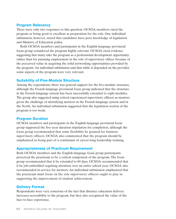### **Program Relevancy**

There were only two responses to this question. OCSOA members rated the program as being good to excellent as preparation for the role. One individual submission, however, stated that candidates have poor knowledge of legislation and Ministry of Education policy.

Both OCSOA members and participants in the English-language provincial focus group considered the program highly relevant. OCSOA cited evidence suggesting that many take the program as a professional development opportunity rather than for pursuing employment in the role of supervisory officer because of the perceived value in acquiring the solid networking opportunities provided by the program. An individual submission said that while it depended on the provider, some aspects of the program were very relevant.

### **Suitability of Five-Module Structure**

Among the respondents, there was general support for the five-module structure, although the French-language provincial focus group indicated that the structure in the French-language system has been successfully extended to eight modules. The group also suggested using retired experienced supervisory officers as mentors given the challenge of identifying mentors in the French-language system and in the North. An individual submission suggested that the legislation section of the program is too weak.

### **Program Duration**

OCSOA members and participants in the English-language provincial focus group supported the five-year duration stipulation for completion, although the focus group recommended that some flexibility be granted for business supervisory officers. OCSOA also commented that the program should be emphasized as being part of a continuum of career-long leadership training.

### **Appropriateness of Practicum Requirement**

Both OCSOA members and the English-language focus group participants perceived the practicum to be a critical component of the program. The focus group recommended that it be extended to 60 days. OCSOA recommended that it be job-embedded requiring attention over an entire school year. OCSOA also recommended in-service for mentors. An individual submission emphasized that the practicum must focus on the role supervisory officers ought to play in supporting the improvement of student achievement.

# **Delivery Format**

Respondents were very conscious of the fact that distance education delivery increases accessibility to the program, but they also recognized the value of the face-to-face experience.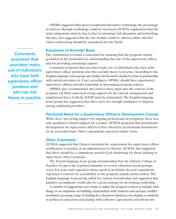OPSBA suggested that given exceptional interactive technology, the percentage of delivery through technology could be increased. OCSOA emphasized that the main components must be face-to-face to encourage rich discussion and networking, but they also suggested that the law module could be offered online and that video-conferencing should be considered for the North.

#### **Expansion of Provider Base**

The consultation revealed a consensus for ensuring that the program remain grounded in the profession for understanding the role of the supervisory officer and for providing continuing support.

Comments proposed that providers make use of individuals who have held supervisory officer positions and who can link theory to practice. According to the English-language focus group, any faculty involvement should be done in partnership with current providers or, if not, according to OPSBA, should have experienced supervisory officers provide leadership in determining program content.

OPSBA also recommended that trustees have input into the content of the program. OCSOA expressed strong support for the current arrangement and emphasized that a Catholic SOQP must be maintained. The English-language focus group also suggested that there were not enough candidates to disperse among additional providers.

#### **Perceived Need for a Supervisory Officer's Development Course**

While there was strong support for ongoing professional development, there was only qualified or limited support for a course. OCSOA proposed that professional development for supervisory officers is best offered by professional associations on an as-needed basis. Other respondents expressed similar views.

#### **Other Comments**

OCSOA suggested that Ontario maintain the requirement for supervisory officer certification to practise as an administrator in Ontario. OCSOA also suggested that there should be a compulsory period of job shadowing for those aspiring to supervisory officer positions.

The French-language focus group recommended that the Ontario College of Teachers be given the regulated mandate to review education needs perhaps every five years and respond to those needs in its bylaws. Several respondents expressed a concern for accessibility to the program outside urban centres. The English-language focus group called for courses in leadership and suggested that ministry secondments would also be a good strategy for developing leadership.

A number of suggestions were made to adjust the program content to include such things as an emphasis on building relationships with students and parents, conflict resolution, accessing range of funding for education initiatives, developing a sensitivity to politics in education and dealing with collective agreements and labour law.

*Comments proposed that providers make use of individuals who have held supervisory officer positions and who can link theory to practice.*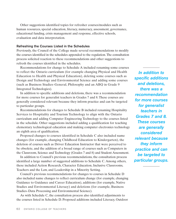Other suggestions identified topics for refresher courses/modules such as human resources, special education, literacy, numeracy, assessment, governance, educational funding, crisis management and response, effective schools, evaluation and data interpretation.

#### **Refreshing the Courses Listed in the Schedules**

Previously, the Council of the College made several recommendations to modify the courses identified in the schedules appended to the regulation. The consultation process solicited reaction to these recommendations and other suggestions to refresh the courses identified in the schedules.

Recommendations for change to Schedule A included renaming some courses to reflect the Ontario curriculum (for example changing Physical and Health Education to Health and Physical Education), deleting some courses such as Design and Technology and Environmental Science and adding some courses (such as Business Studies–General, Philosophy and an ABQ in Grade 9 Integrated Technologies).

In addition to specific additions and deletions, there was a recommendation for more courses for generalist teachers in Grades 7 and 8. These courses are generally considered relevant because they inform practice and can be targeted to particular groups.

Recommendations for changes to Schedule B included renaming Hospitality Services to Hospitality and Tourism Technology to align with the Ontario curriculum and adding Computer Engineering Technology to the courses listed in the schedule. Other suggestions included adding a qualification for teaching elementary technological education and making computer electronics technology an eighth area of qualification.

Proposed changes to courses identified in Schedule C also included name changes (for example, changing Childhood Education to Kindergarten), the deletion of courses such as Driver Education Instructor that were perceived to be obsolete, and the addition of a broad range of courses such as Computers in the Classroom, Science and Technology (Grades 7 and 8) and Student Assessment.

In addition to Council's previous recommendations, the consultation process identified a large number of suggested additions to Schedule C. Among others, these included Action Research, Character Education, Inclusive Classrooms, Teachers and the Law, and Leadership in a Minority Setting.

Council's previous recommendations for changes to courses in Schedule D also included name changes to reflect curriculum change (for example, changing Guidance to Guidance and Career Education), additions (for example, Native Studies and Environmental Literacy) and deletions (for example, Business Studies–Data Processing and Environmental Science).

As with Schedule C, the consultation process also identified adjustments to the courses listed in Schedule D. Proposed additions included Literacy, Outdoor

*In addition to specific additions and deletions, there was a recommendation for more courses for generalist teachers in Grades 7 and 8. These courses are generally considered relevant because they inform practice and can be targeted to particular groups.*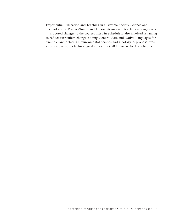Experiential Education and Teaching in a Diverse Society, Science and Technology for Primary/Junior and Junior/Intermediate teachers, among others.

Proposed changes to the courses listed in Schedule E also involved renaming to reflect curriculum change, adding General Arts and Native Languages for example, and deleting Environmental Science and Geology. A proposal was also made to add a technological education (BBT) course to this Schedule.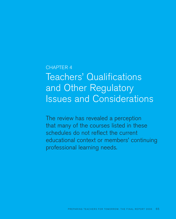# CHAPTER 4

# Teachers' Qualifications and Other Regulatory Issues and Considerations

The review has revealed a perception that many of the courses listed in these schedules do not reflect the current educational context or members' continuing professional learning needs.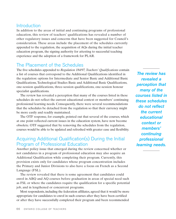# **Introduction**

In addition to the areas of initial and continuing programs of professional education, this review of teachers' qualifications has revealed a number of other regulatory issues and concerns that have been suggested for Council's consideration. These areas include the placement of the schedules currently appended to the regulation, the acquisition of AQs during the initial teacher education program, the signing authority for attesting to successful teaching experience and the adoption of a framework for PLAR.

# The Placement of the Schedules

The five schedules appended to *Regulation 184/97, Teachers' Qualifications* contain a list of courses that correspond to the Additional Qualifications identified in the regulation: options for Intermediate and Senior Basic and Additional Basic Qualifications, Technological Studies Basic and Additional Basic Qualifications, one-session qualifications, three-session qualifications, one-session honour specialist qualifications.

The review has revealed a perception that many of the courses listed in these schedules do not reflect the current educational context or members' continuing professional learning needs. Consequently, there were several recommendations that the schedules be detached from the regulation so that their currency might be more easily and readily maintained.

The OTF response, for example, pointed out that several of the courses, which at one point reflected current issues in the education system, have now become obsolete. OTF suggested that by removing the schedules from the regulation, courses would be able to be updated and refreshed with greater ease and flexibility.

# Acquiring Additional Qualification(s) During the Initial Program of Professional Education

Another policy issue that emerged during the review concerned whether or not candidates in a program of professional education may also acquire an Additional Qualification while completing their program. Currently, this provision exists only for candidates whose program concentration includes the Primary and Junior Divisions to also have a focus on French as a Second Language (FSL).

The review revealed that there is some agreement that candidates could enrol in ABQ and AQ courses before graduation in areas of special need such as FSL or where the candidates require the qualification for a specific potential job, and in lengthened or concurrent programs.

Most respondents, including the federation affiliates, agreed that it would be more appropriate for candidates to enrol in such courses after they have been certified or after they have successfully completed their program and been recommended

*The review has revealed a perception that many of the courses listed in these schedules do not reflect the current educational context or members' continuing professional learning needs.*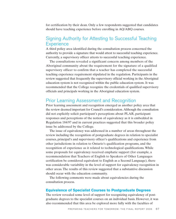for certification by their dean. Only a few respondents suggested that candidates should have teaching experience before enrolling in AQ/ABQ courses.

# Signing Authority for Attesting to Successful Teaching **Experience**

A third policy area identified during the consultation process concerned the authority to provide a signature that would attest to successful teaching experience. Currently, a supervisory officer attests to successful teaching experience.

The consultations revealed a significant concern among members of the Aboriginal community about the requirement for the signature of a qualified supervisory officer to confirm that a teacher has completed the successful teaching experience requirement stipulated in the regulation. Participants in the review suggested that frequently the supervisory official working in the Aboriginal education system is not recognized within the public education system. It was recommended that the College recognize the credentials of qualified supervisory officials and principals working in the Aboriginal education system.

# Prior Learning Assessment and Recognition

Prior learning assessment and recognition emerged as another policy area that the review deemed important for Council's consideration.Although the consultation did not explicitly solicit participant's perceptions about PLAR, participant responses and perceptions of the notion of equivalency as it is embedded in Regulation 184/97 and in current practices suggested that this broader policy issue be addressed by the College.

The issue of equivalency was addressed in a number of areas throughout the review including the recognition of postgraduate degrees in relation to specialist courses, principal's and supervisory officer's qualifications and experience from other jurisdictions in relation to Ontario's qualification programs, and the recognition of experience as it related to technological qualifications. While some proposals for equivalency received emphatic support (for example, a recommendation that Teachers of English to Speakers of Other Languages certification be considered equivalent to English as a Second Language), there was considerable variability in the level of support for equivalency recognition in other areas. The results of this review suggested that a substantive discussion should occur with the education community.

The following comments were made about equivalencies during the consultation process.

### **Equivalence of Specialist Courses to Postgraduate Degrees**

The review revealed some level of support for recognizing equivalency of postgraduate degrees to the specialist courses on an individual basis. However, it was also recommended that this area be explored more fully with the faculties of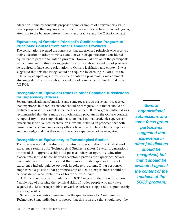education. Some respondents proposed some examples of equivalencies while others proposed that any assessment of equivalency would have to include giving attention to the balance between theory and practice and the Ontario context.

# **Equivalency of Ontario's Principal's Qualification Program to Principals' Courses from other Canadian Provinces**

The consultation revealed the consensus that experienced principals who received their education in other provinces could have their qualifications considered equivalent to part of the Ontario program. However, almost all of the participants who commented in this area suggested that principals educated out of province be required to have some orientation to Ontario legislation and context. It was suggested that this knowledge could be acquired by enroling in Part II of the PQP or by completing shorter specific orientation programs. Some comments also suggested that principals educated out of country be required to take the full PQP.

# **Recognition of Equivalent Roles in other Canadian Jurisdictions for Supervisory Officers**

Several organizational submissions and some focus group participants suggested that experience in other jurisdictions should be recognized, but that it should be evaluated against the content of the modules of the SOQP program. Further, it was recommended that there must be an orientation program on the Ontario context. A supervisory officer's organization also emphasized that academic supervisory officers must be qualified teachers. An individual submission proposed that both business and academic supervisory officers be required to have Ontario experience and knowledge and that their out-of-province experience not be recognized.

# **Recognition of Equivalency in Technological Studies**

The review revealed that discussion continues to occur about the kind of work experience required for Technological Studies teachers. Several organizations proposed that apprenticeships and postsecondary co-operative education placements should be considered acceptable proxies for experience. Several university faculties recommended that a more flexible approach to work experience include paid co-op work in college programs. Other responses emphasized a position that apprenticeship and co-op experiences should not be considered acceptable proxies for work experience.

A French-language representative of OCTE suggested that there be a more flexible way of assessing the technical skills of trades people who may have acquired the skills through hobbies or work experience as opposed to apprenticeship or college routes.

Several respondents commented on the qualifications for Communication Technology. Some individuals proposed that this is an area that should meet the

*Several organizational submissions and some focus group participants suggested that experience in other jurisdictions should be recognized, but that it should be evaluated against the content of the modules of the SOQP program.*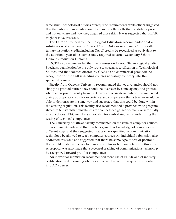same strict Technological Studies prerequisite requirements, while others suggested that the entry requirements should be based on the skills that candidates present and not on where and how they acquired those skills. It was suggested that PLAR might resolve this issue.

The Ontario Council for Technological Education recommended that a substitution of a mixture of Grade 13 and Ontario Academic Credits with tertiary institution credits, including CAAT credits, be recognized as equivalent to the additional year of academic study required to earn a Secondary School Honour Graduation Diploma.

OCTE also recommended that the one-session Honour Technological Studies Specialist qualification be the only route to specialist certification in Technological Studies, and that courses offered by CAATs and commercial providers be recognized for the skill upgrading courses necessary for entry into the specialist courses.

Faculty from Queen's University recommended that equivalencies should not simply be granted; rather, they should be overseen by some agency and granted where appropriate. Faculty from the University of Western Ontario recommended giving appropriate credit for experience and competence that a teacher would be able to demonstrate in some way and suggested that this could be done within the existing regulation. This faculty also recommended a province-wide program structure to establish equivalences for competence gained formally or informally in workplaces. ITEC members advocated for centralizing and standardizing the testing of technical competence.

The University of Ottawa faculty commented on the issue of computer courses. Their comments indicated that teachers gain their knowledge of computers in different ways, and they suggested that teachers qualified in communications technology be allowed to teach computer courses. An individual submission also addressed this issue and suggested that there be some type of test or portfolio that would enable a teacher to demonstrate his or her competence in this area. A proposal was also made that successful teaching of communications technology be recognized toward proof of competence.

An individual submission recommended more use of PLAR and of industry certification in determining whether a teacher has met prerequisites for entry into AQ courses.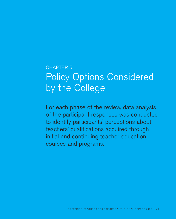# CHAPTER 5 Policy Options Considered by the College

For each phase of the review, data analysis of the participant responses was conducted to identify participants' perceptions about teachers' qualifications acquired through initial and continuing teacher education courses and programs.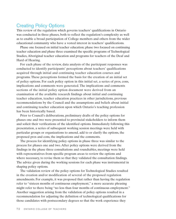# Creating Policy Options

This review of the regulation which governs teachers' qualifications in Ontario was conducted in three phases, both to reflect the regulation's complexity as well as to enable a broad participation of College members and others from the wider educational community who have a vested interest in teachers' qualifications.

Phase one focused on initial teacher education; phase two focused on continuing teacher education and phase three examined the specific programs of Technological Studies, Aboriginal teacher education and programs for teachers of the Deaf and Hard of Hearing.

For each phase of the review, data analysis of the participant responses was conducted to identify participants' perceptions about teachers' qualifications acquired through initial and continuing teacher education courses and programs. These perceptions formed the basis for the creation of an initial set of policy options. For each policy option in this initial set, a series of pros, cons, implications and comments were generated. The implications and comments sections of the initial policy option document were derived from an examination of the available research findings about initial and continuing teacher education, teacher education practices in other jurisdictions, previous recommendations by the Council and the assumptions and beliefs about initial and continuing teacher education upon which Ontario's teaching profession has been historically based.

Prior to Council's deliberations, preliminary drafts of the policy options for phases one and two were presented to provincial stakeholders to inform them and solicit their verifications of the identified options. Immediately following this presentation, a series of subsequent working session meetings were held with particular groups or organizations to amend, add to or clarify the options, the proposed pros and cons, the implications and the comments.

The process for identifying policy options in phase three was similar to the process for phases one and two. After policy options were derived from the findings in the phase three consultations and roundtables, meetings were held with representatives from specific program areas to review the options and where necessary, to revise them so that they validated the consultation findings. The advice given during the working sessions for each phase was instrumental in shaping policy options.

The validation review of the policy options for Technological Studies resulted in the creation and/or modification of several of the proposed regulation amendments. For example, it was proposed that rather than having the regulation refer to "sixteen months of continuous employment," a more accurate phrasing might refer to there being "no less than four months of continuous employment." Another suggestion arising from the validation of policy options resulted in a recommendation for adjusting the definition of technological qualifications for those candidates with postsecondary degrees so that the work experience they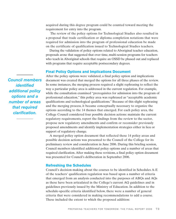acquired during this degree program could be counted toward meeting the requirement for entry into the program.

The review of the policy options for Technological Studies also resulted in a proposal that trade certification or diploma completion notations that were required for admission into the program of professional education be made on the certificate of qualification issued to Technological Studies teachers.

During the validation of policy options related to Aboriginal teacher education, proposals arose that suggested that over time, multi-session programs for teachers who teach in Aboriginal schools that require an OSSD be phased out and replaced with programs that require acceptable postsecondary degrees.

### **Final Policy Options and Implications Document**

After the policy options were validated, a final policy option and implications document was created that merged the options for all three phases of the review. In some instances, the merging process required a slight rephrasing to reflect the way a particular policy area is addressed in the current regulation. For example, while the consultation examined "prerequisites for admission into the program of professional education," this policy area was rephrased as "acceptable academic qualifications and technological qualifications." Because of this slight rephrasing and the merging process, it became conceptually necessary to organize the options according to the 14 themes that emerged. For each policy area, the College Council considered four possible decision actions: maintain the current regulatory requirements, report the findings from the review to the sector, propose new regulatory amendments and confirm or reconsider previously proposed amendments and identify implementation strategies either in lieu or support of regulatory change.

A merged policy option document that reflected these 14 policy areas and possible decision actions was presented to the Council of the College for its preliminary review and consideration in June 2006. During this briefing session, Council members identified additional policy options and a number of areas that required clarification. After making these revisions, a final policy option document was presented for Council's deliberation in September 2006.

#### **Refreshing the Schedules**

Council's decision-making about the courses to be identified in Schedules A-E of the teachers' qualification regulation was based upon a number of criteria that emerged from an analysis conducted into the purposes of ABQs and AQs as these have been articulated in the College's current AQ guidelines and in guidelines previously issued by the Ministry of Education. In addition to the schedule-specific criteria identified below, there were a number of general criteria that were considered in making recommendations to add a course. These included the extent to which the proposed addition:

*Council members identified additional policy options and a number of areas that required clarification.*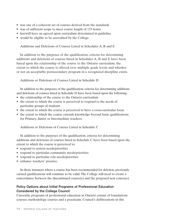- was one of a coherent set of courses derived from the standards
- was of sufficient scope to meet course length of 125 hours
- has/will have an agreed upon curriculum determined in guideline
- would be eligible to be accredited by the College.

Additions and Deletions of Courses Listed in Schedules A, B and E

In addition to the purposes of the qualification, criteria for determining additions and deletions of courses listed in Schedules A, B and E have been based upon the relationship of the course to the Ontario curriculum, the extent to which the course is offered over multiple grade levels and whether or not an acceptable postsecondary program in a recognized discipline exists.

Additions or Deletions of Courses Listed in Schedule D

In addition to the purposes of the qualification, criteria for determining additions and deletions of courses listed in Schedule D have been based upon the following:

- the relationship of the course to the Ontario curriculum
- the extent to which the course is perceived to respond to the needs of particular groups of students
- the extent to which the course is perceived to have a cross-curricular focus
- the extent to which the course extends knowledge beyond basic qualifications for Primary, Junior or Intermediate teachers.

Additions or Deletions of Courses Listed in Schedule C

In addition to the purposes of the qualification, criteria for determining additions and deletions of courses listed in Schedule C have been based upon the extent to which the course is perceived to:

- respond to system needs/priorities
- respond to particular community needs/priorities
- respond to particular role needs/priorities
- enhance teachers' practice.

In those instances where a course has been recommended for deletion, previously earned qualifications will continue to be valid. The College will need to create a concordance between the discontinued course $(s)$  and the proposed new course $(s)$ .

# **Policy Options about Initial Programs of Professional Education Considered by the College Council**

Currently, programs of professional education in Ontario consist of foundations courses, methodology courses and a practicum. Council's deliberations in this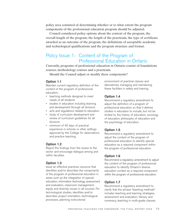policy area consisted of determining whether or to what extent the program components of the professional education program should be adjusted.

Council considered policy options about the content of the program, the overall length of the program, the length of the practicum, the type of certificate awarded as an outcome of the program, the definitions of acceptable academic and technological qualifications and the program structure and format.

# Policy Issue 1: Content of the Program of Professional Education in Ontario

Currently, programs of professional education in Ontario consist of foundations courses, methodology courses and a practicum.

Should the Council adjust or modify these components?

#### **Option 1.1**

Maintain current regulatory definition of the content of the program of professional education:

- teaching methods designed to meet needs of all students
- studies in education including learning and development through all divisions
- acts and regulations related to education
- study of curriculum development and review of curriculum guidelines for all divisions
- minimum of 40 days of practical experience in schools or other settings approved by the College for observations and practice teaching.

#### **Option 1.2**

Report the findings from the review to the sector and encourage dialogue among and within faculties.

#### **Option 1.3**

Issue an effective practices resource that identifies and/or describes the components of the program of professional education in areas such as the integration of special education, information technology, assessment and evaluation, classroom management, equity and diversity issues in all courses. For technological studies, identifies and/or describes project orientation, technological processes, planning instructional

environment of practical classes and laboratories, managing and maintaining these facilities in safety and training.

#### **Option 1.4**

Recommend a regulatory amendment to adjust the definition of a program of professional education so that it defines studies in education to include, but not be limited to, the history of education, sociology of education, philosophy of education and the psychology of education.

#### **Option 1.5**

Recommend a regulatory amendment to adjust the content of the program of professional education to identify special education as a required component within the program of professional education.

#### **Option 1.6**

Recommend a regulatory amendment to adjust the content of the program of professional education to identify Ontario's diverse education context as a required component within the program of professional education.

#### **Option 1.7**

Recommend a regulatory amendment to clarify that the phrase "teaching methods" includes teaching and learning strategies, assessment and evaluation, literacy and numeracy, teaching in multi-grade classes,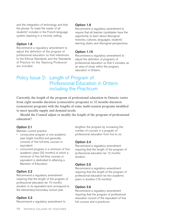and the integration of technology and that the phrase "to meet the needs of all students" includes in the French-language system, teaching in a minority setting.

#### **Option 1.8**

Recommend a regulatory amendment to adjust the definition of the program of professional education so that references to the Ethical Standards and the Standards of Practice for the Teaching Profession are included.

#### **Option 1.9**

Recommend a regulatory amendment to require that all teacher candidates have the opportunity to learn about Aboriginal histories, cultures, languages, students' learning styles, and Aboriginal perspectives.

# **Option 1.10**

Recommend a regulatory amendment to adjust the definition of programs of professional education so that it includes, as an area of study within the program, education in Ontario.

# Policy Issue 2: Length of Program of Professional Education in Ontario including the Practicum

Currently, the length of the program of professional education in Ontario varies from eight months duration (consecutive program) to 32 months duration (concurrent program) with the lengths of some multi-session programs modified to meet specific supply and demand needs.

Should the Council adjust or modify the length of the program of professional education?

# **Option 2.1**

Maintain current practice

- consecutive program is one academic year (eight months) and generally consists of five full-time courses or equivalent
- concurrent program is a minimum of four academic years (32 months) of which a minimum of five full-time courses or equivalent is dedicated to attaining a Bachelor of Education.

# **Option 2.2**

Recommend a regulatory amendment requiring that the length of the program of professional education be 10 months duration or its equivalent and correspond to the elementary/secondary school year.

# **Option 2.3**

Recommend a regulatory amendment to

lengthen the program by increasing the number of courses in a program of professional education from five to six.

# **Option 2.4**

Recommend a regulatory amendment requiring that the length of the program of professional education be 12 months duration.

# **Option 2.5**

Recommend a regulatory amendment requiring that the length of the program of professional education be two academic years in duration (16 months).

# **Option 2.6**

Recommend a regulatory amendment requiring that the program of professional education consist of the equivalent of five full courses and a practicum.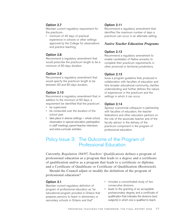# **Option 2.7**

Maintain current regulatory requirement for the practicum:

• minimum of 40 days of practical experience in schools or other settings approved by the College for observations and practice teaching.

#### **Option 2.8**

Recommend a regulatory amendment that would prescribe the practicum length to be a minimum of 60 days duration.

# **Option 2.9**

Recommend a regulatory amendment that would specify the practicum length to be between 60 and 80 days duration.

# **Option 2.10**

Recommend a regulatory amendment that, in addition to the minimum of 60 days, a requirement be identified that the practicum:

- be supervised
- be conducted over the duration of the school year
- take place in diverse settings whole school, observation in special education, participation in staff meetings, parent-teacher interviews and extra-curricular activities.

# **Option 2.11**

Recommend a regulatory amendment that identifies the maximum number of days a practicum can occur in an alternate setting.

# *Native Teacher Education Programs*

# **Option 2.12**

Recommend a regulatory amendment to enable candidates of Native ancestry to complete their practicum requirements in other provincial or territorial jurisdictions.

# **Option 2.13**

Issue a program guideline that, produced in collaboration with faculties of education and tzhe broader educational community, clarifies understanding and further defines the nature of experiences in the practicum and the settings in which it can occur.

### **Option 2.14**

Sponsor a provincial colloquium in partnership with faculties of education, the teacher federations and other education partners on the role of the associate teacher and of the faculty advisor in the delivery of the practicum component in the program of professional education.

# Policy Issue 3: The Outcome of the Program of Professional Education

Currently, *Regulation 184/97, Teachers' Qualifications* defines a program of professional education as a program that leads to a degree and a certificate of qualification and/or as a program that leads to a certificate or diploma and a Certificate of Qualificate or Certificate of Qualification (Restricted).

Should the Council adjust or modify the definition of the program of professional education?

#### **Option 3.1**

Maintain current regulatory definition of program of professional education as "an educational program provided in Ontario that prepares persons to teach in elementary or secondary schools in Ontario and that"

- includes a concentrated study of two consecutive divisions
- leads to the granting of an acceptable postsecondary degree, and a certificate of qualification that indicates the divisions (and subjects) in which one is qualified to teach.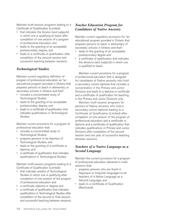Maintain multi-session programs leading to a Certificate of Qualification (Limited):

- that indicates the division (and subjects) in which one is qualifying to teach after completion of one session of a program of professional education, and
- leads to the granting of an acceptable postsecondary degree, and
- leads to a certificate of qualification after completion of the second session and successful teaching between sessions.

# *Technological Studies*

Maintain current regulatory definition of program of professional education as "an educational program provided in Ontario that prepares persons to teach in elementary or secondary schools in Ontario and that":

- includes a concentrated study of Technological Studies
- leads to the granting of an acceptable postsecondary degree, and
- leads to a certificate of qualification that indicates qualifications in Technological Studies.

Maintain current provisions for a program of professional education that:

- includes a concentrated study of Technological Studies,
- prepares persons to be teachers of Technological Studies, and
- leads to the granting of a certificate or diploma, and
- a certificate of qualification that indicates qualifications in Technological Studies.

Maintain multi-session programs leading to a Certificate of Qualification (Limited):

- that indicates area(s) of Technological Studies in which one is qualifying after completion of one session of the program of professional education and
- a certificate, diploma or degree and
- a certificate of qualification that indicates qualifications in Technological Studies after completion of the second or final session and successful teaching between sessions.

# *Teacher Education Program for Candidates of Native Ancestry*

Maintain current regulatory provisions for "an educational program provided in Ontario that prepares persons to teach in elementary of secondary schools in Ontario and that":

- leads to the granting of an acceptable postsecondary degree and
- a certificate of qualification that indicates the divisions (and subjects) in which one is qualified to teach.

Maintain current provisions for a program of professional education that is designed for candidates of Native ancestry who hold a secondary school diploma that includes a concentration in the Primary and Junior Divisions and leads to a diploma or certificate and a certificate of qualification for teaching in the Primary and Junior Divisions only.

Maintain multi-session programs for persons of Native ancestry who hold a secondary school diploma leading to a Certificate of Qualification (Limited) after completion of one session of the program of professional education and a certificate or diploma and a certificate of qualification that indicates qualifications in Primary and Junior Divisions after completion of the second session and one year of successful teaching between sessions.

# *Teachers of a Native Language as a Second Language*

Maintain the current provisions for a program of professional education delivered in multisessions that:

- prepares persons who are fluent in Algonquin or Iroquoian languages to be teachers of a Native Language as a Second Language, and
- leads to a Certificate of Qualification (Restricted).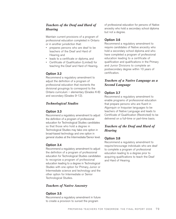# *Teachers of the Deaf and Hard of Hearing*

Maintain current provisions of a program of professional education completed in Ontario or in another jurisdiction that:

- prepares persons who are deaf to be teachers of the Deaf and Hard of Hearing and
- leads to a certificate or diploma, and
- Certificate of Qualification (Limited) for teaching the Deaf and Hard of Hearing.

### **Option 3.2**

Recommend a regulatory amendment to adjust the definition of a program of professional education that reorients the divisional groupings to correspond to the Ontario curriculum – elementary (Grades K-8) and secondary (Grades 9-12).

### *Technological Studies*

#### **Option 3.3**

Recommend a regulatory amendment to adjust the definition of a program of professional education for Technological Studies candidates so that those who hold a degree in Technological Studies may take one option in broad-based technology and one option in general studies at the Intermediate/Senior level.

#### **Option 3.4**

Recommend a regulatory amendment to adjust the definition of a program of professional education for Technological Studies candidates to recognize a program of professional education leading to a degree in Technological Studies with one option for Primary, Junior or Intermediate science and technology and the other option for Intermediate or Senior Technological Studies.

#### *Teachers of Native Ancestry*

#### **Option 3.5**

Recommend a regulatory amendment in future to create a provision to sunset the program

of professional education for persons of Native ancestry who hold a secondary school diploma but not a degree.

#### **Option 3.6**

Recommend a regulatory amendment to require candidates of Native ancestry who hold a secondary school diploma and who have completed a program of professional education leading to a certificate of qualification and qualifications in the Primary and Junior Divisions to complete an postsecondary degree within 10 years of certification.

# *Teachers of a Native Language as a Second Language*

#### **Option 3.7**

Recommend a regulatory amendment to enable programs of professional education that prepare persons who are fluent in Algonquin or Iroquoian languages to be teachers of Native Language and leads to Certificate of Qualification (Restricted) to be delivered on a full-time or part-time basis.

# *Teachers of the Deaf and Hard of Hearing*

#### **Option 3.8**

Recommend a regulatory amendment to require/encourage individuals who are deaf to complete a program of professional education leading to a degree prior to acquiring qualifications to teach the Deaf and Hard of Hearing.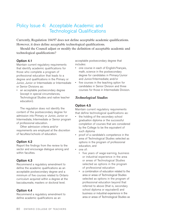# Policy Issue 4: Acceptable Academic and Technological Qualifications

Currently, Regulation 184/97 does not define acceptable academic qualifications. However, it does define acceptable technological qualifications.

Should the Council adjust or modify the definition of acceptable academic and technological qualifications?

### **Option 4.1**

Maintain current regulatory requirements that identify academic qualifications for those who complete a program of professional education that leads to a degree and qualifications in the Primary or Junior, Junior or Intermediate or Intermediate or Senior Divisions as:

• an acceptable postsecondary degree (except in special circumstances, Technological Studies and native teacher education).

The regulation does not identify the content of the postsecondary degree for admission into Primary or Junior, Junior or Intermediate, Intermediate or Senior program of professional education.

Other admission criteria and/or requirements are employed at the discretion of faculties/schools of education.

#### **Option 4.2**

Report the findings from the review to the sector and encourage dialogue among and within faculties.

# **Option 4.3**

Recommend a regulatory amendment to define the academic qualifications as an acceptable postsecondary degree and a minimum of five courses related to Ontario curriculum acquired within a degree at the baccalaureate, masters or doctoral level.

# **Option 4.4**

Recommend a regulatory amendment to define academic qualifications as an

acceptable postsecondary degree that includes:

- one course in each of English/français, math, science in the postsecondary degree for candidates in Primary/Junior and Junior/Intermediate; and/or
- five courses in the teaching option for candidates in Senior Division and three courses for those in Intermediate Division.

# *Technological Studies*

#### **Option 4.5**

Maintain current regulatory requirements that define technological qualifications as:

- the holding of the secondary school graduation diploma or the successful completion of courses that are considered by the College to be the equivalent of such diploma
- proof of a candidate's competence in the area of Technological Studies selected as options in the program of professional education, and
- one of:
	- five years of wage-earning, business or industrial experience in the area or areas of Technological Studies selected as options in the program of professional education
	- a combination of education related to the area or areas of Technological Studies selected as options in the program of professional education beyond that referred to above (that is, secondary school diploma or equivalent) and business or industrial experience in the area or areas of Technological Studies as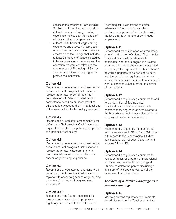options in the program of Technological Studies that totals five years, including at least two years of wage-earning experience, no less than 16 months of which is continuous employment, or

at least 3,700 hours of wage-earning experience and successful completion of a postsecondary education program acceptable to the College that includes at least 24 months of academic studies, if the wage-earning experience and the education program are related to the area or areas of Technological Studies selected as options in the program of professional education.

#### **Option 4.6**

Recommend a regulatory amendment to the definition of Technological Qualifications to replace the phrase "proof of his or her competence" with "demonstrated proof of competence based on an assessment of advanced knowledge and skill in at least one of the areas within the technology selected."

#### **Option 4.7**

Recommend a regulatory amendment to the definition of Technological Qualifications to require that proof of competence be specific to a particular technology.

#### **Option 4.8**

Recommend a regulatory amendment to the definition of Technological Qualifications to replace the phrase "wage-earning" with "documented postsecondary skilled work and/or wage-earning" experience.

#### **Option 4.9**

Recommend a regulatory amendment to the definition of Technological Qualifications to replace references to "years of wage-earning experience" to "hours of wage-earning experience."

#### **Option 4.10**

Recommend that Council reconsider its previous recommendation to propose a regulatory amendment to the definition of Technological Qualifications to delete reference to "less than 16 months of continuous employment" and replace with "no less than four months of continuous employment."

#### **Option 4.11**

Recommend reconsideration of a regulatory amendment to the definition of Technological Qualifications to add a reference to candidates who hold a degree in a related area and who have subsequently completed one year (or the equivalent number of hours) of work experience to be deemed to have met the experience requirement and now require that candidates complete one year of work experience subsequent to completion of the program.

#### **Option 4.12**

Recommend a regulatory amendment to add to the definition of Technological Qualifications to include an acceptable postsecondary degree in an area related to the broad-based technology selected for the program of professional education.

#### **Option 4.13**

Recommend a regulatory amendment to replace references to "Basic" and "Advanced" with regard to the Technological Studies qualifications with "Grades 9 and 10" and "Grades 11 and 12."

#### **Option 4.14**

Recommend a regulatory amendment to adjust definition of program of professional education as it relates to Technological Studies, to delete the phrase "including a minimum of two optional courses at the basic level from Schedule B."

# *Teachers of a Native Language as a Second Language*

#### **Option 4.15**

Maintain current regulatory requirements for admission into the Teacher of Native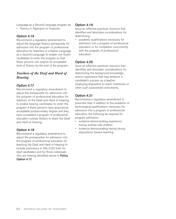Language as a Second Language program as:

• fluency in Algonquin or Iroquoian.

# **Option 4.16**

Recommend a regulatory amendment to adjust the language fluency prerequisite for admission into the program of professional education for teachers of a Native Language as a Second Language to enable non-fluent candidates to enter the program so that these persons can acquire an acceptable level of fluency by the end of the program.

# *Teachers of the Deaf and Hard of Hearing*

### **Option 4.17**

Recommend a regulatory amendment to adjust the prerequisite for admission into the program of professional education for teachers of the Deaf and Hard of Hearing to enable hearing candidates to enter the program if these persons have acquired an acceptable postsecondary degree and they have completed a program of professional education outside Ontario to teach the Deaf and Hard of Hearing.

# **Option 4.18**

Recommend a regulatory amendment to adjust the prerequisites for admission into the program of professional education for teaching the Deaf and Hard of Hearing to include proficiency in ASL/LSQ both for deaf candidates and for those individuals who are hearing identified above in **Policy Option 4.17.**

#### **Option 4.19**

Issue an effective practices resource that identifies and describes considerations for determining:

• academic qualifications necessary for admission into a program of professional education or for completion concurrently with the program of professional education.

# **Option 4.20**

Issue an effective practices resource that identifies and describes considerations for determining the background knowledge and/or experience that may enhance a candidate's success as a teacher employing disposition to teach inventories or other such assessment instruments.

# **Option 4.21**

Recommend a regulatory amendment to prescribe that, in addition to the academic or technological qualifications necessary for admission into a program of professional education, the following be required for program admission:

- evidence demonstrating experience having worked with children
- evidence demonstrating having strong dispositions toward teaching.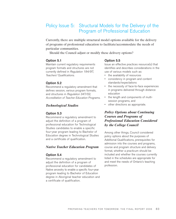# Policy Issue 5: Structural Models for the Delivery of the Program of Professional Education

Currently, there are multiple structural model options available for the delivery of programs of professional education to facilitate/accommodate the needs of particular communities.

Should the Council adjust or modify these delivery options?

#### **Option 5.1**

Maintain current regulatory requirements program formats and structures are not currently defined in *Regulation 184/97, Teachers' Qualifications.*

#### **Option 5.2**

Recommend a regulatory amendment that defines session, various program formats, and structures in *Regulation 347/02, Accreditation of Teacher Education Programs.*

#### *Technological Studies*

#### **Option 5.3**

Recommend a regulatory amendment to adjust the definition of a program of professional education for Technological Studies candidates to enable a specific four-year program leading to Bachelor of Education degree in Technological Studies and a certificate of qualification.

#### *Native Teacher Education Program*

#### **Option 5.4**

Recommend a regulatory amendment to adjust the definition of a program of professional education for candidates of Native ancestry to enable a specific four-year program leading to Bachelor of Education degree in Aboriginal teacher education and a certificate of qualification.

#### **Option 5.5**

Issue an effective practices resource(s) that identifies and describes considerations in the use of various models such as:

- the availability of resources
- consistency in program and content standards/expectations
- the necessity of face-to-face experiences in programs delivered through distance education
- the length and components of multisession programs, and
- other directions as appropriate.

# *Policy Options about Continuing Courses and Programs of Professional Education Considered by the College Council*

Among other things, Council considered policy options about the purposes of Additional Qualifications, prerequisites for admission into the courses and programs, course and program structure and delivery format, whether a practicum should be included and whether the courses currently listed in the schedules are appropriate for and meet the needs of Ontario's teaching profession.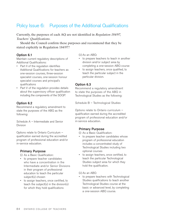# Policy Issue 6: Purposes of the Additional Qualifications

Currently, the purposes of each AQ are not identified in *Regulation 184/97, Teachers' Qualifications*.

Should the Council confirm these purposes and recommend that they be stated explicitly in Regulation 184/97?

#### **Option 6.1**

Maintain current regulatory descriptions of Additional Qualifications:

- Part II of the regulation identifies Additional Qualifications for teachers as one-session courses, three-session specialist courses, one-session honour specialist courses and principal's qualifications
- Part V of the regulation provides details about the supervisory officer qualification including the components of the SOQP.

# **Option 6.2**

Recommend a regulatory amendment to state the purposes of the ABQ as the following:

Schedule A – Intermediate and Senior Division

Options relate to Ontario Curriculum – qualification earned during the accredited program of professional education and/or in-service education.

#### **Primary Purpose**

(i) As a Basic Qualification:

- to prepare teacher candidates who have a concentration in the Intermediate and/or Senior Divisions in their program of professional education to teach the particular subject(s) chosen
- to assign teachers, once certified, to teach the subject(s) in the division(s) for which they hold qualifications

(ii) As an ABQ:

- to prepare teachers to teach in another division and/or subject area by completing a one-session ABQ course
- to assign teachers, once qualified, to teach the particular subject in the particular division.

# **Option 6.3**

Recommend a regulatory amendment to state the purposes of the ABQ in Technological Studies as the following:

Schedule B – Technological Studies

Options relate to Ontario curriculum – qualification earned during the accredited program of professional education and/or in-service education.

# **Primary Purpose**

(i) As a Basic Qualification:

- to prepare teacher candidates whose program of professional education includes a concentrated study of Technological Studies including two optional courses
- to assign teachers, once certified, to teach the particular Technological Studies subject area for which they hold the qualification.
- (ii) As an ABQ
- to prepare teachers with Technological Studies qualifications to teach another Technological Studies course at the basic or advanced level, by completing a one-session ABQ course.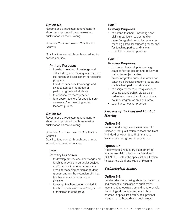# **Option 6.4**

Recommend a regulatory amendment to state the purposes of the one-session qualification as the following:

Schedule C – One-Session Qualification Courses

Qualifications earned through accredited inservice courses.

### **Primary Purpose:**

- to extend teachers' knowledge and skills in design and delivery of curriculum, instruction and assessment for specific programs
- to extend teachers' knowledge and skills to address the needs of particular groups of students
- to enhance teachers' practice
- to prepare teachers for specific nonclassroom/non-teaching and/or leadership roles.

# **Option 6.5**

Recommend a regulatory amendment to state the purposes of the three-session qualification as the following:

Schedule D – Three-Session Qualification Courses

Qualifications earned through one or more accredited in-service courses.

# **Part I**

#### **Primary Purposes**

- to develop professional knowledge and teaching practice in particular subject and/or cross/integrated curriculum areas, for teaching particular student groups, and for the extension of initial teacher education in particular divisions
- to assign teachers, once qualified, to teach the particular course/program or a particular student group.

# **Part II Primary Purposes**

- to extend teachers' knowledge and skills in particular subject and/or cross/integrated curriculum areas, for teaching particular student groups, and for teaching particular divisions
- to enhance teacher practice.

# **Part III Primary Purposes**

- to develop leadership in teaching practice for the design and delivery of particular subject and/or cross/integrated curriculum areas, for teaching particular student groups, and for teaching particular divisions
- to assign teachers, once qualified, to assume a leadership role as a coordinator or consultant to a particular course/program or divisional area
- to enhance teacher practice.

# *Teachers of the Deaf and Hard of Hearing*

# **Option 6.6**

Recommend a regulatory amendment to reclassify the qualification to teach the Deaf and Hard of Hearing so that its unique features are recognized in regulation.

# **Option 6.7**

Recommend a regulatory amendment to enable two distinct foci – oral/aural and ASL/LSQ – within the specialist qualification to teach the Deaf and Hard of Hearing.

# *Technological Studies*

# **Option 6.8**

Pending decision making about program type and conceptual orientation of qualification, recommend a regulatory amendment to enable Technological Studies teachers to take courses in specialized trade/occupational areas within a broad-based technology.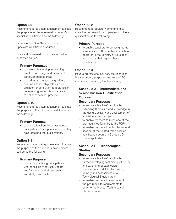# **Option 6.9**

Recommend a regulatory amendment to state the purposes of the one-session honour's specialist qualification as the following:

Schedule E – One-Session Honour Specialist Qualification Courses

Qualification earned through an accredited in-service course.

### **Primary Purposes**

- to develop leadership in teaching practice for design and delivery of particular subject areas
- to assign teachers, once qualified, to assume a leadership role as a coordinator or consultant to a particular course/program or divisional area
- to enhance teacher practice.

# **Option 6.10**

Recommend a regulatory amendment to state the purpose of the principal's qualification as the following:

#### **Primary Purpose**

• to enable teachers to be assigned as principals and vice-principals once they have obtained the qualifications.

# **Option 6.11**

Recommend a regulatory amendment to state the purpose of the principal's development course as the following:

#### **Primary Purpose**

• to enable practicing principals and vice-principals to refresh, update and/or enhance their leadership knowledge and skills.

# **Option 6.12**

Recommend a regulatory amendment to state the purpose of the supervisory officer's qualification as the following:

### **Primary Purpose**

• to enable teachers to be assigned as a supervisory officer either in a school board or in the Ministry of Education in positions that require these qualifications.

# **Option 6.13**

Issue a professional advisory that identifies the secondary purposes and role of AQ courses in continuing teacher learning.

# **Schedule A – Intermediate and Senior Division Qualification Options**

### **Secondary Purposes**

- to enhance teachers' practice by extending their skills and knowledge in the design, delivery and assessment of a division and/or subject
- to enable teachers to meet one of the pre-requisites for entry to the PQP
- to enable teachers to enter the second session of the related three-session qualification course in Schedule D, where applicable.

# **Schedule B – Technological Studies**

#### **Secondary Purposes**

- to enhance teachers' practice by further developing technical proficiency and extending pedagological knowledge and skill in the design, delivery and assessment of a Technological Studies area
- to enable teachers to meet one of the pre-requisite requirements for entry to the Honour Technological Studies course.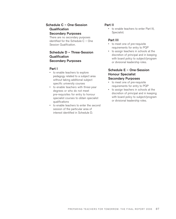# **Schedule C – One-Session Qualification Secondary Purposes**

There are no secondary purposes identified for the Schedule C – One Session Qualification.

# **Schedule D – Three-Session Qualification Secondary Purposes**

#### **Part I**

- to enable teachers to explore pedagogy related to a subject area without taking additional subject specific university courses
- to enable teachers with three-year degrees or who do not meet pre-requisites for entry to honour specialist courses to obtain specialist qualifications
- to enable teachers to enter the second session of the particular area of interest identified in Schedule D.

# **Part II**

• to enable teachers to enter Part III, Specialist.

### **Part III**

- to meet one of pre-requisite requirements for entry to PQP
- to assign teachers in schools at the discretion of principal and in keeping with board policy to subject/program or divisional leadership roles.

# **Schedule E – One-Session Honour Specialist Secondary Purposes**

- to meet one of pre-requisite requirements for entry to PQP
- to assign teachers in schools at the discretion of principal and in keeping with board policy to subject/program or divisional leadership roles.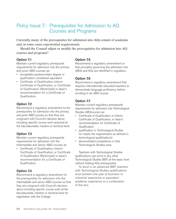# Policy Issue 7: Prerequisites for Admission to AQ Courses and Programs

Currently, many of the prerequisites for admission into AQs consist of academic and, in some cases, experiential requirements.

Should the Council adjust or modify the prerequisites for admission into AQ courses and programs?

#### **Option 7.1**

Maintain current regulatory prerequisite requirements for admission into the primary and junior ABQ courses as:

- acceptable postsecondary degree or qualification considered equivalent
- Certificate of Qualification, Interim Certificate of Qualification, or Certificate of Qualification (Restricted) or dean's recommendation for a Certificate of Qualification.

# **Option 7.2**

Recommend a regulatory amendment to the prerequisites for admission into the primary and junior ABQ courses so that they are congruent with Council's decision about including specific course work acquired at the baccalaureate, masters or doctoral level.

# **Option 7.3**

Maintain current regulatory prerequisite requirements for admission into the Intermediate and Senior ABQ courses as

• Certificate of Qualification, Interim Certificate of Qualification, or Certificate of Qualification (Restricted) or dean's recommendation for a Certificate of Qualification.

# **Option 7.4**

Recommend a regulatory amendment to the prerequisites for admission into the intermediate and senior ABQ courses so that they are congruent with Council's decision about including specific course work at the baccalaureate, masters or doctoral level for registration with the College.

### **Option 7.5**

Recommend a regulatory amendment so that principles governing the admission into ABQs and AQs are identified in regulation.

# **Option 7.6**

Recommend a regulatory amendment that requires internationally educated teachers to demonstrate language proficiency before enrolling in an ABQ course.

# **Option 7.7**

Maintain current regulatory prerequisite requirements for admission into Technological Studies ABQcourses as:

- Certificate of Qualification or Interim Certificate of Qualification, or dean's recommendation for Certificate of **Qualification**
- qualification in Technological Studies (or meets the requirements as defined in technological qualifications)
- demonstrated competence in that Technological Studies area.

Teachers with Technological Studies qualifications can enrol in any other Technological Studies BBT at the basic level without holding AQs prerequisites.

To enrol in an advanced BBT, teachers with Technological Studies qualifications must present one year of business or industrial experience or equivalent academic experience or a combination of the two.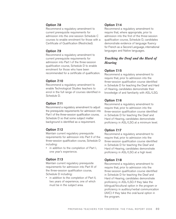### **Option 7.8**

Recommend a regulatory amendment to current prerequisite requirements for admission into the one-session Schedule C courses to enable enrolment for those with a Certificate of Qualification (Restricted).

### **Option 7.9**

Recommend a regulatory amendment to current prerequisite requirements for admission into Part I of the three-session qualification course, Schedule D to enable enrolment for those who have been recommended for a certificate of qualification.

### **Option 7.10**

Recommend a regulatory amendment to enable Technological Studies teachers to enrol in the full range of courses identified in Schedule D.

#### **Option 7.11**

Recommend a regulatory amendment to adjust the prerequisite requirements for admission into Part I of the three-session qualification course, Schedule D so that some subject matter background is identified as a requirement.

#### **Option 7.12**

Maintain current regulatory prerequisite requirements for admission into Part II of the three-session qualification course, Schedule D including:

• in addition to the completion of Part I, one year's experience.

#### **Option 7.13**

Maintain current regulatory prerequisite requirements for admission into Part III of the three-session qualification course, Schedule D including:

• in addition to the completion of Part II, two years of experience, one of which must be in the subject area.

### **Option 7.14**

Recommend a regulatory amendment to require that, where appropriate, prior to admission into the first of the three-session qualification course, Schedule D, candidates demonstrate evidence of language fluency for French as a Second Language, international languages and Native languages.

# *Teaching the Deaf and the Hard of Hearing*

#### **Option 7.15**

Recommend a regulatory amendment to require that, prior to admission into the three-session qualification course identified in Schedule D for teaching the Deaf and Hard of Hearing, candidates demonstrate their knowledge of and familiarity with ASL/LSQ.

#### **Option 7.16**

Recommend a regulatory amendment to require that, prior to admission into the three-session qualification course identified in Schedule D for teaching the Deaf and Hard of Hearing, candidates demonstrate proficiency in ASL/LSQ at a minimum level.

#### **Option 7.17**

Recommend a regulatory amendment to require that, prior to admission into the three-session qualification course identified in Schedule D for teaching the Deaf and Hard of Hearing, candidates demonstrate proficiency in ASL/LSQ at a high level.

#### **Option 7.18**

Recommend a regulatory amendment to require that, prior to admission into the three-session qualification course identified in Schedule D for teaching the Deaf and Hard of Hearing, candidates demonstrate proficiency in ASL/LSQ if they take the bilingual/bicultural option in the program or proficiency in auditory/verbal communication (AVC) if they take the oral/aural option in the program.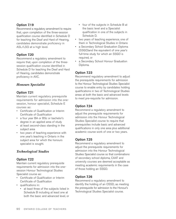# **Option 7.19**

Recommend a regulatory amendment to require that, upon completion of the three-session qualification course identified in Schedule D for teaching the Deaf and Hard of Hearing, candidates demonstrate proficiency in ASL/LSQ at a high level.

# **Option 7.20**

Recommend a regulatory amendment to require that, upon completion of the threesession qualification course identified in Schedule D for teaching the Deaf and Hard of Hearing, candidates demonstrate proficiency in AVC.

# *Honours Specialist*

# **Option 7.21**

Maintain current regulatory prerequisite requirements for admission into the onesession, honour specialist, Schedule E courses as:

- Certificate of Qualification or Interim Certificate of Qualification
- a four year BA or BSc or bachelor's degree in an applied area of study
- at least second-class standing in the subject area
- two years of teaching experience with one year's teaching in Ontario in the subject area for which the honours specialist is sought.

# *Technological Studies*

# **Option 7.22**

Maintain current regulatory prerequisite requirements for admission into the onesession Honour Technological Studies Specialist course as:

- Certificate of Qualification or Interim Certificate of Qualification
- qualifications in:
	- at least three of the subjects listed in Schedule B including at least one at both the basic and advanced level, or
- four of the subjects in Schedule B at the basic level and a Specialist qualification in one of the subjects in Schedule D.
- two years of teaching experience, one of them in Technological Studies in Ontario
- a Secondary School Graduation Diploma (SSGD)and the equivalent of one year's full-time study for which an SSGD is required, or
- a Secondary School Honour Graduation Diploma.

# **Option 7.23**

Recommend regulatory amendment to adjust the prerequisite requirements for admission to the Honour Technological Studies Specialist course to enable entry by candidates holding qualifications in two of Technological Studies areas at both the basic and advanced levels to meet pre-requisite for admission.

# **Option 7.24**

Recommend a regulatory amendment to adjust the prerequisite requirements for admission into the Honour Technological Studies Specialist course to require that prerequisites include basic and advanced qualifications in only one area plus additional academic course work of one or two years.

# **Option 7.25**

Recommend a regulatory amendment to adjust the prerequisite requirements for admission into the Honour Technological Studies Specialist course so that combinations of secondary school diploma, CAAT and university courses are deemed acceptable as meeting academic requirements in the case of those holding an SSGD.

# **Option 7.26**

Recommend a regulatory amendment to identify the holding of an OSSD, as meeting the prerequisite for admission to the Honour's Technological Studies Specialist course.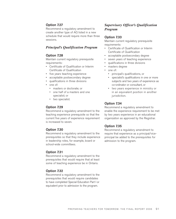# **Option 7.27**

Recommend a regulatory amendment to create another type of AQ listed in a new schedule that would require more than three sessions.

### *Principal's Qualification Program*

#### **Option 7.28**

Maintain current regulatory prerequisite requirements:

- Certificate of Qualification or Interim Certificate of Qualification
- five years teaching experience
- acceptable postsecondary degree
- qualifications in three divisions
- one of:
	- masters or doctorate; or
	- one half of a masters and one specialist; or
	- two specialist.

### **Option 7.29**

Recommend a regulatory amendment to the teaching experience prerequisite so that the current five years of experience requirement is increased to seven.

# **Option 7.30**

Recommend a regulatory amendment to the prerequisites so that they include experience in leadership roles, for example, board or school-wide committees.

# **Option 7.31**

Recommend a regulatory amendment to the prerequisites that would require that at least some of teaching experience be in Ontario.

#### **Option 7.32**

Recommend a regulatory amendment to the prerequisites that would require candidates to have completed Special Education Part I or equivalent prior to admission to the program.

# *Supervisory Officer's Qualification Program*

#### **Option 7.33**

Maintain current regulatory prerequisite requirements:

- Certificate of Qualification or Interim Certificate of Qualification
- acceptable postsecondary degree
- seven years of teaching experience
- qualifications in three divisions
- masters degree
- one of:
	- principal's qualifications, or
	- specialist's qualifications in one or more subjects and two years of experience as co-ordinator or consultant, or
	- two years experience in ministry or in an equivalent position in another jurisdiction.

# **Option 7.34**

Recommend a regulatory amendment to enable the experience requirement to be met by two years experience in an educational organization as approved by the Registrar.

# **Option 7.35**

Recommend a regulatory amendment to require that experience as a principal/viceprincipal be added to the prerequisites for admission to the program.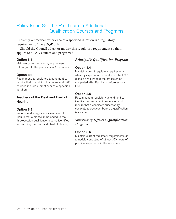# Policy Issue 8: The Practicum in Additional Qualification Courses and Programs

Currently, a practical experience of a specified duration is a regulatory requirement of the SOQP only.

Should the Council adjust or modify this regulatory requirement so that it applies to all AQ courses and programs?

#### **Option 8.1**

Maintain current regulatory requirements with regard to the practicum in AQ courses.

#### **Option 8.2**

Recommend a regulatory amendment to require that in addition to course work, AQ courses include a practicum of a specified duration.

# **Teachers of the Deaf and Hard of Hearing**

#### **Option 8.3**

Recommend a regulatory amendment to require that a practicum be added to the three-session qualification course identified for teaching the Deaf and Hard of Hearing.

# *Principal's Qualification Program*

#### **Option 8.4**

Maintain current regulatory requirements whereby expectations identified in the PQP guideline require that the practicum be completed after Part I and before entry into Part II.

#### **Option 8.5**

Recommend a regulatory amendment to identify the practicum in regulation and require that a candidate successfully complete a practicum before a qualification is awarded.

# *Supervisory Officer's Qualification Program*

#### **Option 8.6**

Maintain current regulatory requirements as a module consisting of at least 50 hours of practical experience in the workplace.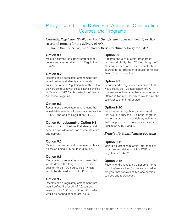# Policy Issue 9: The Delivery of Additional Qualification Courses and Programs

Currently, *Regulation 184/97, Teachers' Qualifications* does not identify explicit structural formats for the delivery of AQs.

Should the Council adjust or modify these structural delivery formats?

#### **Option 9.1**

Maintain current regulatory references to course and session duration in Regulation 184/97.

#### **Option 9.2**

Recommend a regulatory amendment that would define and identify components of course delivery in Regulation 184/97 so that they are congruent with those criteria identified in *Regulation 347/02, Accreditation of Teacher Education Programs.*

#### **Option 9.3**

Recommend a regulatory amendment that would delete reference to session in Regulation 184/97 and add to Regulation 347/02

#### **Option 9.4 subsuming Option 9.8**

Issue program guidelines that identify and describe considerations for course structure and delivery.

#### **Option 9.5**

Maintain current regulatory requirements as a session being 125 hours in duration.

#### **Option 9.6**

Recommend a regulatory amendment that would define the length of AQ course session to be 100 hours, 75 of which would be defined as "contact" hours.

#### **Option 9.7**

Recommend a regulatory amendment that would define the length of AQ courses session to be 100 hours, 80 or 90 of which would be defined as "contact" hours.

#### **Option 9.8**

Recommend a regulatory amendment that would clarify the 125-hour length of AQ courses session so as to enable these courses to be offered in modules of no less than 25 hours' duration.

#### **Option 9.9**

Recommend a regulatory amendment that would clarify the 125-hour length of AQ courses so as to enable these courses to be offered in two modules which would have the equivalency of one full course.

#### **Option 9.10**

Recommend a regulatory amendment that would clarify the 125-hour length, in whatever combination of delivery options, so that it applied only to courses identified in Schedules A, B, D and E.

#### *Principal's Qualification Program*

#### **Option 9.11**

Maintain current regulatory references to structure and delivery of the PQP in Regulation 184/97.

#### **Option 9.12**

Recommend a regulatory amendment that would reference the PQP as an "accredited program that consists of two one-session courses and a practicum."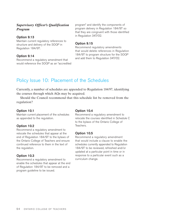# *Supervisory Officer's Qualification Program*

#### **Option 9.13**

Maintain current regulatory references to structure and delivery of the SOQP in Regulation 184/97*.*

#### **Option 9.14**

Recommend a regulatory amendment that would reference the SOQP as an "accredited program" and identify the components of program delivery in Regulation 184/97 so that they are congruent with those identified in Regulation 347/02*.*

### **Option 9.15**

Recommend regulatory amendments that would delete references in Regulation 184/97 to program structure for the SOQP and add them to Regulation 347/02.

# Policy Issue 10: Placement of the Schedules

Currently, a number of schedules are appended to Regulation 184/97, identifying the courses through which AQs may be acquired.

Should the Council recommend that this schedule list be removed from the regulation?

#### **Option 10.1**

Maintain current placement of the schedules as appended to the regulation.

#### **Option 10.2**

Recommend a regulatory amendment to relocate the schedules that appear at the end of Regulation 184/97 to the bylaws of the Ontario College of Teachers and ensure continued reference to them in the text of the regulation.

#### **Option 10.3**

Recommend a regulatory amendment to enable the schedules that appear at the end of Regulation 184/97 to be removed and a program guideline to be issued.

#### **Option 10.4**

Recommend a regulatory amendment to relocate the courses identified in Schedule C to the bylaws of the Ontario College of Teachers.

# **Option 10.5**

Recommend a regulatory amendment that would include a clause to enable the schedules currently appended to Regulation 184/97 to be reviewed, refreshed and/or updated at a particular point in time or in response to a particular event such as a curriculum change.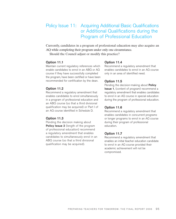# Policy Issue 11: Acquiring Additional Basic Qualifications or Additional Qualifications during the Program of Professional Education

Currently, candidates in a program of professional education may also acquire an AQ while completing their program under only one circumstance.

Should the Council adjust or modify this practice?

#### **Option 11.1**

Maintain current regulatory references which enable candidates to enrol in an ABQ or AQ course if they have successfully completed the program, have been certified or have been recommended for certification by the dean.

#### **Option 11.2**

Recommend a regulatory amendment that enables candidates to enrol simultaneously in a program of professional education and an ABQ course (so that a third divisional qualification may be acquired) or Part I of an AQ course identified in Schedule D.

#### **Option 11.3**

Pending the decision making about **Policy Issue 2** (length of the program of professional education) recommend a regulatory amendment that enables candidates to simultaneously enrol in an ABQ course (so that a third divisional qualification may be acquired).

#### **Option 11.4**

Recommend a regulatory amendment that enables candidates to enrol in an AQ course only in an area of identified need.

#### **Option 11.5**

Pending the decision-making about **Policy Issue 1**, (content of program) recommend a regulatory amendment that enables candidates to enrol in an AQ course in special education during the program of professional education.

#### **Option 11.6**

Recommend a regulatory amendment that enables candidates in concurrent programs or longer programs to enrol in an AQ course during their program of professional education.

#### **Option 11.7**

Recommend a regulatory amendment that enables an initial teacher education candidate to enrol in an AQ course provided their academic achievement will not be compromised.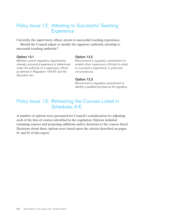# Policy Issue 12: Attesting to Successful Teaching **Experience**

Currently, the supervisory officer attests to successful teaching experience.

Should the Council adjust or modify the signatory authority attesting to successful teaching authority?

#### **Option 12.1**

Maintain current regulatory requirements whereby successful experience is determined under the authority of a supervisory officer as defined in Regulation 184/97 and the *Education Act.*

#### **Option 12.2**

Recommend a regulatory amendment to enable other supervisory officials to attest to successful experience, in particular circumstances.

#### **Option 12.3**

Recommend a regulatory amendment to identify a qualified principal as the signatory.

# Policy Issue 13: Refreshing the Courses Listed in Schedules A-E

A number of options were presented for Council's consideration for adjusting each of the lists of courses identified in the regulation. Options included renaming courses and proposing additions and/or deletions to the courses listed. Decisions about these options were based upon the criteria described on pages 61 and 62 of this report.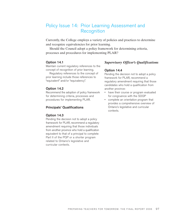# Policy Issue 14: Prior Learning Assessment and **Recognition**

Currently, the College employs a variety of policies and practices to determine and recognize equivalencies for prior learning.

Should the Council adopt a policy framework for determining criteria, processes and procedures for implementing PLAR?

#### **Option 14.1**

Maintain current regulatory references to the concept of recognition of prior learning.

Regulatory references to the concept of prior learning include those references to "equivalent" and/or "equivalency".

#### **Option 14.2**

Recommend the adoption of policy framework for determining criteria, processes and procedures for implementing PLAR.

#### **Principals' Qualifications**

#### **Option 14.3**

Pending the decision not to adopt a policy framework for PLAR, recommend a regulatory amendment requiring that those individuals from another province who hold a qualification equivalent to that of a principal to complete Part II of the PQP or a shorter program related to Ontario's legislative and curricular contexts.

# *Supervisory Officer's Qualifications*

#### **Option 14.4**

Pending the decision not to adopt a policy framework for PLAR, recommend a regulatory amendment requiring that those candidates who hold a qualification from another province:

- have their course or program evaluated for congruence with the SOQP
- complete an orientation program that provides a comprehensive overview of Ontario's legislative and curricular contexts.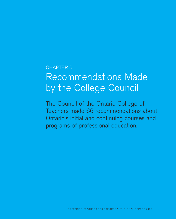# CHAPTER 6 Recommendations Made by the College Council

The Council of the Ontario College of Teachers made 66 recommendations about Ontario's initial and continuing courses and programs of professional education.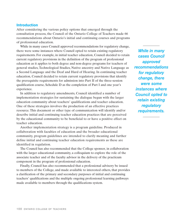### **Introduction**

After considering the various policy options that emerged through the consultation process, the Council of the Ontario College of Teachers made 66 recommendations about Ontario's initial and continuing courses and programs of professional education.

While in many cases Council approved recommendations for regulatory change, there were some instances where Council opted to retain existing regulatory requirements. For example, in initial teacher education, Council decided to retain current regulatory provisions in the definition of the program of professional education as it applies to both degree and non-degree programs for teachers of general studies, Technological Studies, Native ancestry and Native Language as a Second Language and the Deaf and Hard of Hearing. In continuing teacher education, Council decided to retain current regulatory provisions that identify the prerequisite requirements for admission into Part II of the three-session qualification course, Schedule D as the completion of Part I and one year's experience.

In addition to regulatory amendments, Council identified a number of implementation strategies for sustaining the dialogue begun with the larger education community about teachers' qualifications and teacher education. One of these strategies involves the production of an effective practices resource. This document or other type of communication will identify and/or describe initial and continuing teacher education practices that are perceived by the educational community to be beneficial to or have a positive effect on teacher education.

Another implementation strategy is a program guideline. Produced in collaboration with faculties of education and the broader educational community, program guidelines are intended to clarify meaning and further define initial and continuing teacher education requirements as these are identified in regulation.

The Council has also recommended that the College sponsor, in collaboration with the larger educational community, a colloquium to explore the role of the associate teacher and of the faculty advisor in the delivery of the practicum component in the program of professional education.

Finally, Council has also recommended that a professional advisory be issued to members of the College, and made available to interested others, that provides a clarification of the primary and secondary purposes of initial and continuing teachers' qualifications and the multiple ongoing professional learning pathways made available to members through the qualifications system.

*While in many cases Council approved recommendations for regulatory change, there were some instances where Council opted to retain existing regulatory requirements.*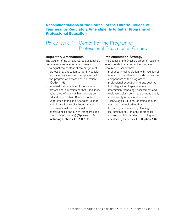# **Recommendations of the Council of the Ontario College of Teachers for Regulatory Amendments to Initial Programs of Professional Education**

# Policy Issue 1: Content of the Program of Professional Education in Ontario

#### **Regulatory Amendments**

The Council of the Ontario College of Teachers recommends regulatory amendments:

- to adjust the content of the program of professional education to identify special education as a required component within the program of professional education (**Option 1.5**)
- to adjust the definition of programs of professional education so that it includes, as an area of study within the program, Education in Ontario (Ontario context understood to include Aboriginal, cultural and pluralistic diversity, linguistic and denominational constitutional constituencies and ethical standards and standards of practice) (**Options 1.10, including Options 1.6, 1.8, 1.9**).

#### **Implementation Strategy**

The Council of the Ontario College of Teachers recommends that an effective practices resource be issued that:

• produced in collaboration with faculties of education, identifies and/or describes the components of the program of professional education in areas such as the integration of special education, information technology, assessment and evaluation, classroom management, equity and diversity issues in all courses. For Technological Studies, identifies and/or describes project orientation, technological processes, planning instructional environment of practical classes and laboratories, managing and maintaining these facilities (**Option 1.3**).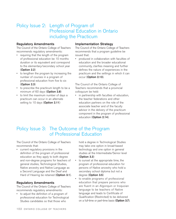# Policy Issue 2: Length of Program of Professional Education in Ontario including the Practicum

### **Regulatory Amendments**

The Council of the Ontario College of Teachers recommends regulatory amendments:

- requiring that the length of the program of professional education be 10 months duration or its equivalent and correspond to the elementary/secondary school year (**Option 2.2**)
- to lengthen the program by increasing the number of courses in a program of professional education from five to six (**Option 2.3**)
- to prescribe the practicum length to be a minimum of 60 days (**Option 2.8**)
- to limit the maximum number of days a practicum can occur in an alternate setting to 10 days (**Option 2.11**)

### **Implementation Strategy**

The Council of the Ontario College of Teachers recommends that a program guideline be issued that:

• produced in collaboration with faculties of education and the broader educational community, clarifies meaning and further defines the nature of experiences in the practicum and the settings in which it can occur (**Option 2.13**).

The Council of the Ontario College of Teachers recommends that a provincial colloquium be held:

• in partnership with faculties of education, the teacher federations and other education partners on the role of the associate teacher and of the faculty advisor in the delivery of the practicum component in the program of professional education (**Option 2.14**).

# Policy Issue 3: The Outcome of the Program of Professional Education

The Council of the Ontario College of Teachers recommends that:

• current regulatory provisions in the definition of the program of professional education as they apply to both degree and non-degree programs for teachers of general studies, Technological Studies, Native ancestry and Native Language as a Second Language and the Deaf and Hard of Hearing be retained (**Option 3.1**).

# **Regulatory Amendments**

The Council of the Ontario College of Teachers recommends regulatory amendments:

• to adjust the definition of a program of professional education for Technological Studies candidates so that those who

hold a degree in Technological Studies may take one option in broad-based technology and one option in general studies at the Intermediate/Senior level (**Option 3.3**)

- to sunset at the appropriate time, the program of professional education for persons of Native ancestry who hold a secondary school diploma but not a degree (**Option 3.5**)
- to enable programs of professional education that prepare persons who are fluent in an Algonquin or Iroquoian language to be teachers of Native language and leads to Certificate of Qualification (Restricted) to be delivered on a full-time or part-time basis (**Option 3.7**).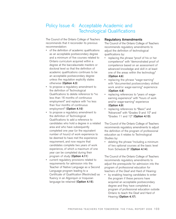# Policy Issue 4: Acceptable Academic and Technological Qualifications

The Council of the Ontario College of Teachers recommends that it reconsider its previous recommendation:

- of the definition of academic qualifications as an acceptable postsecondary degree and a minimum of five courses related to Ontario curriculum acquired within a degree at the baccalaureate masters or doctoral level so that the definition of academic qualifications continues to be an acceptable postsecondary degree unless the regulation explicitly states otherwise (**Option 4.3**)
- to propose a regulatory amendment to the definition of Technological Qualifications to delete reference to "no less than 16 months of continuous employment" and replace with "no less than four months of continuous employment" (**Option 4.10**)
- to propose a regulatory amendment to the definition of Technological Qualifications to add a reference to candidates who hold a degree in a related area and who have subsequently completed one year (or the equivalent number of hours) of work experience to be deemed to have met the experience requirement, and now require that candidates complete two years of work experience, of which a maximum of one year can be completed during their program of study (**Option 4.11**)
- current regulatory provisions related to requirements for admission into the Teacher of Native Language as a Second Language program leading to a Certificate of Qualification (Restricted) as fluency in an Algonquin or Iroquoian language be retained (**Option 4.15**).

### **Regulatory Amendments**

The Council of the Ontario College of Teachers recommends regulatory amendments to adjust the definition of technological qualifications by:

- replacing the phrase "proof of his or her competence" with "demonstrated proof of competence based on an assessment of advanced knowledge and skill in at least one of the areas within the technology" (**Option 4.6**)
- replacing the phrase "wage-earning" with "documented postsecondary skilled work and/or wage-earning" experience (**Option 4.8**)
- replacing references to "years of wageearning experience" with "hours of work and/or wage-earning" experience (**Option 4.9**)
- replacing references to "Basic" and "Advanced" with "Grades 9 and 10" and "Grades 11 and 12" (**Option 4.13**).

The Council of the Ontario College of Teachers recommends regulatory amendments to adjust the definition of the program of professional education as it relates to Technological Studies by:

• deleting the phrase "including a minimum of two optional courses at the basic level from Schedule B" (**Option 4.14**).

The Council of the Ontario College of Teachers recommends regulatory amendments to adjust the prerequisite for admission into the program of professional education for teachers of the Deaf and Hard of Hearing:

by enabling hearing candidates to enter the program if these persons have acquired an acceptable postsecondary degree and they have completed a program of professional education outside Ontario to teach the Deaf and Hard of Hearing (**Option 4.17**).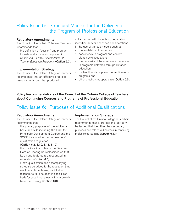# Policy Issue 5: Structural Models for the Delivery of the Program of Professional Education

# **Regulatory Amendments**

The Council of the Ontario College of Teachers recommends that:

• the definition of "session" and program formats and structures be placed in *Regulation 347/02, Accreditation of Teacher Education Programs*) (**Option 5.2**).

#### **Implementation Strategy**

The Council of the Ontario College of Teachers recommends that an effective practices resource be issued that produced in

collaboration with faculties of education, identifies and/or describes considerations in the use of various models such as:

- the availability of resources
- consistency in program and content standards/expectations
- the necessity of face-to-face experiences in programs delivered through distance education
- the length and components of multi-session programs, and
- other directions as appropriate (**Option 5.5**).

# **Policy Recommendations of the Council of the Ontario College of Teachers about Continuing Courses and Programs of Professional Education**

# Policy Issue 6: Purposes of Additional Qualifications

#### **Regulatory Amendments**

The Council of the Ontario College of Teachers recommends that:

• the primary purposes of the additional basic and AQs including the PQP, the Principal's Development Course and the SOQP be stated in the the teachers' qualification regulation

#### (**Option 6.2, 6.10, 6.11, 6.12**)

- the qualification to teach the Deaf and Hard of Hearing be reclassified so that its unique features are recognized in regulation (**Option 6.6**)
- a new qualification and accompanying schedule be added to the regulation that would enable Technological Studies teachers to take courses in specialized trade/occupational areas within a broadbased technology (**Option 6.8**).

#### **Implementation Strategy**

The Council of the Ontario College of Teachers recommends that a professional advisory be issued that identifies the secondary purposes and role of AQ courses in continuing professional learning (**Option 6.13**).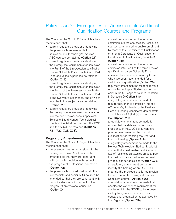# Policy Issue 7: Prerequisites for Admission into Additional Qualification Courses and Programs

The Council of the Ontario College of Teachers recommends that:

- current regulatory provisions identifying the prerequisite requirements for admission into Technological Studies ABQ courses be retained (**Option 7.7**)
- current regulatory provisions identifying the prerequisite requirements for admission into Part II of the three-session qualification course, Schedule D as completion of Part I and one year's experience be retained (**Option 7.12**)
- current regulatory provisions identifying the prerequisite requirements for admission into Part III of the three-session qualification course, Schedule D as completion of Part II and two year's experience, one of which must be in the subject area be retained (**Option 7.13**)
- current regulatory provisions identifying the prerequisite requirements for admission into the one-session, honour specialist, Schedule E and Honour Technological Studies Specialist courses and the PQP and the SOQP be retained (**Options 7.21, 7.22, 7.28, 7.33**).

# **Regulatory Amendments**

The Council of the Ontario College of Teachers recommends that:

- the prerequisites for admission into the primary and junior ABQ courses be amended so that they are congruent with Council's decision with respect to the program of professional education (**Option 7.2**)
- the prerequisites for admission into the intermediate and senior ABQ courses be amended so that they are congruent with Council's decision with respect to the program of professional education (**Option 7.4**)
- current prerequisite requirements for admission into the one-session, Schedule C courses be amended to enable enrolment by those with a Certificate of Qualification or Interim Certificate of Qualification or Certificate of Qualification (Restricted). (**Option 7.8**)
- current prerequisite requirements for admission into Part I of the three-session qualification course, Schedule D be amended to enable enrolment by those who have been recommended for a certificate of qualification (**Option 7.9**)
- regulatory amendment be made that would enable Technological Studies teachers to enrol in the full range of courses identified in Schedule D (**Option 7.10**)
- a regulatory amendment be made to require that, prior to admission into the AQ course(s) for teaching the Deaf and Hard of Hearing, candidates demonstrate a proficiency of ASL/LSQ at a minimum level (**Option 7.16**)
- a regulatory amendment be made to require that candidates demonstrate proficiency in ASL/LQS at a high level prior to being awarded the specialist qualification for teaching the Deaf and Hard of Hearing (**Option 7.19**)
- a regulatory amendment be made to the Honour Technological Studies Specialist course that would enable qualification in two of Technological Studies areas at both the basic and advanced levels to meet pre-requisite for admission (**Option 7.23**)
- a regulatory amendment be made to identify the holding of an OSSD, as meeting the pre-requisite for admission to the Honour Technological Studies Specialist course (**Option 7.26**)
- a regulatory amendment be made that enables the experience requirement for admission into the SOQP to have been met by two years experience in an educational organization as approved by the Registrar (**Option 7.34**).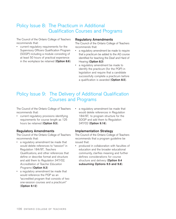# Policy Issue 8: The Practicum in Additional Qualification Courses and Programs

The Council of the Ontario College of Teachers recommends that:

• current regulatory requirements for the Supervisory Officers Qualification Program (SOQP) including a module consisting of at least 50 hours of practical experience in the workplace be retained (**Option 8.6**).

#### **Regulatory Amendments**

The Council of the Ontario College of Teachers recommends that:

- a regulatory amendment be made to require that a practicum be added to the AQ course identified for teaching the Deaf and Hard of Hearing (**Option 8.3**)
- a regulatory amendment be made to identify the practicum (for the PQP) in legislation and require that a candidate successfully complete a practicum before a qualification is awarded (**Option 8.5**).

# Policy Issue 9: The Delivery of Additional Qualification Courses and Programs

The Council of the Ontario College of Teachers recommends that:

current regulatory provisions identifying requirements for course length as 125 hours be retained (**Option 9.5**).

#### **Regulatory Amendments**

The Council of the Ontario College of Teachers recommends that:

- a regulatory amendment be made that would delete references to "session" in Regulation 184/97*, Teachers Qualifications*, and other references that define or describe format and structure and add them to *Regulation 347/02, Accreditation of Teacher Education Programs* (**Option 9.3**)
- a regulatory amendment be made that would reference the PQP as an "accredited program that consists of two one-session courses and a practicum" (**Option 9.12**)

a regulatory amendment be made that would delete references in Regulation 184/97, to program structure for the SOQP and add them to Regulation 347/02 (**Option 9.16**).

#### **Implementation Strategy**

The Council of the Ontario College of Teachers recommends that a program guideline be issued that:

• produced in collaboration with faculties of education and the broader educational community, clarifies meaning and further defines considerations for course structure and delivery (**Option 9.4 subsuming Options 9.5 and 9.8**).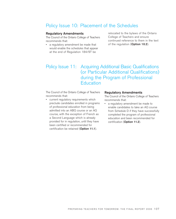# Policy Issue 10: Placement of the Schedules

#### **Regulatory Amendments**

The Council of the Ontario College of Teachers recommends that:

• a regulatory amendment be made that would enable the schedules that appear at the end of Regulation 184/97 be

relocated to the bylaws of the Ontario College of Teachers and ensure continued reference to them in the text of the regulation (**Option 10.2**).

# Policy Issue 11: Acquiring Additional Basic Qualifications (or Particular Additional Qualifications) during the Program of Professional **Education**

The Council of the Ontario College of Teachers recommends that:

• current regulatory requirements which preclude candidates enrolled in programs of professional education from being admitted into an ABQ course or an AQ course, with the exception of French as a Second Language which is already provided for in regulation, until they have been certified or recommended for certification be retained (**Option 11.1**).

#### **Regulatory Amendments**

The Council of the Ontario College of Teachers recommends that:

• a regulatory amendment be made to enable candidates to take an AQ course from Schedule D if they have successfully completed the program of professional education and been recommended for certification (**Option 11.2**).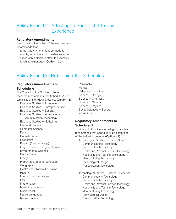# Policy Issue 12: Attesting to Successful Teaching **Experience**

### **Regulatory Amendments**

The Council of the Ontario College of Teachers recommends that:

• a regulatory amendment be made to enable, in particular circumstances, other supervisory officials to attest to successful teaching experience (**Option 12.2**).

# Policy Issue 13: Refreshing the Schedules

### **Regulatory Amendments to Schedule A**

The Council of the Ontario College of Teachers recommends that Schedule A be comprised of the following courses (**Option 13**) Business Studies – Accounting Business Studies – Entrepreneurship Business Studies – General Business Studies – Information and Communication Technology Business Studies – Marketing Classical Studies Computer Science Dance Dramatic Arts **Economics** English (First language) English (Second language) anglais Environmental Science Family Studies Français French as a Second Language Geography Health and Physical Education **History** International Languages Law **Mathematics** Music-Instrumental Music-Vocal Native Languages Native Studies

Philosophy **Politics** Religious Education Science – Biology Science – Chemistry Science – General Science – Physics Social Sciences – General Visual Arts

### **Regulatory Amendments to Schedule B**

The Council of the Ontario College of Teachers recommends that Schedule B be comprised of the following courses (**Option 13**) Technological Studies – Grades 9 and 10 Communications Technology Construction Technology Health and Personal Services Technology Hospitality and Tourism Technology Manufacturing Technology Technological Design Transportation Technology

Technological Studies – Grades 11 and 12 Communications Technology Construction Technology Health and Personal Services Technology Hospitality and Tourism Technology Manufacturing Technology Technological Design Transportation Technology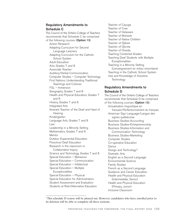## **Regulatory Amendments to Schedule C**

The Council of the Ontario College of Teachers recommends that Schedule C be comprised of the following courses (**Option 13**) Action Research Adapting Curriculum for Second Language Learners Adapting Curriculum for the Catholic School System Adult Education Arts, Grades 7 and 8 Associate Teacher Auditory/Verbal Communication Computer Studies – Computer Technology First Nations: Understanding Traditional Teachings and Cultures FSL – Immersion Geography, Grades 7 and 8 Health and Physical Education, Grades 7 and 8 History, Grades 7 and 8 Integrated Arts Itinerant Teacher of the Deaf and Hard of **Hearing** Kindergarten Language Arts, Grades 7 and 8 Law Leadership in a Minority Setting Mathematics, Grades 7 and 8 Mentor Outdoor Experiential Education Preschool Deaf Education Research in the classroom or Collaborative Inquiry Science and Technology, Grades 7 and 8 Special Education – Behaviour Special Education – Communication Special Education – Intellectual Special Education – Multiple **Exceptionalities** Special Education – Physical Special Education for Administrators Student Assessment and Evaluation Students at Risk/Alternative Education

Teacher of Cayuga Teacher of Cree Teacher of Delaware Teacher of Mohawk Teacher of Native Children Teacher of Ojibwe Teacher of Ojicree Teacher of Oneida Teaching Combined Grades Teaching Deaf Students with Multiple **Exceptionalities** Teaching in a Minority Setting (L'enseignement en milieu minoritaire) Teaching in the Catholic School System Use and Knowledge of Assistive **Technology** 

## **Regulatory Amendments to Schedule D**

The Council of the Ontario College of Teachers recommends that Schedule D be comprised of the following courses (**Option 13**): Actualisation linguistique en français/Perfectionnement du français American Sign Language/Langue des signes québécoise Business Studies-Accounting Business Studies-Entrepreneurship Business Studies-Information and Communication Technology Business Studies-Marketing Computer Studies Co-operative Education Dance Design and Technology'2 Dramatic Arts English as a Second Language Environmental Science Family Studies French as a Second Language Guidance and Career Education Health and Physical Education (Intermediate, Senior) Health and Physical Education (Primary, Junior) Inclusive Classroom

<sup>2</sup> This schedule D course will be phased out. However, candidates who have enrolled prior to its deletion will be able to complete all three sessions.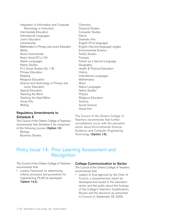Integration of Information and Computer Technology in Instruction Intermediate Education International Languages Junior Education Librarianship Mathematics in Primary and Junior Education Media Music-Instrumental Music-Vocal (P/J, I/S) Native Languages Native Studies P/J Social Studies (Gr. 1-6) Primary Education Reading Religious Education Science and Technology in Primary and Junior Education Special Education Teaching the Blind Teaching the Deaf/Blind Visual Arts **Writing** 

### **Regulatory Amendments to Schedule E**

The Council of the Ontario College of Teachers recommends that Schedule E be comprised of the following courses (**Option 13**): **Biology** 

Business Studies

**Chemistry** Classical Studies Computer Studies Dance Dramatic Arts English (First language) English (Second language) anglais Environmental Science Family Studies **Francais** French as a Second Language Geography Health & Physical Education **History** International Languages **Mathematics Music** Native Languages Native Studies Physics Religious Education Science Social Science Visual Arts

The Council of the Ontario College of Teachers recommends that further consultations occur with the education sector about Environmental Science, Guidance and Computer Engineering Technology (**Option 13**).

# Policy Issue 14: Prior Learning Assessment and **Recognition**

The Council of the Ontario College of Teachers recommends that:

• a policy framework for determining criteria, processes and procedures for implementing PLAR be developed (**Option 14.2**).

### **College Communication to Sector**

The Council of the Ontario College of Teachers recommends that:

• subject to final approval by the Chair of Council, a comprehensive report be developed and issued to the education sector and the public about the findings of the College's Teachers' Qualifications Review and the decisions as presented to Council on September 29, 2006.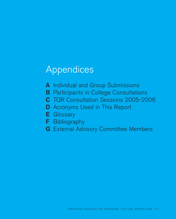# Appendices

- **A** Individual and Group Submissions
- **B** Participants in College Consultations
- **C** TQR Consultation Sessions 2005-2006
- **D** Acronyms Used in This Report
- **E** Glossary
- **F** Bibliography
- **G** External Advisory Committee Members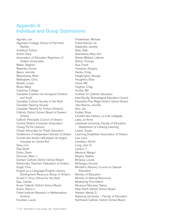# Appendix A Individual and Group Submissions

Agostini, Len Algonquin College, School of Part-time **Studies** Amethyst School Arthur, Dave Association of Education Registrars of Ontario Universities Baber, Stephen Balemba, Donna Baron, Jennifer Beauchamp, Brian Bellingham, Chris Boulet, Louise Boyle, Marg Cambrian College Canadian Coalition for Immigrant Children and Youth Canadian Cultural Society of the Deaf Canadian Hearing Society Canadian Parents for French (Ontario) Catholic District School Board of Eastern Ontario Catholic Principals' Council of Ontario Central Ontario Computer Association Chang, Pu-Ho (James) Citizen Advocates for Public Education Conference of Independent Schools of Ontario Conseil des écoles catholiques de langue française du Centre-Est Davy, Cori Day, Geoff Dixon, Dawn Donovan, Mark J Durham Catholic District School Board Elementary Teachers' Federation of Ontario Engel, Chris English as a Language/English Literacy Development Resource Group of Ontario Ernest C. Drury School for the Deaf Epp, Juanita Essex Catholic District School Board Evans, Nancy L. Fields Institute Research in Mathematical Science Fountain, Laurie

Frederiksen, Michael Freed-Garrod, Joi Gadanidis, Janette Gale, Dale Geertsema, Mary Ann Génier-Bédard, Léanne Gilmor, Thomas Gue, Frank Hampton, Gregory Hanks, Cindy Heighington, George Houghton, Elise Howe, Bill Hughes, Craig Hunter, Bill Institute for Catholic Education Inter-Faculty Technological Education Council Kawartha Pine Ridge District School Board Jilks-Racine, Jennifer Kerr, Jim Kudlac, Rose L'Institut des métiers, La Cité collégiale Lake, Jo-Anne Lakehead University, Faculty of Education, Department of Lifelong Learning Laskin, Susan Learning Disabilities Association of Ontario Lee, Lana Llewellyn, Nichol Long, John S. Lukacs, T. Macleod, Margot Mayers, Nadine McGoey, Louise McGregor, Duncan Minister's Advisory Council on Special Education Ministry of Education Ministry of Natural Resources Mnjikaning First Nation Morassut McLaren, Nancy Near North District School Board Nielsen, Wendy S. Nipissing University – Faculty of Education Northwest Catholic District School Board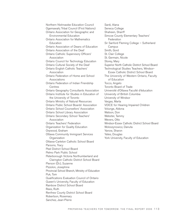Northern Nishnawbe Education Council Ogemawahj Tribal Council (First Nations) Ontario Association for Geographic and Environmental Education Ontario Association for Mathematics Education Ontario Association of Deans of Education Ontario Association of the Deaf Ontario Catholic Supervisory Officers' Association Ontario Council for Technology Education Ontario Cultural Society of the Deaf Ontario English Catholic Teachers' Association Ontario Federation of Home and School Associations Ontario Federation of Indian Friendship **Centres** Ontario Geography Consultants Association Ontario Institute for Studies in Education of the University of Toronto Ontario Ministry of Natural Resources Ontario Public School Boards' Association Ontario School Counsellors' Association Ontario School Library Association Ontario Secondary School Teachers' Association Ontario Teachers' Federation Organization for Quality Education Orpwood, Graham Ottawa Community Immigrant Services **Organization** Ottawa-Carleton Catholic School Board Parsons, Tracy Peel District School Board Pelmo Park Public School Peterborough Victoria Northumberland and Clarington Catholic District School Board Pierson (Dr.), Suzanne Pizzolon, Josephine Provincial School Branch, Ministry of Education Puk, Tom Qualifications Evaluation Council of Ontario Queen's University, Faculty of Education Rainbow District School Board Rees, Ruth Renfrew County District School Board Robertson, Rosemary

Sanchez, Jean-Pierre

Sardi, Alana Seneca College Shaheen, Shariff Simcoe County Elementary Teachers' Federation Sir Sanford Fleming College – Sutherland Campus Smith, Gord St. Clair College St. Germain, Nicole Storey, Mary Superior North Catholic District School Board Technological Studies Teachers, Windsor-Essex Catholic District School Board The University of Western Ontario, Faculty of Education Tocco, Angelo Toronto Board of Trade Université d'Ottawa Faculté d'éducation University of British Columbia University of Windsor Vargas, Marta VOICE for Hearing Impaired Children Volunge, Aldona Watson, Don Webster, Tammy Wevers, Otto Windsor-Essex Catholic District School Board Woloszynowicz, Danuta Yanow, Sharon Yates, Douglas York University, Faculty of Education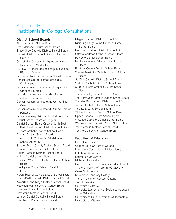# Appendix B Participants in College Consultations

# **District School Boards**

Algoma District School Board Avon Maitland District School Board Bruce-Grey Catholic District School Board Catholic District School Board of Eastern Ontario Conseil des écoles catholiques de langue française du Centre-Est CEPEO – Conseil des écoles publiques de l'Est de l'Ontario Conseil scolaire catholique du Nouvel-Ontario Conseil scolaire de district catholique Centre-Sud Conseil scolaire de district catholique des Grandes Rivières Conseil scolaire de district des écoles catholiques du Sud-Ouest Conseil scolaire de district du Centre-Sud-Ouest Conseil scolaire de district du Grand Nord de l'Ontario Conseil scolaire public du Nord-Est de l'Ontario District School Board of Niagara District School Board Ontario North East Dufferin-Peel Catholic District School Board Durham Catholic District School Board Durham District School Board Essex County Children's Rehabilitation School Authority Greater Essex County District School Board Greater Essex District School Board Halton Catholic District School Board Halton District School Board Hamilton Wentworth Catholic District School Board Hastings & Prince Edward District School Board Huron Superior Catholic District School Board Huron-Perth Catholic District School Board Kawartha Pine Ridge District School Board Keewatin-Patricia District School Board Lakehead District School Board Limestone District School Board London District Catholic School Board Near North District School Board

Niagara Catholic District School Board Nipissing-Parry Sound Catholic District School Board Northwest Catholic District School Board Ottawa-Carleton Catholic School Board Rainbow District School Board Renfrew County Catholic District School Board Renfrew County District School Board Simcoe Muskoka Catholic District School Board St. Clair Catholic District School Board Sudbury Catholic District School Board Superior North Catholic District School Board Thames Valley District School Board The Northwest Catholic District School Board Thunder Bay Catholic District School Board Toronto Catholic District School Board Toronto District School Board Trillium Lakelands District School Board Upper Canada District School Board Waterloo Catholic District School Board Windsor-Essex Catholic District School Board York Catholic District School Board York Region District School Board **Faculties of Education** Brock University

Charles Sturt University, Ontario Interfaculty Technological Education Council Lakehead University Laurentian University Nipissing University Ontario Institute for Studies in Education of the University of Toronto (OISE/UT) Queen's University Redeemer University College The University of Western Ontario Trent University Université d'Ottawa Université Laurentienne, École des sciences de l'éducation University of Ontario Institute of Technology University of Ottawa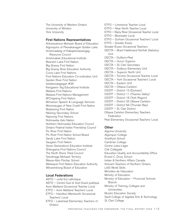The University of Western Ontario University of Windsor York University

### **First Nations Representatives**

Ahkwesahsne Mohawk Board of Education Algonquins of Pikwakanagan Golden Lake Anishinaabeg of Kabapikotawangag Resource Council Anishinabek Educational Institute Bearskin Lake First Nation Big Grassy First Nation Big Grassy River Education Authority Curve Lake First Nations First Nations Education Co-ordination Unit Garden River First Nation Iskatewizaagegan #39 Kenjgewin Teg Educational Institute Matawa First Nations Matawa First Nations Management M'Chigeeng First Nation Minwewin Speech & Language Services Mississaugas of New Credit First Nation Mnjikaning First Nation Nbisiing Secondary School Nipissing First Nations Nishnawbe Aski Nation Northern Nishnawbe Education Council Ontario Federal Indian Friendship Council Pic River First Nation Pic River First Nation School Board Sandy Lake First Nation Saugeen First Nation Seven Generations Education Institute Shibogama First Nations Council The North Shore Tribal Council Tyendinaga Mohawk Territory Wasse-Abin Pontiac School Webequie First Nation Education Authority Wikwemikong Board of Education

### **Local Federations**

AEFO – unité Est catholique AEFO – Centre-Sud et Sud-Ouest publique Avon Maitland Occasional Teacher Local ETFO – Avon Maitland Teachers' Local ETFO – Hamilton-Wentworth Occasional Teachers' Local ETFO – Lakehead Elementary Teachers of Ontario

ETFO – Limestone Teacher Local ETFO – Near North Teacher Local ETFO – Rainy River Occasional Teacher Local ETFO – Bluewater Local ETFO – Durham Occasional Teachers' Local ETFO – Greater Essex Greater-Essex Occasional Teachers OECTA – Brant Haldimand Norfolk Statutory Unit OECTA – Dufferin-Peel OECTA – Huron Superior OECTA – St. Clair Secondary OECTA – Sudbury Elementary Unit OECTA – Superior North Unit OECTA – Toronto Occasional Teacher Local OECTA – York Occasional Teachers' Local OECTA – Eastern Unit OECTA – Ottawa-Carleton OSSTF – District 13 (Durham) OSSTF – District 11 (Thames Valley) OSSTF – District 16 (York Region) OSSTF – District 25 Ottawa-Carleton OSSTF – District 6A (Thunder Bay) OSSTF – St. Clair District Ottawa Carleton Elementary Teachers Federation Peel Elementary Occasional Teachers' Local

### **Other**

Algoma University Algonquin College Amethyst School Cambrian College Centre Jules-Léger Cité Collégiale Education Quality and Accountability Office Ernest C. Drury School Indian & Northern Affairs Canada Itinerant Teachers of Northern Ontario LASI World Skills Ministère de l'éducation Ministry of Education Ministry of Education – Provincial Schools Branch Ministry of Training, Colleges and Universities Muslim Education Society Sault College of Applied Arts & Technology St. Clair College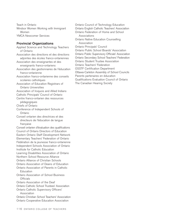Teach in Ontario Windsor Women Working with Immigrant Women YMCA Newcomer Services

#### **Provincial Organizations**

Applied Science and Technology Teachers of Ontario Association des directions et des directions adjointes des écoles franco-ontariennes Association des enseignantes et des enseignants franco-ontariens Association des gestionnaires de l'éducation franco-ontarienne Association franco-ontarienne des conseils scolaires catholiques Association of Education Registrars of Ontario Universities Association of Iroquois and Allied Indians Catholic Principals' Council of Ontario Centre franco-ontarien des ressources pédagogiques Chiefs of Ontario Conference of Independent Schools of Ontario Conseil ontarien des directrices et des directeurs de l'éducation de langue française Conseil ontarien d'évaluation des qualifications Council of Ontario Directors of Education Eastern Ontario Staff Development Network Elementary Teachers' Federation of Ontario Fédération de la jeunesse franco-ontarienne Independent Schools Association of Ontario Institute for Catholic Education Learning Disabilities Association of Ontario Northern School Resource Alliance Ontario Alliance of Christian Schools Ontario Association of Deans of Education Ontario Association of Parents in Catholic Education Ontario Association of School Business **Officials** Ontario Association of the Deaf Ontario Catholic School Trustees' Association Ontario Catholic Supervisory Officers' Association Ontario Christian School Teachers' Association Ontario Cooperative Education Association

Ontario Council of Technology Education Ontario English Catholic Teachers' Association Ontario Federation of Home and School Associations Ontario Native Education Counselling Association Ontario Principals' Council Ontario Public School Boards' Association Ontario Public Supervisory Officials' Association Ontario Secondary School Teachers' Federation Ontario Student Trustee Association Ontario Teachers' Federation OSSTF Certification Department Ottawa-Carleton Assembly of School Councils Parents partenaires en éducation Qualifications Evaluation Council of Ontario The Canadian Hearing Society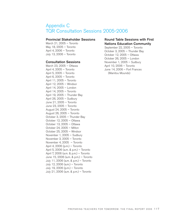# Appendix C TQR Consultation Sessions 2005-2006

### **Provincial Stakeholder Sessions**

March 21, 2005 – Toronto May 18, 2005 – Toronto April 4, 2006 – Toronto July 13, 2006 – Toronto

### **Consultation Sessions**

March 23, 2005 – Ottawa April 4, 2005 – Toronto April 5, 2005 – Toronto April 6, 2005 – Toronto April 11, 2005 – Toronto April 12, 2005 – Windsor April 14, 2005 – London April 14, 2005 – Toronto April 19, 2005 – Thunder Bay April 26, 2005 – Sudbury June 21, 2005 – Toronto June 23, 2005 – Toronto August 24, 2005 – Toronto August 26, 2005 – Toronto October 3, 2005 – Thunder Bay October 12, 2005 – Ottawa October 13, 2005 – Ottawa October 24, 2005 – Milton October 25, 2005 – Windsor November 1, 2005 – Sudbury November 3, 2005 – Toronto November 4, 2005 – Toronto April 4, 2006 (p.m.) – Toronto April 5, 2006 (a.m. & p.m.) – Toronto April 7, 2006 (a.m. & p.m.) – Toronto June 15, 2006 (a.m. & p.m.) – Toronto July 11, 2006 (a.m. & p.m.) – Toronto July 12, 2006 (a.m.) – Toronto July 19, 2006 (p.m.) – Toronto July 21, 2006 (a.m. & p.m.) – Toronto

### **Round Table Sessions with First Nations Education Community**

September 22, 2005 – Toronto October 3, 2005 – Thunder Bay October 12, 2005 – Ottawa October 26, 2005 – London November 1, 2005 – Sudbury April 10, 2006 – Toronto June 14, 2006 – Fort Frances (Manitou Mounds)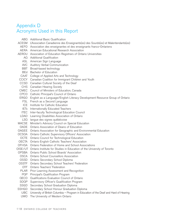# Appendix D Acronyms Used in this Report

- ABQ Additional Basic Qualification
- ACESM L'Association Canadienne des Enseignants(es) des Sourds(es) et Malentendants(es)
- AEFO Association des enseignantes et des enseignants franco-Ontariens
- AERA American Educational Research Association
- AEROU Association of Education Registrars of Ontario Universities
	- AQ Additional Qualification
	- ASL American Sign Language
	- AVC Auditory Verbal Communication
	- BBT Broad-based technology
	- BEd Bachelor of Education
	- CAAT College of Applied Arts and Technology
- CCICY Canadian Coalition for Immigrant Children and Youth
- CCSD Canadian Cultural Society of the Deaf
- CHS Canadian Hearing Society
- CMEC Council of Ministers of Education, Canada
- CPCO Catholic Principal's Council of Ontario
- ERGO English as a Language/English Literacy Development Resource Group of Ontario
	- FSL French as a Second Language
	- ICE Institute for Catholic Education
	- IETs Internationally Educated Teachers
- ITEC Inter-faculty Technological Education Council
- LDAO Learning Disabilities Association of Ontario
- LSQ langue des signes québécoise
- MACSE Minister's Advisory Council on Special Education
- OADE Ontario Association of Deans of Education
- OAGEE Ontario Association for Geographic and Environmental Education
- OCSOA Ontario Catholic Supervisory Officers' Association
- OCTE Ontario Council for Technological Education
- OECTA Ontario English Catholic Teachers' Association
- OFHSA Ontario Federation of Home and School Associations
- OISE/UT Ontario Institute for Studies in Education of the University of Toronto
- OPSBA Ontario Public School Boards' Association
- OSCA Ontario School Counsellors Association
- OSSD Ontario Secondary School Diploma
- OSSTF Ontario Secondary School Teachers' Federation
- OTF Ontario Teachers' Federation
- PLAR Prior Learning Assessment and Recognition
- PQP Principal's Qualification Program
- QECO Qualifications Evaluation Council of Ontario
- SOQP Supervisory Officer's Qualification Program
- SSGD Secondary School Graduation Diploma
- SSHGD Secondary School Honour Graduation Diploma
	- UBC University of British Columbia Program in Education of the Deaf and Hard of Hearing
	- UWO The University of Western Ontario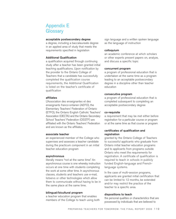# Appendix E **Glossary**

#### **acceptable postsecondary degree**

a degree, including a baccalaureate degree in an applied area of study that meets the requirements specified in legislation

#### **Additional Qualification**

a qualification acquired through continuing study after a teacher has been granted initial teaching qualifications. Upon notification by the provider to the Ontario College of Teachers that a candidate has successfully completed the qualification course requirements, the Additional Qualification is listed on the teacher's certificate of qualification

#### **affiliates**

L'Association des enseignantes et des enseignants franco-ontarien (AEFO), the Elementary Teachers' Federation of Ontario (ETFO), the Ontario English Catholic Teachers' Association (OECTA) and the Ontario Secondary School Teachers' Federation (OSSTF) are affiliated with the Ontario Teachers' Federation and are known as the affiliates.

#### **associate teacher**

an experienced member of the College who supervises and assesses a teacher candidate during the practicum component in an initial teacher education program

#### **asynchronous**

literally means "not at the same time." An asynchronous course is one whereby instruction occurs at one time with students completing the work at some other time. In asynchronous classes, students and teachers use e-mail, listservs or other technologies which allow them to communicate without having to be in the same place at the same time.

#### **bilingual/bicultural program**

a teacher education program that enables members of the College to teach using both sign language and a written spoken language as the language of instruction

#### **colloquium**

an academic conference at which scholars or other experts present papers on, analyze, and discuss a specific topic

#### **concurrent program**

a program of professional education that is undertaken at the same time as a program leading to an acceptable postsecondary degree in a discipline other than teacher education

#### **consecutive program**

a program of professional education that is completed subsequent to completing an acceptable postsecondary degree

#### **co-requisite**

a requirement that may be met either before registration for a particular course or program or at the same time as that course or program

#### **certificates of qualification and registration**

granted by the Ontario College of Teachers to successful applicants who graduate from Ontario initial teacher education programs and to applicants from programs outside Ontario who meet the requirements for registration. A certificate of qualification is required to teach in schools in publicly funded English-language and Frenchlanguage systems.

In the case of multi-session programs, applicants are granted initial certification that can be limited to 12 months, be extended and/or may restrict the practice of the teacher to a specific area.

#### **dispositions to teach**

the personal qualities or characteristics that are possessed by individuals that are believed to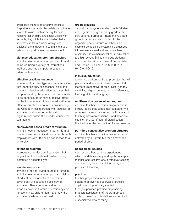predispose them to be effective teachers. Dispositions are guided by beliefs and attitudes related to values such as caring, fairness, honesty, responsibility and social justice. For example, they might include a belief that all students can learn, a vision of high and challenging standards or a commitment to a safe and supportive learning environment.

#### **distance education program structure**

an initial teacher education program format delivered using a variety of instructional methods such as computer mediation or video conferencing

#### **effective practices resource**

a document or other type of communication that identifies and/or describes initial and continuing teacher education practices that are perceived by the educational community to be beneficial to or have a positive effect on the improvement of teacher education. An effective practices resource is produced by the College in collaboration with faculties of education and/or other individuals or organizations within the broader educational community.

#### **employment-based program structure**

an initial teacher education program format whereby teacher certification occurs through employment with little or no connection to a university

#### **extended program**

a program of professional education that is longer than the traditional postsecondary institution's academic year

#### **foundation course**

any one of the following courses offered in an initial teacher education program: history of education, philosophy of education, psychology of education, sociology of education. These courses address such areas as how the Ontario education system functions, how children learn and how the education system has evolved.

#### **grade grouping**

a classification system in which pupils/students are organized or grouped by grades for instructional purposes. Traditionally, grade groupings have corresponded to the organizational structure of schools. For example, some school systems are organized into elementary level and secondary level; others include elementary school, middle school and high school. Still others group students according to Primary, Junior, Intermediate and Senior Divisions, or K-6, K-8, 7-9, 9-12 or 10-12.

#### **inclusive education**

a learning environment that promotes the full personal and academic development of all learners irrespective of race, class, gender, disability, religion, culture, sexual preference, learning styles and language

#### **multi-session consecutive program**

an initial teacher education program that is structured so that candidates complete two or more course work sessions with a year of teaching between sessions. Candidates are eligible for a Certificate of Qualification (Limited) after the completion of a first session

#### **part-time consecutive program structure**

an initial teacher education program format delivered by a university over an extended period of time

#### **pedagogical studies**

courses or other learning experiences in which candidates study and apply concepts, theories and research about effective teaching and learning; the study of the theory and practice of teaching

#### **practicum**

teacher preparation in an instructional setting that involves supervised, practical application of previously studied theory;supervised practice emphasizing practical applications of theory, methods, skills, professional orientations and ethics in a specialized area of study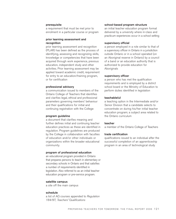#### **prerequisite**

a requirement that must be met prior to enrolment in a particular course or program

#### **prior learning assessment and recognition**

prior learning assessment and recognition (PLAR) has been defined as the process of identifying, assessing and recognizing skills, knowledge or competencies that have been acquired through work experience, previous education, independent study and other activities. Prior learning assessment may be applied toward academic credit, requirement for entry to an education/training program, or for certification

#### **professional advisory**

a communication issued to members of the Ontario College of Teachers that identifies and clarifies legal, ethical and professional parameters governing members' behaviour and their qualifications for initial and continuing registration with the College

#### **program guideline**

a document that clarifies meaning and further defines initial and continuing teacher education practices as these are identified in regulation. Program guidelines are produced by the College in collaboration with faculties of education and/or other individuals or organizations within the broader educational community.

#### **program of professional education**

an educational program provided in Ontario that prepares persons to teach in elementary or secondary schools in Ontario and that satisfies a number of requirements identified in legislation. Also referred to as an initial teacher education program or pre-service program.

#### **satellite campus**

a site off the main campus

#### **schedule**

a list of AQ courses appended to *Regulation 184/97, Teachers' Qualifications*

#### **school-based program structure**

an initial teacher education program format delivered by a university where in-class and practicum experiences occur in a school setting

#### **supervisory official**

a person employed in a role similar to that of a supervisory officer in Ontario in a jurisdiction outside Ontario or in a school operated (on an Aboriginal reserve in Ontario) by a council of a band or an education authority that is authorized to provide education for Aboriginals

#### **supervisory officer**

a person who has met the qualification requirements and is employed by a district school board or the Ministry of Education to perform duties identified in legislation

#### **teachable(s)**

a teaching option in the Intermediate and/or Senior Division that a candidate selects to concentrate on during his/her initial teacher education program; a subject area related to the Ontario curriculum

#### **teacher**

a member of the Ontario College of Teachers

#### **trade certification**

qualifications issued to an individual after the successful completion of an apprenticeship program in an area of technological study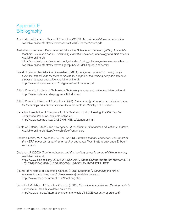# Appendix F **Bibliography**

- Association of Canadian Deans of Education. (2005). *Accord on initial teacher education*. Available online at: http://www.csse.ca/CADE/TeacherAccord.pdf
- Australian Government Department of Education, Science and Training. (2003). Australia's teachers: *Australia's Future—Advancing innovation, science, technology and mathematics*. Available online at: http://www.dest.gov.au/sectors/school\_education/policy\_initiatives\_reviews/reviews/teach. . Available online at: http://www.ed.gov/pubs/VoEd/Chapter1/index.html
- Board of Teacher Registration Queensland. (2004). *Indigenous education everybody's business: Implications for teacher education, a report of the working party of indigenous studies in teacher education*. Available online at: http://www.btr.qld.edu.au/pdf/Indigenous%20Education.pdf
- British Columbia Institute of Technology. *Technology teacher education*. Available online at: http://www.bcit.ca/study/programs/605ddipma
- British Columbia Ministry of Education. (1998). *Towards a signature program: A vision paper for technology education in British Columbia*. Victoria: Ministry of Education.
- Canadian Association of Educators for the Deaf and Hard of Hearing. (1995). *Teacher certification standards*. Available online at: http://www.stemnet.nf.ca/CAEDHH/HTML/standards.html
- Chiefs of Ontario. (2005). *The new agenda: A manifesto for first nations education in Ontario*. Available online at: http://www.chiefs-of-ontario.org
- Cochran-Smith, M. & Zeichner, K., Eds. (2005). *Studying teacher education: The report of the AERA panel on research and teacher education*. Washington: Lawrence Erlbaum Associates.
- Coolahan, J. (2002). *Teacher education and the teaching career in an era of lifelong learning*. Available online at: http://www.olis.oecd.org/OLIS/2002DOC.NSF/43bb6130e5e86e5fc12569fa005d004 c/5b71d9d70e0f867cc1256c950053c48d/\$FILE/JT00137131.PDF
- Council of Ministers of Education, Canada. (1996, September). *Enhancing the role of teachers in a changing world*, [Press release]. Available online at: http://www.cmec.ca/international/teacheng.htm
- Council of Ministers of Education, Canada. (2000). *Education in a global era: Developments in education in Canada*. Available online at: http://www.cmec.ca/international/commonwealth/14CCEM.countryreport.en.pdf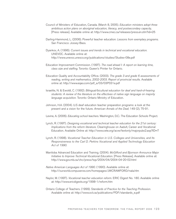- Council of Ministers of Education, Canada. (March 8, 2005). *Education ministers adopt three ambitious action plans on aboriginal education, literacy, and postsecondary capacity*, [Press release]. Available online at: http://www.cmec.ca/releases/press.en.stm?id=25
- Darling-Hammond, L. (2006). Powerful teacher education: *Lessons from exemplary programs*. San Francisco: Jossey-Bass.
- Dyankov, A. (1996). *Current issues and trends in technical and vocational education.* UNEVOC. Available online at: http://www.unevoc.unesco.org/publications/studies/Studies-08e.pdf
- Education Improvement Commission. (1997). *The road ahead I: A report on learning time, class size and staffing*. Toronto: Queen's Printer for Ontario.
- Education Quality and Accountability Office. (2003). *The grade 3 and grade 6 assessments of reading, writing and mathematics, 2002-2003. Report of provincial results.* Available online at: http://www.eqao.com/pdf\_e/03/03P031e.pdf
- Israelite, N. & Ewoldt, C. (1992). *Bilingual/bicultural education for deaf and hard-of-hearing students: A review of the literature on the effectives of native sign language on majority language acquisition.* Toronto: Ontario Ministry of Education.
- Johnson, H.A. (2004). U.S deaf education teacher preparation programs: a look at the present and a vision for the future. *American Annals of the Deaf*, 149 (2), 75-91.
- Levine, A. (2006). *Educating school teachers*. Washington, D.C.: The Education Schools Project.
- Lynch, R. (1997). *Designing vocational and technical teacher education for the 21st century: Implications from the reform literature.* Clearinghouse on Aadult, Career and Vocational Education. Available Online at: http://www.cete.org/acve/textonly/majorpubs2.asp?ID=7
- Lynch, R. (1998). *Vocational Teacher Education in U.S. Colleges and Universities, and Its Responsiveness to the Carl D. Perkins Vocational and Applied Technology Education Act of 1990.*
- Manitoba Advanced Education and Training. (2004). *McGifford and Bjornson Announce Major Initiative to Improve Technical-Vocational Education.* [Press Release]. Available online at: http://www.gov.mb.ca/chc/press/top/2004/04/2004-04-20-02.html
- *Native American Languages Act of 1990.* (1990). Available online at: http://ourworld.compuserve.com/homepages/JWCRAWFORD/nala.htm
- Naylor, M. (1997). *Vocational teacher education reform.* ERIC Digest No. 180. Available online at: http://www.ericdigests.org/1998-1/reform.htm
- Ontario College of Teachers. (1999). S*tandards of Practice for the Teaching Profession.* Available online at: http://www.oct.ca/publications/PDF/standards\_e.pdf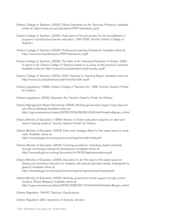- Ontario College of Teachers. (2000). *Ethical Standards for the Teaching Profession.* Available online at: http://www.oct.ca/publications/PDF/standards\_e.pdf
- Ontario College of Teachers. (2000). *Final report of the pilot project for the accreditation of programs of professional teacher education,* 1997-2000. Toronto: Ontario College of Teachers.
- Ontario College of Teachers. (2000). *Professional Learning Framework.* Available online at: http://www.oct.ca/publications/PDF/framework\_e.pdf
- Ontario College of Teachers. (2003). *The State of the Teaching Profession in Ontario, 2003. A report to the Ontario College of Teachers based on a survey of the province's teachers.* Available online at: http://www.oct.ca/publications/pdf/survey\_e.pdf
- Ontario College of Teachers. (2004). *2004 Transition to Teaching Report.* Available online at: http://www.oct.ca/publications/pdf/transitions04\_e.pdf
- Ontario Legislature. (1996). *Ontario College of Teachers Act, 1996.* Toronto: Queen's Printer for Ontario.
- Ontario Legislature. (2005). *Education Act.* Toronto: Queen's Printer for Ontario.
- Ontario Management Board Secretariat. (2004). *McGinty government targets rising drop-out rate.* [Press Release] Available online at: http://ogov.newswire.ca/ontario/GPOE/2004/06/08/c2345.html?lmatch=&lang=\_e.html.
- Ontario Ministry of Education. (1989). *Review of Ontario education programs for deaf and hard of hearing students.* Toronto: Queen's Printer for Ontario.
- Ontario Ministry of Education. (2003). *Early math strategy: Report of the expert panel on early math.* Available online at: http://www.edu.gov.on.ca/eng/document/reports/math/math.pdf
- Ontario Ministry of Education. (2004). T*eaching excellence: Unlocking student potential through continuing professional development.* Available online at: http://www.edu.gov.on.ca/eng/document/nr/04.03/teacherexcellence.pdf
- Ontario Ministry of Education. (2005). *Education for all. The report of the expert panel on literacy and numeracy instruction for students with special education needs, kindergarten to grade 6*. Available online at: http://www.edu.gov.on.ca/eng/document/reports/speced/panel/speced.pdf
- Ontario Ministry of Education. (2005). *McGinty government boosts support for high school students.* [Press Release]. Available online at: http://ogov.newswire.ca/ontario/GPOE/2005/05/17/c0443.html?lmatch=&lang=\_e.html.

*Ontario Regulation 184/97, Teachers' Qualifications.*

*Ontario Regulation 298, Operations of Schools, General.*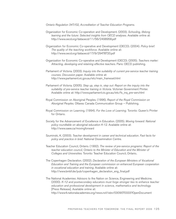*Ontario Regulation 347/02, Accreditation of Teacher Education Programs.*

- Organization for Economic Co-operation and Development. (2003). *Schooling, lifelong learning and the future: Selected insights from OECD analyses.* Available online at: http://www.oecd.org/dataoecd/11/56/2498958.pdf
- Organization for Economic Co-operative and Development (OECD). (2004). *Policy brief: The quality of the teaching workforce.* Available online at: http://www.oecd.org/dataoecd/17/9/29478720.pdf
- Organization for Economic Co-operative and Development (OECD). (2005). *Teachers matter:* Attracting, developing and retaining effective teachers. Paris: OECD publishing.
- Parliament of Victoria. (2003). *Inquiry into the suitability of current pre-service teacher training courses. Discussion paper.* Available online at: http://www.parliament.vic.gov.au/etc/main\_frameset.html
- Parliament of Victoria. (2005). *Step up, step in, step out: Report on the inquiry into the suitability of pre-service teacher training in Victoria.* Victorian Government Printer. Available online at: http://www.parliament.vic.gov.au/etc/fs\_inq\_pre-serv.html
- Royal Commission on Aboriginal Peoples. (1996). *Report of the Royal Commission on Aboriginal Peoples.* Ottawa: Canada Communication Group – Publishing.
- Royal Commission on Learning. (1994). *For the Love of Learning.* Toronto: Queen's Printer for Ontario.
- Society for the Advancement of Excellence in Education. (2005). *Moving forward: National policy roundtable on aboriginal education K-12.* Available online at: http://www.saee.ca/movingforward
- Szuminski, K. (2003). *Teacher development in career and technical education. Fast facts for policy and practice in brief.* National Dissemination Centre.
- Teacher Education Council, Ontario. (1992). *The review of pre-service programs: Report of the teacher education council, Ontario to the Minister of Education and the Minister of Colleges and Universities.* Toronto: Teacher Education Council, Ontario..
- The Copenhagen Declaration. (2002). *Declaration of the European Ministers of Vocational Education and Training and the European commission on enhanced European cooperation in vocational education and training.* Available online at: http://www.bmbf.de/pub/copenhagen\_declaration\_eng\_final.pdf
- The National Academies: Advisors to the Nation on Science, Engineering and Medicine. (2000). *K-12 and postsecondary educators must forge stronger ties to enhance teacher education and professional development in science, mathematics and technology.* [Press Release]. Available online at: http://www4.nationalacademies.org/news.nsf/isbn/0309070333?OpenDocument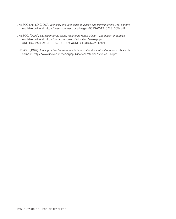- UNESCO and ILO. (2002). *Technical and vocational education and training for the 21st century.* Available online at: http://unesdoc.unesco.org/images/0013/001310/131005e.pdf
- UNESCO. (2005). *Education for all global monitoring report 2005 The quality imperative .* Available online at: http://portal.unesco.org/education/en/ev.php-URL\_ID=35939&URL\_DO=DO\_TOPIC&URL\_SECTION=201.html
- UNEVOC. (1997). *Training of teachers/trainers in technical and vocational education.* Available online at: http://www.unevoc.unesco.org/publications/studies/Studies-11e.pdf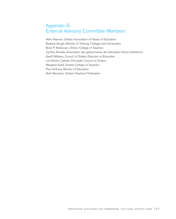# Appendix G External Advisory Committee Members

Allen Pearson, Ontario Association of Deans of Education Barbara Gough, Ministry of Training, Colleges and Universities Brian P. McGowan, Ontario College of Teachers Cynthia Roveda, Association des gestionnaires de l'éducation franco-ontarienne Geoff Williams, Council of Ontario Directors of Education Lou Rocha, Catholic Principals' Council of Ontario Margaret Aubé, Ontario College of Teachers Paul Anthony, Ministry of Education Ruth Baumann, Ontario Teachers' Federation